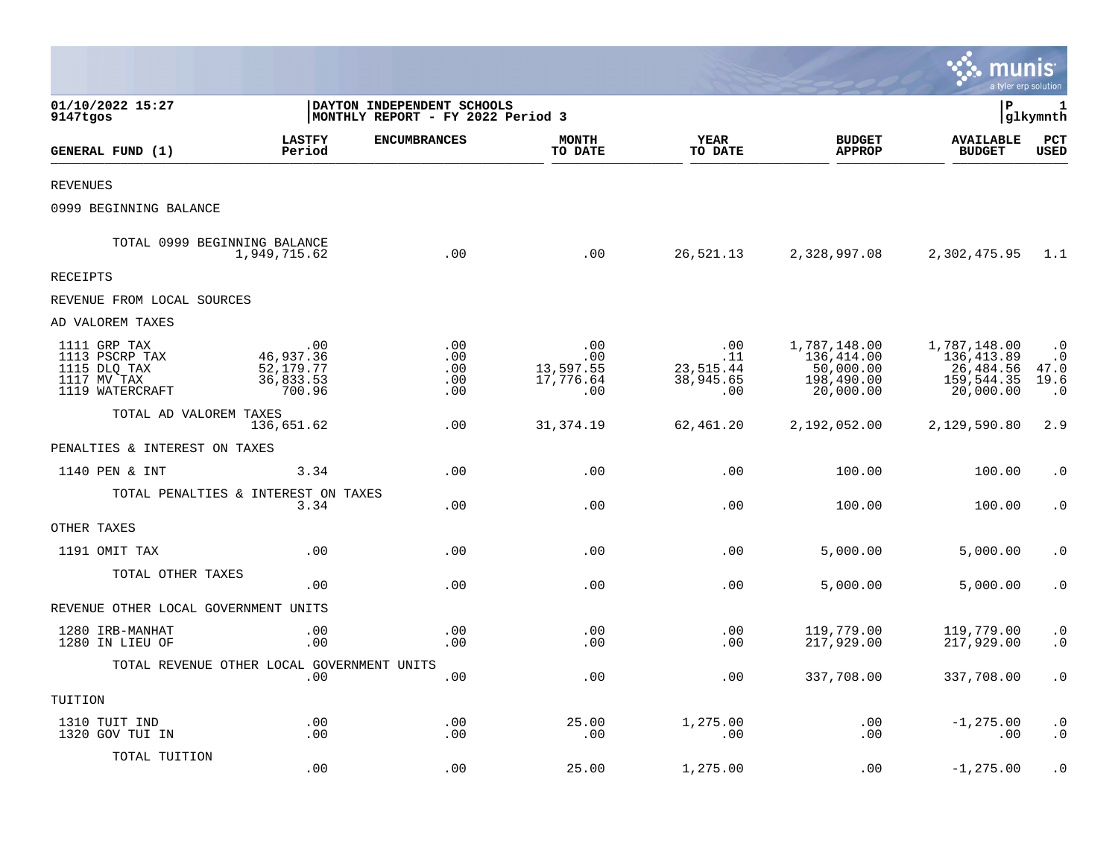|                                                                                  |                                                        |                                                                 |                                             |                                                  |                                                                    | munis                                                               | a tyler erp solution                                |
|----------------------------------------------------------------------------------|--------------------------------------------------------|-----------------------------------------------------------------|---------------------------------------------|--------------------------------------------------|--------------------------------------------------------------------|---------------------------------------------------------------------|-----------------------------------------------------|
| 01/10/2022 15:27<br>9147tgos                                                     |                                                        | DAYTON INDEPENDENT SCHOOLS<br>MONTHLY REPORT - FY 2022 Period 3 |                                             |                                                  |                                                                    | l P                                                                 | 1<br> glkymnth                                      |
| GENERAL FUND (1)                                                                 | <b>LASTFY</b><br>Period                                | <b>ENCUMBRANCES</b>                                             | <b>MONTH</b><br>TO DATE                     | <b>YEAR</b><br>TO DATE                           | <b>BUDGET</b><br><b>APPROP</b>                                     | <b>AVAILABLE</b><br><b>BUDGET</b>                                   | PCT<br><b>USED</b>                                  |
| <b>REVENUES</b>                                                                  |                                                        |                                                                 |                                             |                                                  |                                                                    |                                                                     |                                                     |
| 0999 BEGINNING BALANCE                                                           |                                                        |                                                                 |                                             |                                                  |                                                                    |                                                                     |                                                     |
| TOTAL 0999 BEGINNING BALANCE                                                     | 1,949,715.62                                           | .00                                                             | .00                                         | 26,521.13                                        | 2,328,997.08                                                       | 2,302,475.95                                                        | 1.1                                                 |
| <b>RECEIPTS</b>                                                                  |                                                        |                                                                 |                                             |                                                  |                                                                    |                                                                     |                                                     |
| REVENUE FROM LOCAL SOURCES                                                       |                                                        |                                                                 |                                             |                                                  |                                                                    |                                                                     |                                                     |
| AD VALOREM TAXES                                                                 |                                                        |                                                                 |                                             |                                                  |                                                                    |                                                                     |                                                     |
| 1111 GRP TAX<br>1113 PSCRP TAX<br>1115 DLQ TAX<br>1117 MV TAX<br>1119 WATERCRAFT | .00<br>46,937.36<br>52, 179. 77<br>36,833.53<br>700.96 | .00<br>.00<br>.00<br>.00<br>.00                                 | .00<br>.00<br>13,597.55<br>17,776.64<br>.00 | $.00 \,$<br>.11<br>23,515.44<br>38,945.65<br>.00 | 1,787,148.00<br>136,414.00<br>50,000.00<br>198,490.00<br>20,000.00 | 1,787,148.00<br>136, 413.89<br>26,484.56<br>159,544.35<br>20,000.00 | $\cdot$ 0<br>$\cdot$ 0<br>47.0<br>19.6<br>$\cdot$ 0 |
| TOTAL AD VALOREM TAXES                                                           | 136,651.62                                             | .00                                                             | 31, 374.19                                  | 62,461.20                                        | 2,192,052.00                                                       | 2,129,590.80                                                        | 2.9                                                 |
| PENALTIES & INTEREST ON TAXES                                                    |                                                        |                                                                 |                                             |                                                  |                                                                    |                                                                     |                                                     |
| 1140 PEN & INT                                                                   | 3.34                                                   | .00                                                             | .00                                         | .00                                              | 100.00                                                             | 100.00                                                              | $\cdot$ 0                                           |
|                                                                                  | TOTAL PENALTIES & INTEREST ON TAXES<br>3.34            | .00                                                             | .00                                         | .00                                              | 100.00                                                             | 100.00                                                              | $\cdot$ 0                                           |
| OTHER TAXES                                                                      |                                                        |                                                                 |                                             |                                                  |                                                                    |                                                                     |                                                     |
| 1191 OMIT TAX                                                                    | .00                                                    | .00                                                             | .00                                         | .00                                              | 5,000.00                                                           | 5,000.00                                                            | $\cdot$ 0                                           |
| TOTAL OTHER TAXES                                                                | .00                                                    | .00                                                             | .00                                         | .00                                              | 5,000.00                                                           | 5,000.00                                                            | $\cdot$ 0                                           |
| REVENUE OTHER LOCAL GOVERNMENT UNITS                                             |                                                        |                                                                 |                                             |                                                  |                                                                    |                                                                     |                                                     |
| 1280 IRB-MANHAT<br>1280 IN LIEU OF                                               | .00<br>.00                                             | .00<br>.00                                                      | .00<br>.00                                  | .00<br>.00                                       | 119,779.00<br>217,929.00                                           | 119,779.00<br>217,929.00                                            | $\cdot$ 0<br>$\cdot$ 0                              |
|                                                                                  | TOTAL REVENUE OTHER LOCAL GOVERNMENT UNITS<br>.00      | .00                                                             | .00                                         | .00                                              | 337,708.00                                                         | 337,708.00                                                          | $\cdot$ 0                                           |
| TUITION                                                                          |                                                        |                                                                 |                                             |                                                  |                                                                    |                                                                     |                                                     |
| 1310 TUIT IND<br>1320 GOV TUI IN                                                 | .00<br>.00                                             | .00<br>.00                                                      | 25.00<br>.00                                | 1,275.00<br>.00                                  | .00<br>.00                                                         | $-1, 275.00$<br>.00                                                 | $\cdot$ 0<br>$\cdot$ 0                              |
| TOTAL TUITION                                                                    | .00                                                    | .00                                                             | 25.00                                       | 1,275.00                                         | .00                                                                | $-1, 275.00$                                                        | $\cdot$ 0                                           |

 $\mathcal{L}^{\text{max}}$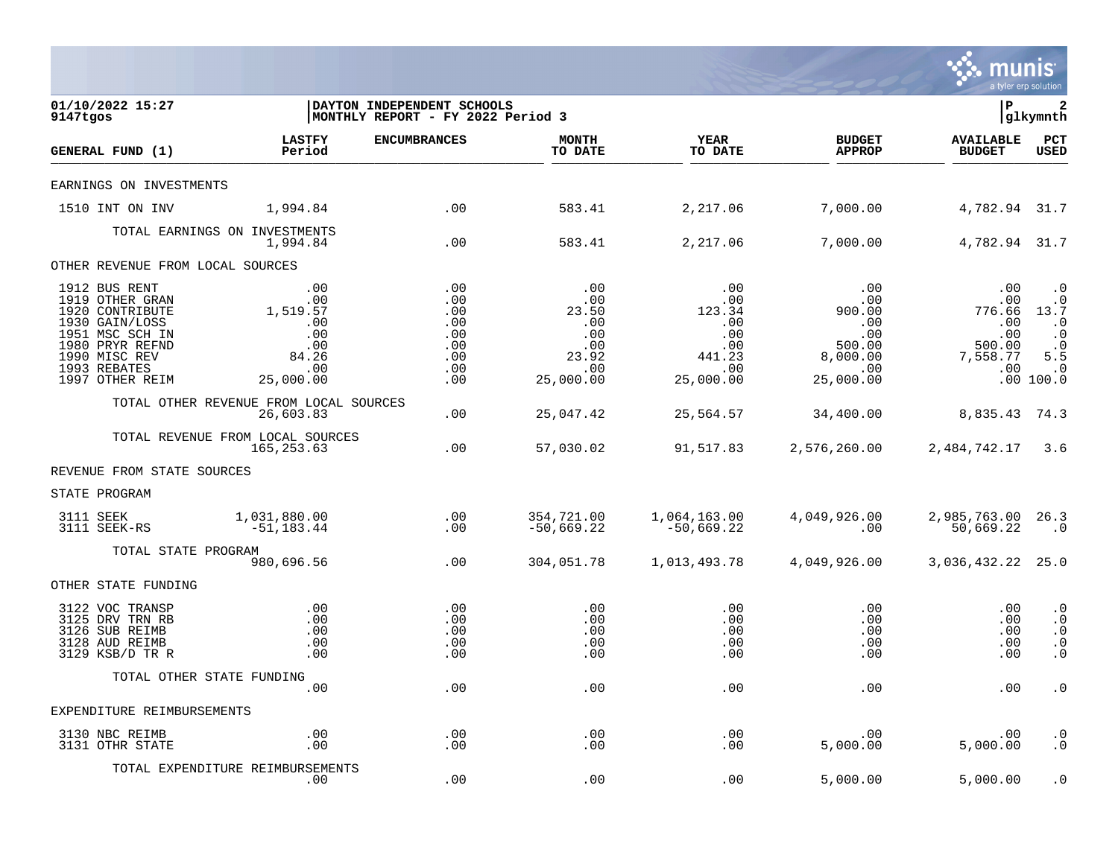

| 01/10/2022 15:27<br>9147tgos                                                                                                                                    |                                                                                                            | DAYTON INDEPENDENT SCHOOLS<br>MONTHLY REPORT - FY 2022 Period 3 |                                                                                   |                                                                                                                      |                                                                                             | l P                                                                  | $\mathbf{2}$<br> glkymnth                                                                      |
|-----------------------------------------------------------------------------------------------------------------------------------------------------------------|------------------------------------------------------------------------------------------------------------|-----------------------------------------------------------------|-----------------------------------------------------------------------------------|----------------------------------------------------------------------------------------------------------------------|---------------------------------------------------------------------------------------------|----------------------------------------------------------------------|------------------------------------------------------------------------------------------------|
| GENERAL FUND (1)                                                                                                                                                | <b>LASTFY</b><br>Period                                                                                    | <b>ENCUMBRANCES</b>                                             | <b>MONTH</b><br>TO DATE                                                           | <b>YEAR</b><br>TO DATE                                                                                               | <b>BUDGET</b><br><b>APPROP</b>                                                              | <b>AVAILABLE</b><br><b>BUDGET</b>                                    | PCT<br><b>USED</b>                                                                             |
| EARNINGS ON INVESTMENTS                                                                                                                                         |                                                                                                            |                                                                 |                                                                                   |                                                                                                                      |                                                                                             |                                                                      |                                                                                                |
| 1510 INT ON INV                                                                                                                                                 | 1,994.84                                                                                                   | $\sim$ 00                                                       | 583.41                                                                            | 2,217.06                                                                                                             | 7,000.00                                                                                    | 4,782.94 31.7                                                        |                                                                                                |
|                                                                                                                                                                 | TOTAL EARNINGS ON INVESTMENTS<br>1,994.84                                                                  | $\sim$ 00                                                       | 583.41                                                                            | 2,217.06                                                                                                             | 7,000.00                                                                                    | 4,782.94 31.7                                                        |                                                                                                |
| OTHER REVENUE FROM LOCAL SOURCES                                                                                                                                |                                                                                                            |                                                                 |                                                                                   |                                                                                                                      |                                                                                             |                                                                      |                                                                                                |
| 1912 BUS RENT<br>1919 OTHER GRAN<br>1920 CONTRIBUTE<br>1930 GAIN/LOSS<br>1951 MSC SCH IN<br>1980 PRYR REFND<br>1990 MISC REV<br>1993 REBATES<br>1997 OTHER REIM | .00<br>.00<br>1,519.57<br>.00<br>$\begin{array}{c} 0.00 \\ -0.00 \end{array}$<br>84.26<br>.00<br>25,000.00 | .00<br>.00<br>.00<br>.00<br>.00<br>.00<br>.00<br>.00<br>.00     | $\overline{00}$<br>.00<br>23.50<br>.00<br>.00<br>.00<br>23.92<br>.00<br>25,000.00 | .00<br>$\begin{array}{c} .00 \\ .00 \\ 123.34 \end{array}$<br>.00<br>.00<br>.00<br>.00<br>441.23<br>.00<br>25,000.00 | .00<br>00.<br>00.<br>00.00<br>.00<br>.00<br>.00<br>$500.00$<br>8,000.00<br>.00<br>25,000.00 | .00<br>.00<br>776.66 13.7<br>.00<br>.00<br>500.00<br>7,558.77<br>.00 | $\cdot$ 0<br>$\cdot$ 0<br>$\cdot$ 0<br>$\cdot$ 0<br>$\cdot$ 0<br>5.5<br>$\cdot$ 0<br>.00 100.0 |
|                                                                                                                                                                 | TOTAL OTHER REVENUE FROM LOCAL SOURCES<br>26,603.83                                                        | .00                                                             | 25,047.42                                                                         | 25,564.57                                                                                                            |                                                                                             | 34,400.00 8,835.43 74.3                                              |                                                                                                |
|                                                                                                                                                                 | TOTAL REVENUE FROM LOCAL SOURCES<br>165, 253.63                                                            | .00                                                             | 57,030.02                                                                         |                                                                                                                      | 91,517.83 2,576,260.00 2,484,742.17 3.6                                                     |                                                                      |                                                                                                |
| REVENUE FROM STATE SOURCES                                                                                                                                      |                                                                                                            |                                                                 |                                                                                   |                                                                                                                      |                                                                                             |                                                                      |                                                                                                |
| STATE PROGRAM                                                                                                                                                   |                                                                                                            |                                                                 |                                                                                   |                                                                                                                      |                                                                                             |                                                                      |                                                                                                |
| 3111 SEEK<br>3111 SEEK-RS                                                                                                                                       | 1,031,880.00<br>$-51, 183.44$                                                                              | $\begin{array}{c} . & 0 & 0 \\ . & 0 & 0 \end{array}$           | 354,721.00<br>$-50,669.22$                                                        | 1,064,163.00<br>-50,669.22                                                                                           | 4,049,926.00<br>$\sim$ 00                                                                   | 2,985,763.00 26.3<br>50,669.22                                       | $\cdot$ 0                                                                                      |
| TOTAL STATE PROGRAM                                                                                                                                             | 980,696.56                                                                                                 | .00                                                             | 304,051.78                                                                        | 1,013,493.78                                                                                                         | 4,049,926.00                                                                                | 3,036,432.22 25.0                                                    |                                                                                                |
| OTHER STATE FUNDING                                                                                                                                             |                                                                                                            |                                                                 |                                                                                   |                                                                                                                      |                                                                                             |                                                                      |                                                                                                |
| 3122 VOC TRANSP<br>3125 DRV TRN RB<br>3126 SUB REIMB<br>3128 AUD REIMB<br>3129 KSB/D TR R                                                                       | .00<br>.00<br>.00<br>.00<br>.00                                                                            | .00<br>.00<br>.00<br>.00<br>.00                                 | .00<br>.00<br>.00<br>.00<br>.00                                                   | $.00 \,$<br>.00<br>.00<br>.00<br>.00                                                                                 | $.00 \,$<br>.00<br>.00<br>.00<br>.00                                                        | .00<br>.00<br>.00<br>.00<br>.00                                      | $\cdot$ 0<br>$\cdot$ 0<br>$\cdot$ 0<br>$\cdot$ 0<br>$\cdot$ 0                                  |
|                                                                                                                                                                 | TOTAL OTHER STATE FUNDING<br>.00                                                                           | .00                                                             | .00                                                                               | $.00 \,$                                                                                                             | $.00 \,$                                                                                    | .00                                                                  | $\cdot$ 0                                                                                      |
| EXPENDITURE REIMBURSEMENTS                                                                                                                                      |                                                                                                            |                                                                 |                                                                                   |                                                                                                                      |                                                                                             |                                                                      |                                                                                                |
| 3130 NBC REIMB<br>3131 OTHR STATE                                                                                                                               | .00<br>.00                                                                                                 | .00<br>.00                                                      | .00<br>.00                                                                        | .00<br>.00                                                                                                           | $.00 \,$<br>5,000.00                                                                        | $.00 \,$<br>5,000.00                                                 | $\cdot$ 0<br>$\cdot$ 0                                                                         |
|                                                                                                                                                                 | TOTAL EXPENDITURE REIMBURSEMENTS<br>.00                                                                    | .00                                                             | .00                                                                               | .00                                                                                                                  | 5,000.00                                                                                    | 5,000.00                                                             | $\cdot$ 0                                                                                      |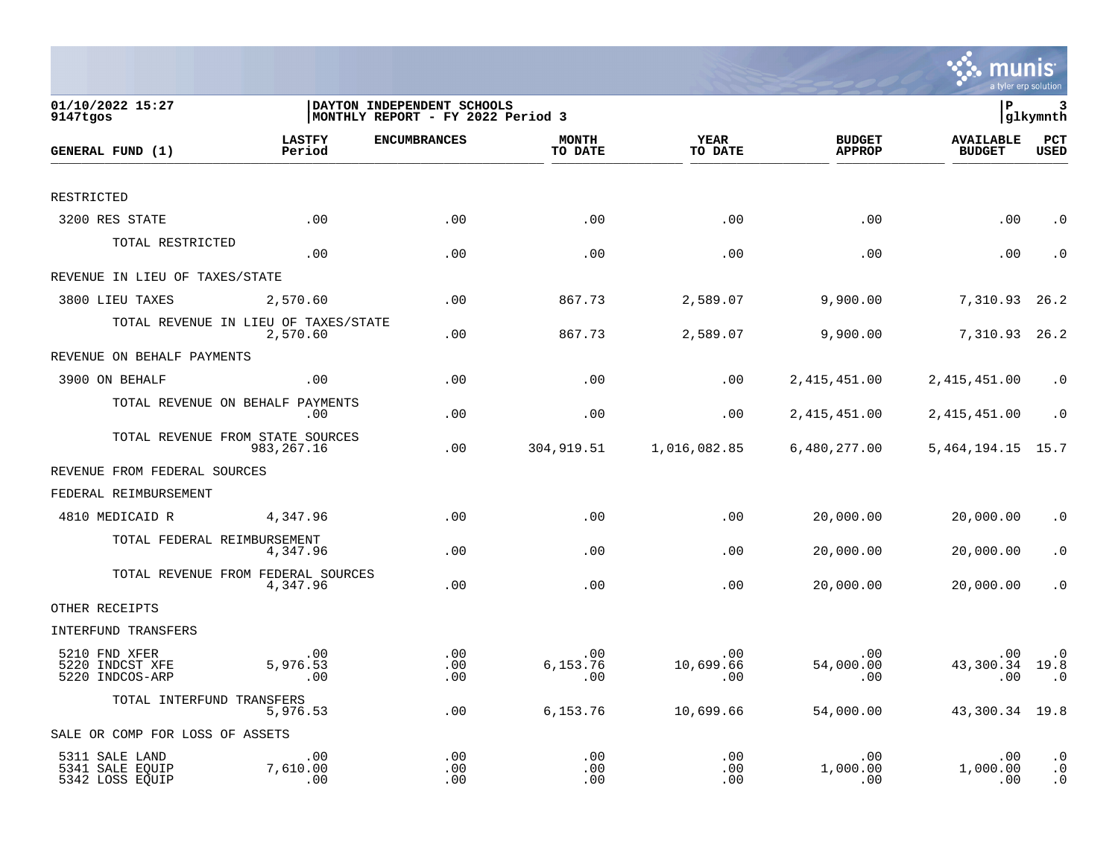

| 01/10/2022 15:27<br>9147tgos                         |                                                  | DAYTON INDEPENDENT SCHOOLS<br>MONTHLY REPORT - FY 2022 Period 3 |                         |                         |                                | lР                                | 3<br> glkymnth                      |
|------------------------------------------------------|--------------------------------------------------|-----------------------------------------------------------------|-------------------------|-------------------------|--------------------------------|-----------------------------------|-------------------------------------|
| GENERAL FUND (1)                                     | <b>LASTFY</b><br>Period                          | <b>ENCUMBRANCES</b>                                             | <b>MONTH</b><br>TO DATE | YEAR<br>TO DATE         | <b>BUDGET</b><br><b>APPROP</b> | <b>AVAILABLE</b><br><b>BUDGET</b> | PCT<br><b>USED</b>                  |
|                                                      |                                                  |                                                                 |                         |                         |                                |                                   |                                     |
| RESTRICTED                                           |                                                  |                                                                 |                         |                         |                                |                                   |                                     |
| 3200 RES STATE                                       | .00                                              | .00                                                             | .00                     | .00                     | .00                            | .00                               | $\cdot$ 0                           |
| TOTAL RESTRICTED                                     | .00                                              | .00                                                             | .00                     | .00                     | .00                            | .00                               | $\cdot$ 0                           |
| REVENUE IN LIEU OF TAXES/STATE                       |                                                  |                                                                 |                         |                         |                                |                                   |                                     |
| 3800 LIEU TAXES                                      | 2,570.60                                         | .00                                                             | 867.73                  | 2,589.07                | 9,900.00                       | 7,310.93                          | 26.2                                |
|                                                      | TOTAL REVENUE IN LIEU OF TAXES/STATE<br>2,570.60 | .00                                                             | 867.73                  | 2,589.07                | 9,900.00                       | 7,310.93                          | 26.2                                |
| REVENUE ON BEHALF PAYMENTS                           |                                                  |                                                                 |                         |                         |                                |                                   |                                     |
| 3900 ON BEHALF                                       | .00                                              | .00                                                             | .00                     | .00                     | 2, 415, 451.00                 | 2, 415, 451.00                    | $\cdot$ 0                           |
|                                                      | TOTAL REVENUE ON BEHALF PAYMENTS<br>.00.         | .00                                                             | .00                     | .00                     | 2, 415, 451.00                 | 2,415,451.00                      | $\cdot$ 0                           |
|                                                      | TOTAL REVENUE FROM STATE SOURCES<br>983, 267. 16 | .00                                                             | 304,919.51              | 1,016,082.85            | 6,480,277.00                   | 5,464,194.15                      | 15.7                                |
| REVENUE FROM FEDERAL SOURCES                         |                                                  |                                                                 |                         |                         |                                |                                   |                                     |
| FEDERAL REIMBURSEMENT                                |                                                  |                                                                 |                         |                         |                                |                                   |                                     |
| 4810 MEDICAID R                                      | 4,347.96                                         | .00                                                             | .00                     | .00                     | 20,000.00                      | 20,000.00                         | $\cdot$ 0                           |
| TOTAL FEDERAL REIMBURSEMENT                          | 4,347.96                                         | .00                                                             | .00                     | .00                     | 20,000.00                      | 20,000.00                         | . 0                                 |
|                                                      | TOTAL REVENUE FROM FEDERAL SOURCES<br>4,347.96   | .00                                                             | .00                     | .00                     | 20,000.00                      | 20,000.00                         | $\cdot$ 0                           |
| OTHER RECEIPTS                                       |                                                  |                                                                 |                         |                         |                                |                                   |                                     |
| INTERFUND TRANSFERS                                  |                                                  |                                                                 |                         |                         |                                |                                   |                                     |
| 5210 FND XFER<br>5220 INDCST XFE<br>5220 INDCOS-ARP  | .00<br>5,976.53<br>.00                           | .00<br>.00<br>.00                                               | .00<br>6,153.76<br>.00  | .00<br>10,699.66<br>.00 | .00<br>54,000.00<br>.00        | .00<br>43,300.34<br>.00           | $\cdot$ 0<br>19.8<br>$\cdot$ 0      |
| TOTAL INTERFUND TRANSFERS                            | 5,976.53                                         | .00                                                             | 6,153.76                | 10,699.66               | 54,000.00                      | 43,300.34 19.8                    |                                     |
| SALE OR COMP FOR LOSS OF ASSETS                      |                                                  |                                                                 |                         |                         |                                |                                   |                                     |
| 5311 SALE LAND<br>5341 SALE EQUIP<br>5342 LOSS EQUIP | .00<br>7,610.00<br>.00                           | .00<br>.00<br>.00                                               | .00<br>.00<br>.00       | .00<br>.00<br>.00       | .00<br>1,000.00<br>.00         | .00<br>1,000.00<br>.00            | $\cdot$ 0<br>$\cdot$ 0<br>$\cdot$ 0 |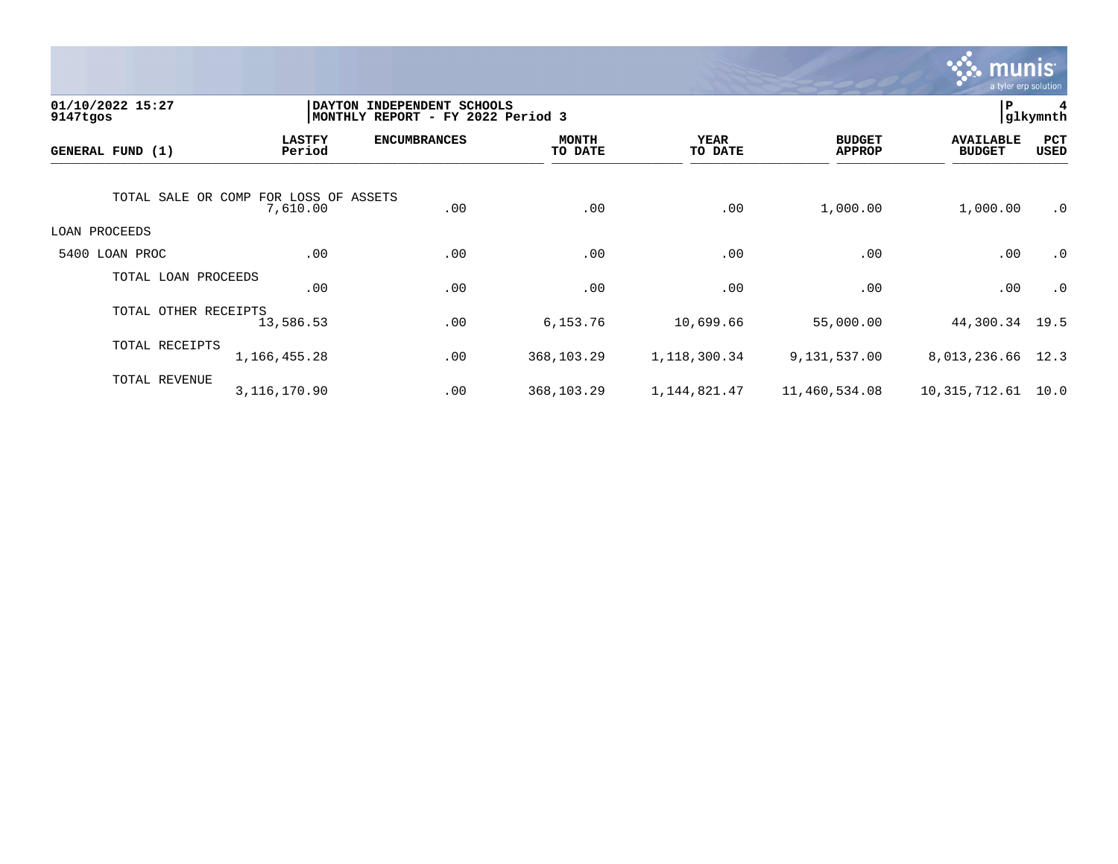

| 01/10/2022 15:27<br>9147tgos |                                                   | DAYTON INDEPENDENT SCHOOLS<br>MONTHLY REPORT - FY 2022 Period 3 |                         |                 |                                | ${\bf P}$                         | 4<br>glkymnth |
|------------------------------|---------------------------------------------------|-----------------------------------------------------------------|-------------------------|-----------------|--------------------------------|-----------------------------------|---------------|
| GENERAL FUND (1)             | <b>LASTFY</b><br>Period                           | <b>ENCUMBRANCES</b>                                             | <b>MONTH</b><br>TO DATE | YEAR<br>TO DATE | <b>BUDGET</b><br><b>APPROP</b> | <b>AVAILABLE</b><br><b>BUDGET</b> | PCT<br>USED   |
|                              | TOTAL SALE OR COMP FOR LOSS OF ASSETS<br>7,610.00 | .00                                                             | .00                     | .00             | 1,000.00                       | 1,000.00                          | $\cdot$ 0     |
| LOAN PROCEEDS                |                                                   |                                                                 |                         |                 |                                |                                   |               |
| 5400 LOAN PROC               | .00                                               | .00                                                             | .00                     | .00             | .00                            | .00                               | $\cdot$ 0     |
| TOTAL LOAN PROCEEDS          | .00                                               | .00                                                             | .00                     | .00             | .00                            | .00                               | $\cdot$ 0     |
| TOTAL OTHER RECEIPTS         | 13,586.53                                         | .00                                                             | 6,153.76                | 10,699.66       | 55,000.00                      | 44,300.34                         | 19.5          |
| TOTAL RECEIPTS               | 1,166,455.28                                      | .00                                                             | 368,103.29              | 1,118,300.34    | 9,131,537.00                   | 8,013,236.66                      | 12.3          |
| TOTAL REVENUE                | 3,116,170.90                                      | .00                                                             | 368,103.29              | 1, 144, 821. 47 | 11,460,534.08                  | 10, 315, 712.61                   | 10.0          |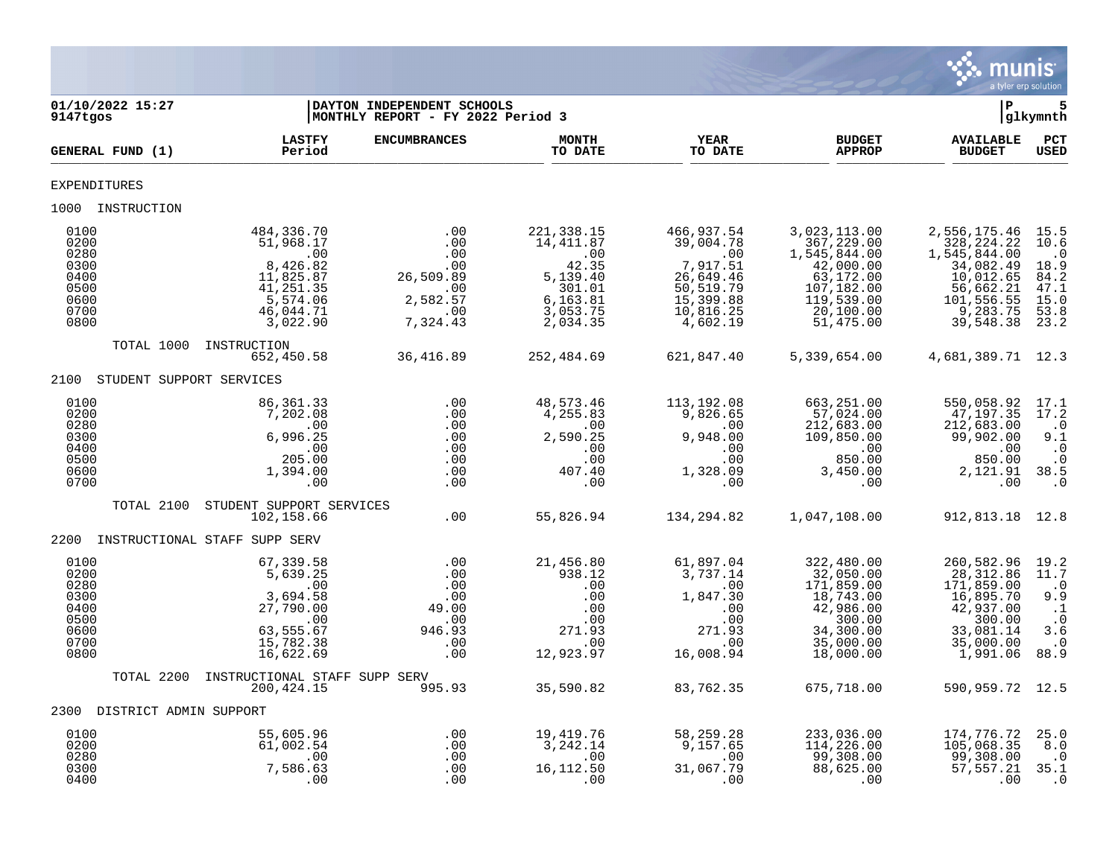

| 9147tgos                                                             | 01/10/2022 15:27            |                                                                                                            | DAYTON INDEPENDENT SCHOOLS<br>MONTHLY REPORT - FY 2022 Period 3              |                                                                                                    |                                                                                                            |                                                                                                                            | P                                                                                                                          | 5<br>glkymnth                                                                           |
|----------------------------------------------------------------------|-----------------------------|------------------------------------------------------------------------------------------------------------|------------------------------------------------------------------------------|----------------------------------------------------------------------------------------------------|------------------------------------------------------------------------------------------------------------|----------------------------------------------------------------------------------------------------------------------------|----------------------------------------------------------------------------------------------------------------------------|-----------------------------------------------------------------------------------------|
|                                                                      | GENERAL FUND (1)            | <b>LASTFY</b><br>Period                                                                                    | <b>ENCUMBRANCES</b>                                                          | <b>MONTH</b><br>TO DATE                                                                            | <b>YEAR</b><br>TO DATE                                                                                     | <b>BUDGET</b><br><b>APPROP</b>                                                                                             | <b>AVAILABLE</b><br><b>BUDGET</b>                                                                                          | PCT<br><b>USED</b>                                                                      |
| EXPENDITURES                                                         |                             |                                                                                                            |                                                                              |                                                                                                    |                                                                                                            |                                                                                                                            |                                                                                                                            |                                                                                         |
|                                                                      | 1000 INSTRUCTION            |                                                                                                            |                                                                              |                                                                                                    |                                                                                                            |                                                                                                                            |                                                                                                                            |                                                                                         |
| 0100<br>0200<br>0280<br>0300<br>0400<br>0500<br>0600<br>0700<br>0800 |                             | 484,336.70<br>51,968.17<br>.00<br>8,426.82<br>11,825.87<br>41, 251.35<br>5,574.06<br>46,044.71<br>3,022.90 | .00<br>.00<br>.00<br>.00<br>26,509.89<br>.00<br>2,582.57<br>.00<br>7,324.43  | 221, 338.15<br>14,411.87<br>.00<br>42.35<br>5,139.40<br>301.01<br>6,163.81<br>3,053.75<br>2,034.35 | 466,937.54<br>39,004.78<br>.00<br>7,917.51<br>26,649.46<br>50,519.79<br>15,399.88<br>10,816.25<br>4,602.19 | 3,023,113.00<br>367,229.00<br>1,545,844.00<br>42,000.00<br>63,172.00<br>107,182.00<br>119,539.00<br>20,100.00<br>51,475.00 | 2,556,175.46<br>328, 224. 22<br>1,545,844.00<br>34,082.49<br>10,012.65<br>56,662.21<br>101,556.55<br>9,283.75<br>39,548.38 | 15.5<br>10.6<br>$\cdot$ 0<br>18.9<br>84.2<br>47.1<br>15.0<br>53.8<br>23.2               |
|                                                                      | TOTAL 1000                  | INSTRUCTION<br>652,450.58                                                                                  | 36, 416.89                                                                   | 252,484.69                                                                                         | 621,847.40                                                                                                 | 5,339,654.00                                                                                                               | 4,681,389.71 12.3                                                                                                          |                                                                                         |
| 2100                                                                 | STUDENT SUPPORT SERVICES    |                                                                                                            |                                                                              |                                                                                                    |                                                                                                            |                                                                                                                            |                                                                                                                            |                                                                                         |
| 0100<br>0200<br>0280<br>0300<br>0400<br>0500<br>0600<br>0700         |                             | 86, 361. 33<br>7,202.08<br>$\overline{00}$<br>6,996.25<br>.00<br>205.00<br>1,394.00<br>.00                 | .00<br>.00<br>.00<br>.00<br>.00<br>.00<br>.00<br>.00                         | 48,573.46<br>4,255.83<br>.00<br>2,590.25<br>.00<br>.00<br>407.40<br>.00                            | 113,192.08<br>9,826.65<br>.00<br>9,948.00<br>.00<br>.00<br>1,328.09<br>.00                                 | 663,251.00<br>57,024.00<br>212,683.00<br>109,850.00<br>$\sim$ 00<br>850.00<br>3,450.00<br>.00                              | 550,058.92<br>47,197.35<br>212,683.00<br>99,902.00<br>$\sim 00$<br>850.00<br>2,121.91<br>.00                               | 17.1<br>17.2<br>$\cdot$ 0<br>9.1<br>$\cdot$ 0<br>$\cdot$ 0<br>38.5<br>.0                |
|                                                                      | TOTAL 2100                  | STUDENT SUPPORT SERVICES<br>102,158.66                                                                     | .00                                                                          | 55,826.94                                                                                          | 134,294.82                                                                                                 | 1,047,108.00                                                                                                               | 912,813.18 12.8                                                                                                            |                                                                                         |
| 2200                                                                 |                             | INSTRUCTIONAL STAFF SUPP SERV                                                                              |                                                                              |                                                                                                    |                                                                                                            |                                                                                                                            |                                                                                                                            |                                                                                         |
| 0100<br>0200<br>0280<br>0300<br>0400<br>0500<br>0600<br>0700<br>0800 |                             | 67,339.58<br>5,639.25<br>.00<br>3,694.58<br>27,790.00<br>.00<br>63,555.67<br>15,782.38<br>16,622.69        | $\overline{00}$<br>.00<br>.00<br>.00<br>49.00<br>.00<br>946.93<br>.00<br>.00 | 21,456.80<br>938.12<br>.00<br>.00<br>.00<br>.00<br>271.93<br>.00<br>12,923.97                      | 61,897.04<br>3,737.14<br>.00<br>1,847.30<br>.00<br>.00<br>271.93<br>.00<br>16,008.94                       | 322,480.00<br>32,050.00<br>171,859.00<br>18,743.00<br>42,986.00<br>300.00<br>34,300.00<br>35,000.00<br>18,000.00           | 260,582.96<br>28, 312.86<br>171,859.00<br>16,895.70<br>42,937.00<br>300.00<br>33,081.14<br>35,000.00<br>1,991.06           | 19.2<br>11.7<br>$\cdot$ 0<br>9.9<br>$\ldots$ 1<br>$\cdot$ 0<br>3.6<br>$\cdot$ 0<br>88.9 |
|                                                                      | TOTAL 2200                  | INSTRUCTIONAL STAFF SUPP SERV<br>200, 424. 15                                                              | 995.93                                                                       | 35,590.82                                                                                          | 83,762.35                                                                                                  | 675,718.00                                                                                                                 | 590.959.72 12.5                                                                                                            |                                                                                         |
|                                                                      | 2300 DISTRICT ADMIN SUPPORT |                                                                                                            |                                                                              |                                                                                                    |                                                                                                            |                                                                                                                            |                                                                                                                            |                                                                                         |
| 0100<br>0200<br>0280<br>0300<br>0400                                 |                             | 55,605.96<br>61,002.54<br>.00<br>7,586.63<br>.00                                                           | .00<br>.00<br>.00<br>.00<br>.00                                              | 19,419.76<br>3,242.14<br>.00<br>16,112.50<br>.00                                                   | 58,259.28<br>9,157.65<br>$\sim$ 00<br>31,067.79<br>.00                                                     | 233,036.00<br>114,226.00<br>99,308.00<br>88,625.00<br>.00                                                                  | 174,776.72<br>105,068.35<br>99,308.00<br>57,557.21<br>.00                                                                  | 25.0<br>8.0<br>$\cdot$ 0<br>35.1<br>.0                                                  |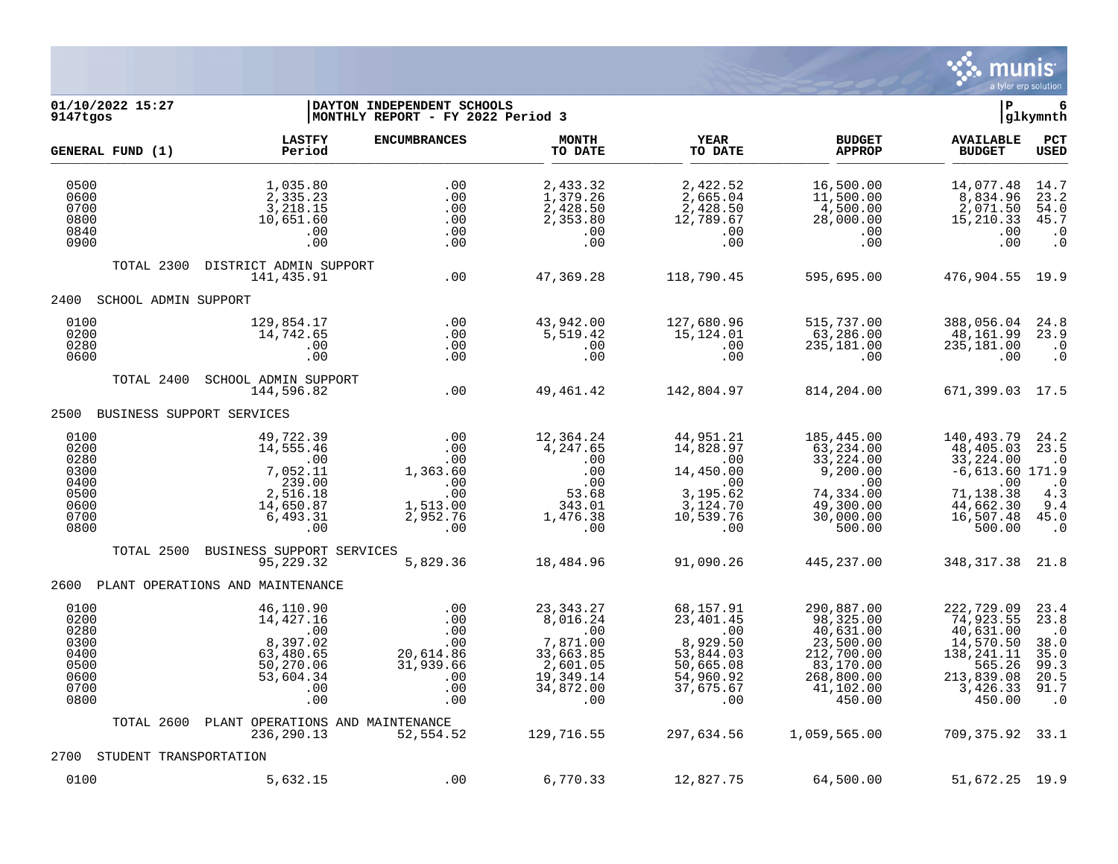

# **01/10/2022 15:27 |DAYTON INDEPENDENT SCHOOLS |P 6 9147tgos |MONTHLY REPORT - FY 2022 Period 3 |glkymnth**

|                                                                      | GENERAL FUND (1)       | <b>LASTFY</b><br>Period                                                                          | <b>ENCUMBRANCES</b>                                                        | <b>MONTH</b><br>TO DATE                                                                              | <b>YEAR</b><br>TO DATE                                                                               | <b>BUDGET</b><br><b>APPROP</b>                                                                                    | <b>AVAILABLE</b><br><b>BUDGET</b>                                                                                  | PCT<br><b>USED</b>                                                             |
|----------------------------------------------------------------------|------------------------|--------------------------------------------------------------------------------------------------|----------------------------------------------------------------------------|------------------------------------------------------------------------------------------------------|------------------------------------------------------------------------------------------------------|-------------------------------------------------------------------------------------------------------------------|--------------------------------------------------------------------------------------------------------------------|--------------------------------------------------------------------------------|
| 0500<br>0600<br>0700<br>0800<br>0840<br>0900                         |                        | 1,035.80<br>2,335.23<br>3,218.15<br>10,651.60<br>.00<br>.00                                      | .00<br>.00<br>.00<br>.00<br>.00<br>.00                                     | 2,433.32<br>1,379.26<br>2,428.50<br>2,353.80<br>.00<br>.00                                           | 2,422.52<br>2,665.04<br>2,428.50<br>12,789.67<br>.00<br>.00                                          | 16,500.00<br>11,500.00<br>4,500.00<br>28,000.00<br>.00<br>.00                                                     | 14,077.48<br>8,834.96<br>2,071.50<br>15, 210.33<br>.00<br>.00                                                      | 14.7<br>23.2<br>54.0<br>45.7<br>$\cdot$ 0<br>$\cdot$ 0                         |
|                                                                      | TOTAL 2300             | DISTRICT ADMIN SUPPORT<br>141,435.91                                                             | .00                                                                        | 47,369.28                                                                                            | 118,790.45                                                                                           | 595,695.00                                                                                                        | 476,904.55                                                                                                         | 19.9                                                                           |
| 2400                                                                 | SCHOOL ADMIN SUPPORT   |                                                                                                  |                                                                            |                                                                                                      |                                                                                                      |                                                                                                                   |                                                                                                                    |                                                                                |
| 0100<br>0200<br>0280<br>0600                                         |                        | 129,854.17<br>14,742.65<br>.00<br>.00                                                            | .00<br>.00<br>.00<br>.00                                                   | 43,942.00<br>5,519.42<br>.00<br>.00                                                                  | 127,680.96<br>15,124.01<br>.00<br>.00                                                                | 515,737.00<br>63,286.00<br>235,181.00<br>.00                                                                      | 388,056.04<br>48,161.99<br>235,181.00<br>.00                                                                       | 24.8<br>23.9<br>$\cdot$ 0<br>$\cdot$ 0                                         |
|                                                                      | TOTAL 2400             | SCHOOL ADMIN SUPPORT<br>144,596.82                                                               | .00                                                                        | 49,461.42                                                                                            | 142,804.97                                                                                           | 814,204.00                                                                                                        | 671,399.03                                                                                                         | 17.5                                                                           |
| 2500                                                                 |                        | BUSINESS SUPPORT SERVICES                                                                        |                                                                            |                                                                                                      |                                                                                                      |                                                                                                                   |                                                                                                                    |                                                                                |
| 0100<br>0200<br>0280<br>0300<br>0400<br>0500<br>0600<br>0700<br>0800 |                        | 49,722.39<br>14,555.46<br>.00<br>7,052.11<br>239.00<br>2,516.18<br>14,650.87<br>6,493.31<br>.00  | .00<br>.00<br>.00<br>1,363.60<br>.00<br>.00<br>1,513.00<br>2,952.76<br>.00 | 12,364.24<br>4,247.65<br>.00<br>.00<br>.00<br>53.68<br>343.01<br>1,476.38<br>.00                     | 44,951.21<br>14,828.97<br>.00<br>14,450.00<br>.00<br>3,195.62<br>3,124.70<br>10,539.76<br>.00        | 185,445.00<br>63, 234.00<br>33, 224.00<br>9,200.00<br>.00<br>74,334.00<br>49,300.00<br>30,000.00<br>500.00        | 140,493.79<br>48,405.03<br>33, 224.00<br>$-6,613.60$ 171.9<br>.00<br>71,138.38<br>44,662.30<br>16,507.48<br>500.00 | 24.2<br>23.5<br>$\cdot$ 0<br>$\cdot$ 0<br>4.3<br>9.4<br>45.0<br>$\cdot$ 0      |
|                                                                      | TOTAL 2500             | BUSINESS SUPPORT SERVICES<br>95, 229.32                                                          | 5,829.36                                                                   | 18,484.96                                                                                            | 91,090.26                                                                                            | 445,237.00                                                                                                        | 348, 317.38                                                                                                        | 21.8                                                                           |
| 2600                                                                 |                        | PLANT OPERATIONS AND MAINTENANCE                                                                 |                                                                            |                                                                                                      |                                                                                                      |                                                                                                                   |                                                                                                                    |                                                                                |
| 0100<br>0200<br>0280<br>0300<br>0400<br>0500<br>0600<br>0700<br>0800 |                        | 46,110.90<br>14, 427. 16<br>.00<br>8,397.02<br>63,480.65<br>50,270.06<br>53,604.34<br>.00<br>.00 | .00<br>.00<br>.00<br>.00<br>20,614.86<br>31,939.66<br>.00<br>.00<br>.00    | 23, 343. 27<br>8,016.24<br>.00<br>7,871.00<br>33,663.85<br>2,601.05<br>19,349.14<br>34,872.00<br>.00 | 68,157.91<br>23,401.45<br>.00<br>8,929.50<br>53,844.03<br>50,665.08<br>54,960.92<br>37,675.67<br>.00 | 290,887.00<br>98,325.00<br>40,631.00<br>23,500.00<br>212,700.00<br>83,170.00<br>268,800.00<br>41,102.00<br>450.00 | 222,729.09<br>74,923.55<br>40,631.00<br>14,570.50<br>138,241.11<br>565.26<br>213,839.08<br>3,426.33<br>450.00      | 23.4<br>23.8<br>$\cdot$ 0<br>38.0<br>35.0<br>99.3<br>20.5<br>91.7<br>$\cdot$ 0 |
|                                                                      | TOTAL 2600             | PLANT OPERATIONS AND MAINTENANCE<br>236,290.13                                                   | 52,554.52                                                                  | 129,716.55                                                                                           | 297,634.56                                                                                           | 1,059,565.00                                                                                                      | 709,375.92                                                                                                         | 33.1                                                                           |
| 2700                                                                 | STUDENT TRANSPORTATION |                                                                                                  |                                                                            |                                                                                                      |                                                                                                      |                                                                                                                   |                                                                                                                    |                                                                                |
| 0100                                                                 |                        | 5,632.15                                                                                         | .00                                                                        | 6,770.33                                                                                             | 12,827.75                                                                                            | 64,500.00                                                                                                         | 51,672.25                                                                                                          | 19.9                                                                           |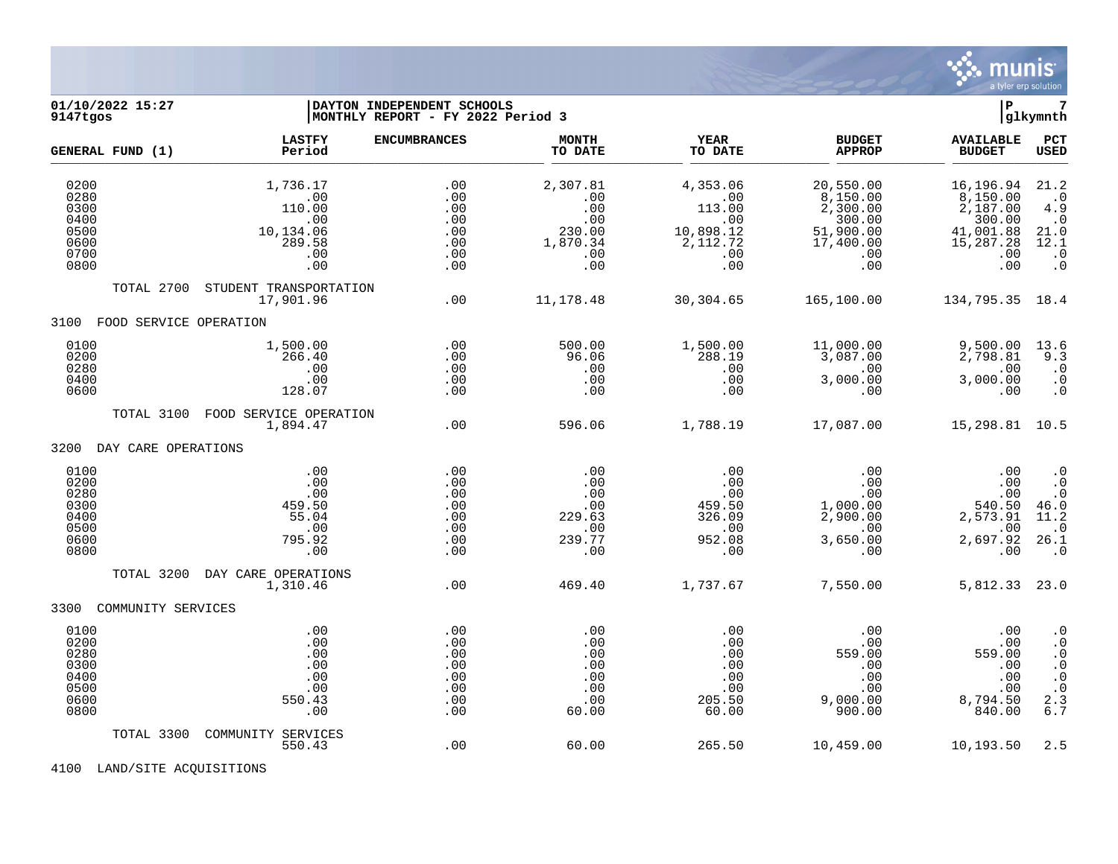

#### **01/10/2022 15:27 |DAYTON INDEPENDENT SCHOOLS |P 7 9147tgos |MONTHLY REPORT - FY 2022 Period 3 |glkymnth**

| GENERAL FUND (1)                                             |                        | <b>LASTFY</b><br>Period                                               | <b>ENCUMBRANCES</b>                                  | <b>MONTH</b><br>TO DATE                                           | <b>YEAR</b><br>TO DATE                                                  | <b>BUDGET</b><br><b>APPROP</b>                                                      | <b>AVAILABLE</b><br><b>BUDGET</b>                                                   | PCT<br>USED                                                                                                                                 |
|--------------------------------------------------------------|------------------------|-----------------------------------------------------------------------|------------------------------------------------------|-------------------------------------------------------------------|-------------------------------------------------------------------------|-------------------------------------------------------------------------------------|-------------------------------------------------------------------------------------|---------------------------------------------------------------------------------------------------------------------------------------------|
| 0200<br>0280<br>0300<br>0400<br>0500<br>0600<br>0700<br>0800 |                        | 1,736.17<br>.00<br>110.00<br>.00<br>10,134.06<br>289.58<br>.00<br>.00 | .00<br>.00<br>.00<br>.00<br>.00<br>.00<br>.00<br>.00 | 2,307.81<br>.00<br>.00<br>.00<br>230.00<br>1,870.34<br>.00<br>.00 | 4,353.06<br>.00<br>113.00<br>.00<br>10,898.12<br>2,112.72<br>.00<br>.00 | 20,550.00<br>8,150.00<br>2,300.00<br>300.00<br>51,900.00<br>17,400.00<br>.00<br>.00 | 16,196.94<br>8,150.00<br>2,187.00<br>300.00<br>41,001.88<br>15,287.28<br>.00<br>.00 | 21.2<br>$\cdot$ 0<br>4.9<br>$\cdot$ 0<br>21.0<br>12.1<br>$\cdot$ 0<br>$\ddot{0}$                                                            |
|                                                              | TOTAL 2700             | STUDENT TRANSPORTATION<br>17,901.96                                   | .00                                                  | 11,178.48                                                         | 30,304.65                                                               | 165,100.00                                                                          | 134,795.35 18.4                                                                     |                                                                                                                                             |
| 3100                                                         | FOOD SERVICE OPERATION |                                                                       |                                                      |                                                                   |                                                                         |                                                                                     |                                                                                     |                                                                                                                                             |
| 0100<br>0200<br>0280<br>0400<br>0600                         |                        | 1,500.00<br>266.40<br>.00<br>.00<br>128.07                            | .00<br>.00<br>.00<br>.00<br>.00                      | 500.00<br>96.06<br>.00<br>.00<br>.00                              | 1,500.00<br>288.19<br>.00<br>.00<br>.00                                 | 11,000.00<br>3,087.00<br>.00<br>3,000.00<br>.00                                     | 9,500.00<br>2,798.81<br>.00<br>3,000.00<br>.00                                      | 13.6<br>9.3<br>$\cdot$ 0<br>$\cdot$ 0<br>$\ddot{0}$                                                                                         |
|                                                              | TOTAL 3100             | FOOD SERVICE OPERATION<br>1,894.47                                    | .00                                                  | 596.06                                                            | 1,788.19                                                                | 17,087.00                                                                           | 15,298.81 10.5                                                                      |                                                                                                                                             |
| 3200                                                         | DAY CARE OPERATIONS    |                                                                       |                                                      |                                                                   |                                                                         |                                                                                     |                                                                                     |                                                                                                                                             |
| 0100<br>0200<br>0280<br>0300<br>0400<br>0500<br>0600<br>0800 |                        | .00<br>.00<br>.00<br>459.50<br>55.04<br>.00<br>795.92<br>.00          | .00<br>.00<br>.00<br>.00<br>.00<br>.00<br>.00<br>.00 | .00<br>.00<br>.00<br>.00<br>229.63<br>.00<br>239.77<br>.00        | .00<br>.00<br>.00<br>459.50<br>326.09<br>.00<br>952.08<br>.00           | .00<br>.00<br>.00<br>1,000.00<br>2,900.00<br>.00<br>3,650.00<br>.00                 | .00<br>.00<br>.00<br>540.50<br>2,573.91<br>.00<br>2,697.92<br>.00                   | $\cdot$ 0<br>$\overline{0}$<br>$\cdot$ 0<br>46.0<br>11.2<br>$\cdot$ 0<br>26.1<br>$\cdot$ .0                                                 |
|                                                              | TOTAL 3200             | DAY CARE OPERATIONS<br>1,310.46                                       | .00                                                  | 469.40                                                            | 1,737.67                                                                | 7,550.00                                                                            | 5,812.33 23.0                                                                       |                                                                                                                                             |
| 3300                                                         | COMMUNITY SERVICES     |                                                                       |                                                      |                                                                   |                                                                         |                                                                                     |                                                                                     |                                                                                                                                             |
| 0100<br>0200<br>0280<br>0300<br>0400<br>0500<br>0600<br>0800 |                        | .00<br>.00<br>.00<br>.00<br>.00<br>.00<br>550.43<br>.00               | .00<br>.00<br>.00<br>.00<br>.00<br>.00<br>.00<br>.00 | .00<br>.00<br>.00<br>.00<br>.00<br>.00<br>.00<br>60.00            | .00<br>.00<br>.00<br>.00<br>.00<br>.00<br>205.50<br>60.00               | .00<br>.00<br>559.00<br>.00<br>.00<br>.00<br>9,000.00<br>900.00                     | .00<br>.00<br>559.00<br>.00<br>.00<br>.00<br>8,794.50<br>840.00                     | $\cdot$ 0<br>$\cdot$ 0<br>$\cdot$ 0<br>$\begin{smallmatrix} 0\\ \cdot \end{smallmatrix}$<br>$\begin{array}{c} .0 \\ 2.3 \\ 6.7 \end{array}$ |
|                                                              | TOTAL 3300             | COMMUNITY SERVICES<br>550.43                                          | .00                                                  | 60.00                                                             | 265.50                                                                  | 10,459.00                                                                           | 10,193.50                                                                           | 2.5                                                                                                                                         |

4100 LAND/SITE ACQUISITIONS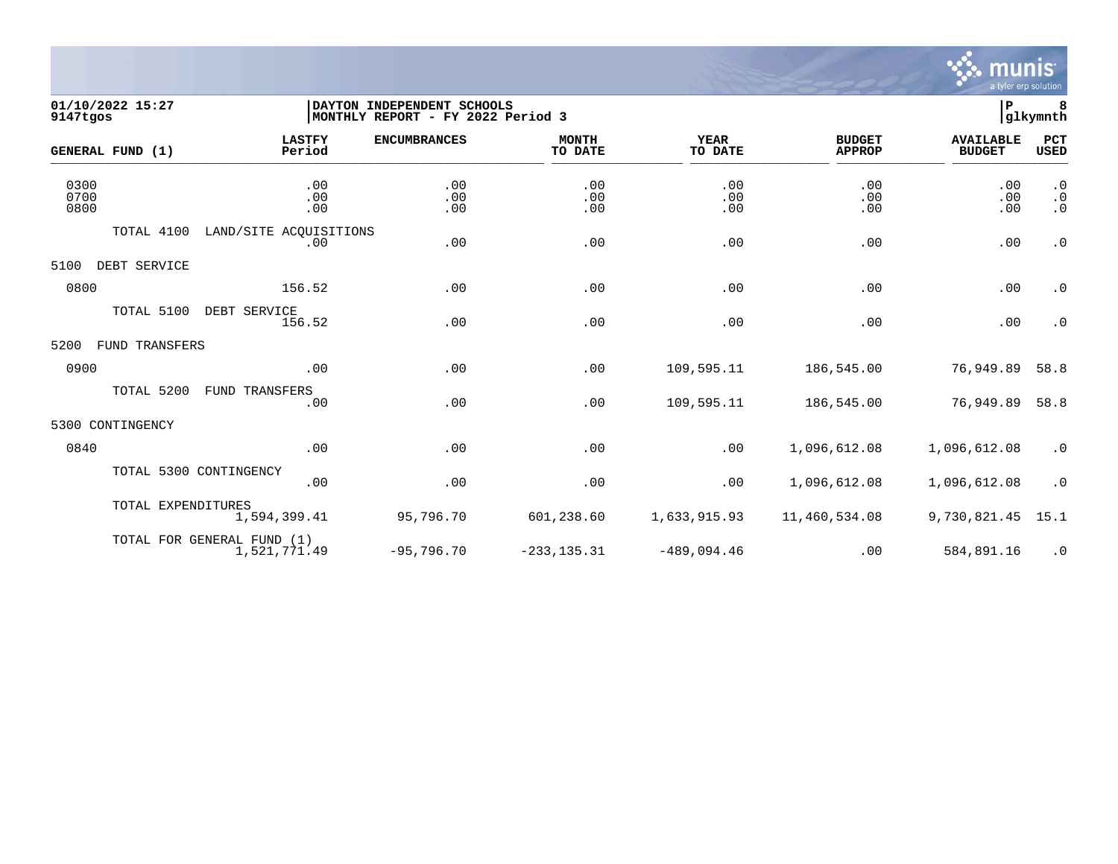

## **01/10/2022 15:27 |DAYTON INDEPENDENT SCHOOLS |P 8 9147tgos |MONTHLY REPORT - FY 2022 Period 3 |glkymnth**

| GENERAL FUND (1)       | <b>LASTFY</b><br>Period                    | <b>ENCUMBRANCES</b> | <b>MONTH</b><br>TO DATE | YEAR<br>TO DATE   | <b>BUDGET</b><br><b>APPROP</b> | <b>AVAILABLE</b><br><b>BUDGET</b> | PCT<br><b>USED</b>                  |
|------------------------|--------------------------------------------|---------------------|-------------------------|-------------------|--------------------------------|-----------------------------------|-------------------------------------|
| 0300<br>0700<br>0800   | .00<br>.00<br>.00                          | .00<br>.00<br>.00   | .00<br>.00<br>.00       | .00<br>.00<br>.00 | .00<br>.00<br>.00              | .00<br>.00<br>.00                 | $\cdot$ 0<br>$\cdot$ 0<br>$\cdot$ 0 |
| TOTAL 4100             | LAND/SITE ACOUISITIONS<br>.00              | .00                 | .00                     | .00               | .00                            | .00                               | $\boldsymbol{\cdot}$ 0              |
| DEBT SERVICE<br>5100   |                                            |                     |                         |                   |                                |                                   |                                     |
| 0800                   | 156.52                                     | .00                 | .00                     | .00               | .00                            | .00                               | $\cdot$ 0                           |
| TOTAL 5100             | DEBT SERVICE<br>156.52                     | .00                 | .00                     | .00               | .00                            | .00                               | $\cdot$ 0                           |
| 5200<br>FUND TRANSFERS |                                            |                     |                         |                   |                                |                                   |                                     |
| 0900                   | .00                                        | .00                 | .00                     | 109,595.11        | 186,545.00                     | 76,949.89                         | 58.8                                |
| TOTAL 5200             | FUND TRANSFERS<br>.00                      | .00                 | .00                     | 109,595.11        | 186,545.00                     | 76,949.89                         | 58.8                                |
| 5300 CONTINGENCY       |                                            |                     |                         |                   |                                |                                   |                                     |
| 0840                   | .00                                        | .00                 | .00                     | .00               | 1,096,612.08                   | 1,096,612.08                      | $\cdot$ 0                           |
|                        | TOTAL 5300 CONTINGENCY<br>.00              | .00                 | .00                     | .00               | 1,096,612.08                   | 1,096,612.08                      | $\cdot$ 0                           |
|                        | TOTAL EXPENDITURES<br>1,594,399.41         | 95,796.70           | 601,238.60              | 1,633,915.93      | 11,460,534.08                  | 9,730,821.45                      | 15.1                                |
|                        | TOTAL FOR GENERAL FUND (1)<br>1,521,771.49 | $-95,796.70$        | $-233, 135.31$          | $-489,094.46$     | .00                            | 584,891.16                        | $\cdot$ 0                           |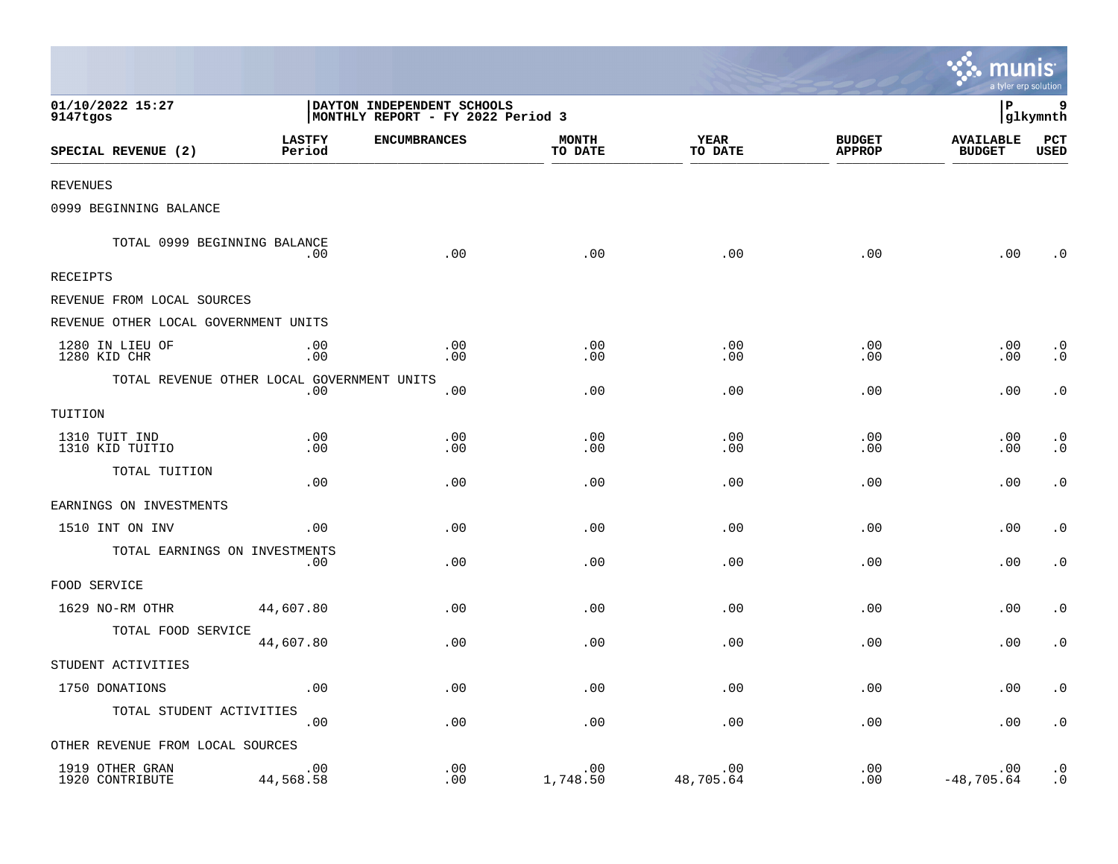|                                            |                         |                                                                 |                         |                        |                                | <b>A.MUNIS</b><br>a tyler erp solution |                        |
|--------------------------------------------|-------------------------|-----------------------------------------------------------------|-------------------------|------------------------|--------------------------------|----------------------------------------|------------------------|
| 01/10/2022 15:27<br>9147tgos               |                         | DAYTON INDEPENDENT SCHOOLS<br>MONTHLY REPORT - FY 2022 Period 3 |                         |                        |                                | l P                                    | 9<br>glkymnth          |
| SPECIAL REVENUE (2)                        | <b>LASTFY</b><br>Period | <b>ENCUMBRANCES</b>                                             | <b>MONTH</b><br>TO DATE | <b>YEAR</b><br>TO DATE | <b>BUDGET</b><br><b>APPROP</b> | <b>AVAILABLE</b><br><b>BUDGET</b>      | PCT<br><b>USED</b>     |
| <b>REVENUES</b>                            |                         |                                                                 |                         |                        |                                |                                        |                        |
| 0999 BEGINNING BALANCE                     |                         |                                                                 |                         |                        |                                |                                        |                        |
| TOTAL 0999 BEGINNING BALANCE               | .00                     | .00                                                             | .00                     | .00                    | .00                            | .00                                    | . 0                    |
| RECEIPTS                                   |                         |                                                                 |                         |                        |                                |                                        |                        |
| REVENUE FROM LOCAL SOURCES                 |                         |                                                                 |                         |                        |                                |                                        |                        |
| REVENUE OTHER LOCAL GOVERNMENT UNITS       |                         |                                                                 |                         |                        |                                |                                        |                        |
| 1280 IN LIEU OF<br>1280 KID CHR            | .00<br>.00              | .00<br>.00                                                      | .00<br>.00              | .00<br>.00             | .00<br>.00                     | .00<br>.00                             | $\cdot$ 0<br>$\cdot$ 0 |
| TOTAL REVENUE OTHER LOCAL GOVERNMENT UNITS | .00                     | .00                                                             | .00                     | .00                    | .00                            | .00                                    | $\cdot$ 0              |
| TUITION                                    |                         |                                                                 |                         |                        |                                |                                        |                        |
| 1310 TUIT IND<br>1310 KID TUITIO           | .00<br>.00              | .00<br>.00                                                      | .00<br>.00              | .00<br>.00             | .00<br>.00                     | .00<br>.00                             | $\cdot$ 0<br>$\cdot$ 0 |
| TOTAL TUITION                              | .00                     | .00                                                             | .00                     | .00                    | .00                            | .00                                    | $\cdot$ 0              |
| EARNINGS ON INVESTMENTS                    |                         |                                                                 |                         |                        |                                |                                        |                        |
| 1510 INT ON INV                            | .00                     | .00                                                             | .00                     | .00                    | .00                            | .00                                    | $\cdot$ 0              |
| TOTAL EARNINGS ON INVESTMENTS              | .00                     | .00                                                             | .00                     | .00                    | .00                            | .00                                    | $\cdot$ 0              |
| FOOD SERVICE                               |                         |                                                                 |                         |                        |                                |                                        |                        |
| 1629 NO-RM OTHR                            | 44,607.80               | .00                                                             | .00                     | .00                    | .00                            | .00                                    | $\cdot$ 0              |
| TOTAL FOOD SERVICE                         | 44,607.80               | .00                                                             | .00                     | .00                    | .00                            | .00                                    | $\cdot$ 0              |
| STUDENT ACTIVITIES                         |                         |                                                                 |                         |                        |                                |                                        |                        |
| 1750 DONATIONS                             | .00                     | .00                                                             | .00                     | .00                    | .00                            | .00                                    | $\cdot$ 0              |
| TOTAL STUDENT ACTIVITIES                   | .00                     | .00                                                             | .00                     | .00                    | .00                            | .00                                    | $\boldsymbol{\cdot}$ 0 |
| OTHER REVENUE FROM LOCAL SOURCES           |                         |                                                                 |                         |                        |                                |                                        |                        |
| 1919 OTHER GRAN<br>1920 CONTRIBUTE         | .00<br>44,568.58        | .00<br>.00                                                      | .00<br>1,748.50         | .00<br>48,705.64       | .00<br>.00                     | .00<br>$-48,705.64$                    | $\cdot$ 0<br>$\cdot$ 0 |

 $\sim$   $\sim$   $\sim$   $\sim$   $\sim$   $\sim$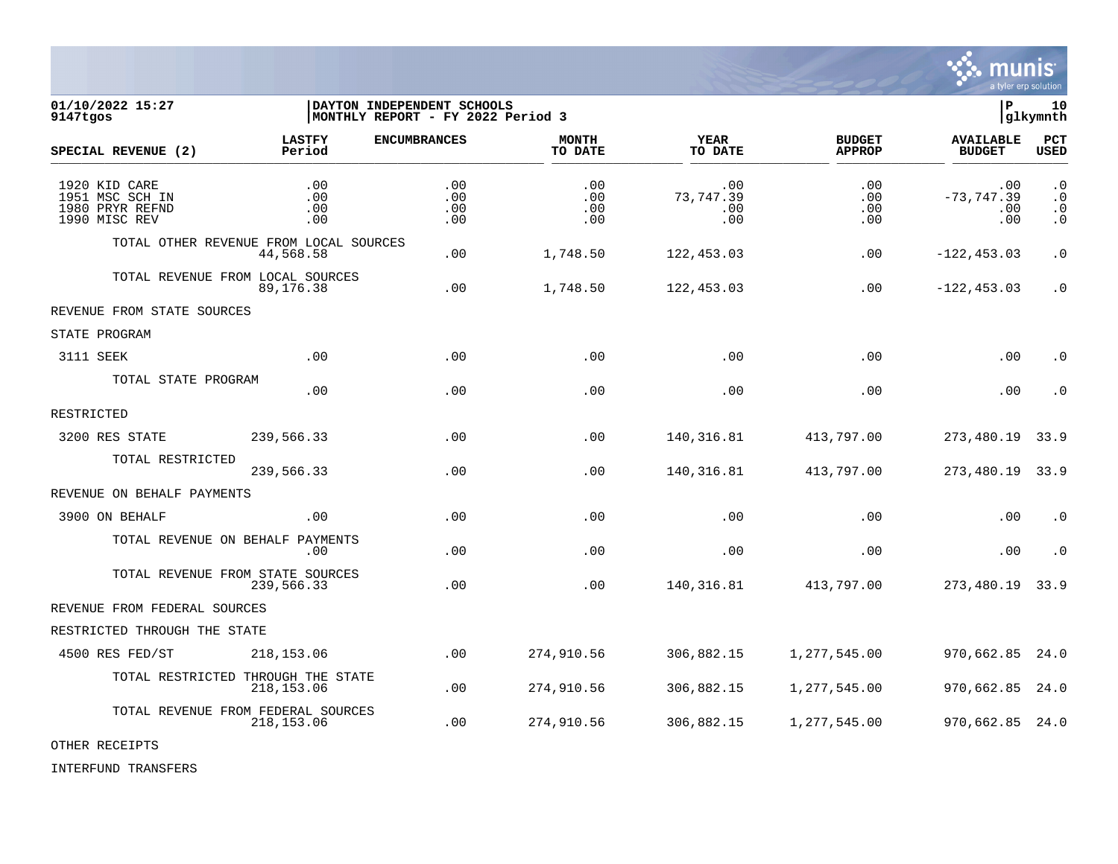

01/10/2022 15:27 **| DAYTON INDEPENDENT SCHOOLS**<br>9147tqos | QIkymnth | MONTHLY REPORT - FY 2022 Period 3 **MONTHLY REPORT - FY 2022 Period 3 LASTFY ENCUMBRANCES MONTH YEAR BUDGET AVAILABLE PCT SPECIAL REVENUE (2) Period TO DATE TO DATE APPROP BUDGET USED** \_\_\_\_\_\_\_\_\_\_\_\_\_\_\_\_\_\_\_\_\_\_\_\_\_\_\_\_\_\_\_\_\_\_\_\_\_\_\_\_\_\_\_\_\_\_\_\_\_\_\_\_\_\_\_\_\_\_\_\_\_\_\_\_ \_\_\_\_\_\_\_\_\_\_\_\_\_\_\_\_\_ \_\_\_\_\_\_\_\_\_\_\_\_\_\_\_\_\_\_ \_\_\_\_\_\_\_\_\_\_\_\_\_\_ \_\_\_\_\_\_\_\_\_\_\_\_\_\_\_ 1920 KID CARE .00 .00 .00 .00 .00 .00 .0 1951 MSC SCH IN .00 .00 .00 73,747.39 .00 -73,747.39 .0 1980 PRYR REFND .00 .00 .00 .00 .00 .00 .0 1990 MISC REV .00 .00 .00 .00 .00 .00 .0 TOTAL OTHER REVENUE FROM LOCAL SOURCES 44,568.58 .00 1,748.50 122,453.03 .00 -122,453.03 .0 TOTAL REVENUE FROM LOCAL SOURCES 89,176.38 .00 1,748.50 122,453.03 .00 -122,453.03 .0 REVENUE FROM STATE SOURCES STATE PROGRAM 3111 SEEK .00 .00 .00 .00 .00 .00 .0 TOTAL STATE PROGRAM .00 .00 .00 .00 .00 .00 .0 RESTRICTED 3200 RES STATE 239,566.33 .00 .00 140,316.81 413,797.00 273,480.19 33.9 TOTAL RESTRICTED 239,566.33 .00 .00 140,316.81 413,797.00 273,480.19 33.9 REVENUE ON BEHALF PAYMENTS 3900 ON BEHALF .00 .00 .00 .00 .00 .00 .0 TOTAL REVENUE ON BEHALF PAYMENTS .00 .00 .00 .00 .00 .00 .0 TOTAL REVENUE FROM STATE SOURCES 239,566.33 .00 .00 140,316.81 413,797.00 273,480.19 33.9 REVENUE FROM FEDERAL SOURCES RESTRICTED THROUGH THE STATE 4500 RES FED/ST 218,153.06 .00 274,910.56 306,882.15 1,277,545.00 970,662.85 24.0 TOTAL RESTRICTED THROUGH THE STATE<br>218.153.06 218,153.06 .00 274,910.56 306,882.15 1,277,545.00 970,662.85 24.0 TOTAL REVENUE FROM FEDERAL SOURCES 218,153.06 .00 274,910.56 306,882.15 1,277,545.00 970,662.85 24.0

OTHER RECEIPTS

INTERFUND TRANSFERS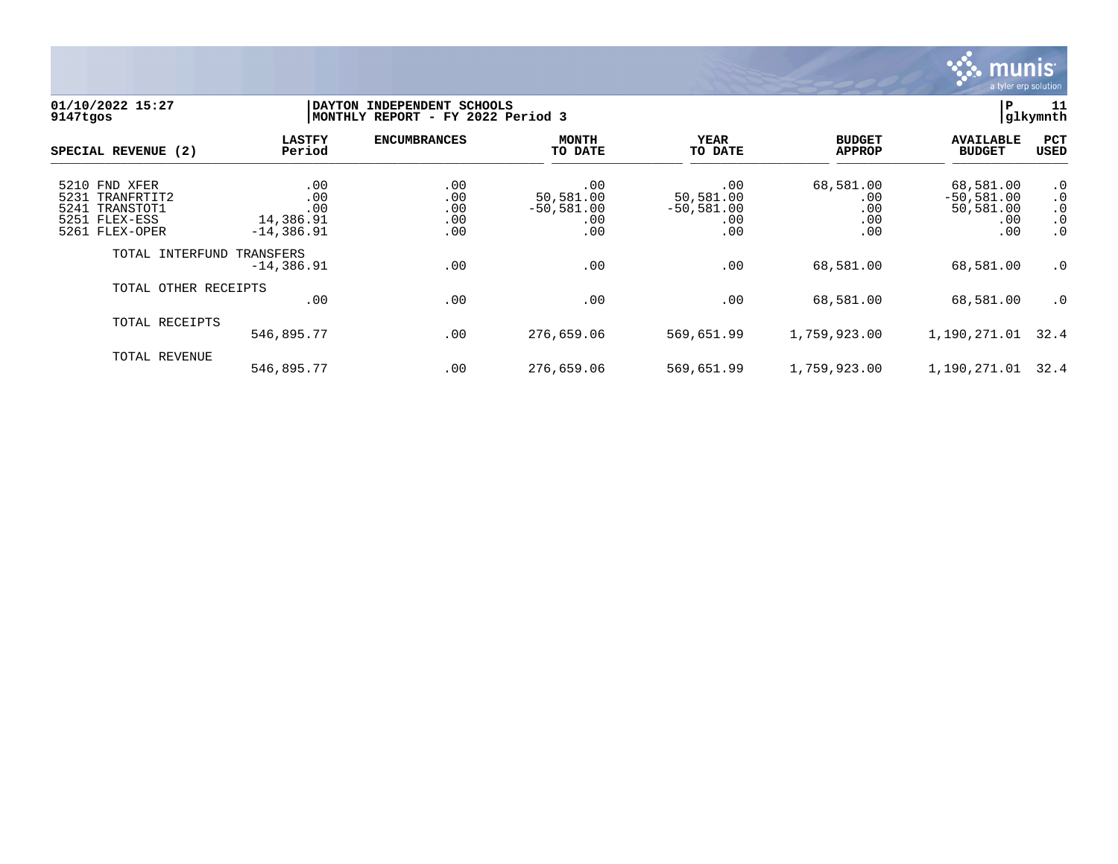

### **01/10/2022 15:27 |DAYTON INDEPENDENT SCHOOLS |P 11 9147tgos |MONTHLY REPORT - FY 2022 Period 3 |glkymnth**

| SPECIAL REVENUE (2)                                                                      | <b>LASTFY</b><br>Period                        | <b>ENCUMBRANCES</b>             | MONTH<br>TO DATE                               | YEAR<br>TO DATE                                | <b>BUDGET</b><br><b>APPROP</b>        | <b>AVAILABLE</b><br><b>BUDGET</b>                    | PCT<br><b>USED</b>                                            |
|------------------------------------------------------------------------------------------|------------------------------------------------|---------------------------------|------------------------------------------------|------------------------------------------------|---------------------------------------|------------------------------------------------------|---------------------------------------------------------------|
| 5210 FND XFER<br>5231 TRANFRTIT2<br>TRANSTOT1<br>5241<br>5251 FLEX-ESS<br>5261 FLEX-OPER | .00<br>.00<br>.00<br>14,386.91<br>$-14,386.91$ | .00<br>.00<br>.00<br>.00<br>.00 | .00<br>50,581.00<br>$-50,581.00$<br>.00<br>.00 | .00<br>50,581.00<br>$-50,581.00$<br>.00<br>.00 | 68,581.00<br>.00<br>.00<br>.00<br>.00 | 68,581.00<br>$-50,581.00$<br>50,581.00<br>.00<br>.00 | $\cdot$ 0<br>$\cdot$ 0<br>$\cdot$ 0<br>$\cdot$ 0<br>$\cdot$ 0 |
| TOTAL INTERFUND                                                                          | TRANSFERS<br>$-14,386.91$                      | .00                             | .00                                            | .00                                            | 68,581.00                             | 68,581.00                                            | $\cdot$ 0                                                     |
| TOTAL OTHER RECEIPTS                                                                     | .00                                            | .00                             | .00                                            | .00                                            | 68,581.00                             | 68,581.00                                            | $\cdot$ 0                                                     |
| TOTAL RECEIPTS                                                                           | 546,895.77                                     | .00                             | 276,659.06                                     | 569,651.99                                     | 1,759,923.00                          | 1,190,271.01                                         | 32.4                                                          |
| TOTAL REVENUE                                                                            | 546,895.77                                     | .00                             | 276,659.06                                     | 569,651.99                                     | 1,759,923.00                          | 1,190,271.01                                         | 32.4                                                          |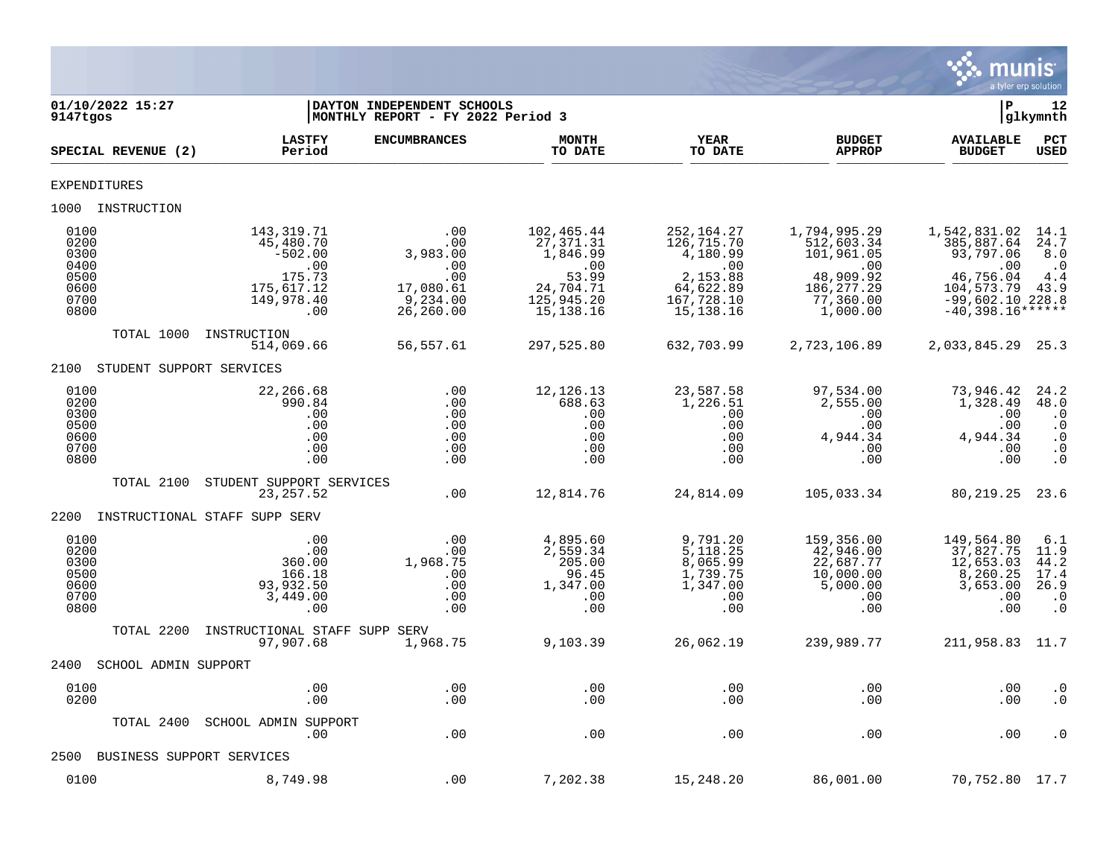

| 01/10/2022 15:27<br>9147tgos                                 |                                                                                          | DAYTON INDEPENDENT SCHOOLS<br> MONTHLY REPORT - FY 2022 Period 3            |                                                                                                      |                                                                                                     |                                                                                                      | P                                                                                                                    | 12<br> glkymnth                                                               |
|--------------------------------------------------------------|------------------------------------------------------------------------------------------|-----------------------------------------------------------------------------|------------------------------------------------------------------------------------------------------|-----------------------------------------------------------------------------------------------------|------------------------------------------------------------------------------------------------------|----------------------------------------------------------------------------------------------------------------------|-------------------------------------------------------------------------------|
| SPECIAL REVENUE (2)                                          | <b>LASTFY</b><br>Period                                                                  | <b>ENCUMBRANCES</b>                                                         | <b>MONTH</b><br>TO DATE                                                                              | <b>YEAR</b><br>TO DATE                                                                              | <b>BUDGET</b><br><b>APPROP</b>                                                                       | <b>AVAILABLE</b><br><b>BUDGET</b>                                                                                    | PCT<br><b>USED</b>                                                            |
| EXPENDITURES                                                 |                                                                                          |                                                                             |                                                                                                      |                                                                                                     |                                                                                                      |                                                                                                                      |                                                                               |
| 1000 INSTRUCTION                                             |                                                                                          |                                                                             |                                                                                                      |                                                                                                     |                                                                                                      |                                                                                                                      |                                                                               |
| 0100<br>0200<br>0300<br>0400<br>0500<br>0600<br>0700<br>0800 | 143,319.71<br>45,480.70<br>$-502.00$<br>.00<br>175.73<br>175,617.12<br>149,978.40<br>.00 | .00<br>.00<br>3,983.00<br>.00<br>.00<br>17,080.61<br>9,234.00<br>26, 260.00 | 102,465.44<br>27, 371.31<br>1,846.99<br>$\,.\,00$<br>53.99<br>24,704.71<br>125,945.20<br>15, 138. 16 | 252, 164. 27<br>126,715.70<br>4,180.99<br>.00<br>2,153.88<br>64,622.89<br>167,728.10<br>15, 138. 16 | 1,794,995.29<br>512,603.34<br>101,961.05<br>.00<br>48,909.92<br>186, 277.29<br>77,360.00<br>1,000.00 | 1,542,831.02<br>385,887.64<br>93,797.06<br>.00<br>46,756.04<br>104,573.79<br>$-99,602.10 228.8$<br>$-40,398.16*****$ | 14.1<br>24.7<br>8.0<br>$\cdot$ <sup>0</sup><br>4.4<br>43.9                    |
| TOTAL 1000                                                   | INSTRUCTION<br>514,069.66                                                                | 56,557.61                                                                   | 297,525.80                                                                                           | 632,703.99                                                                                          | 2,723,106.89                                                                                         | 2,033,845.29                                                                                                         | 25.3                                                                          |
| 2100                                                         | STUDENT SUPPORT SERVICES                                                                 |                                                                             |                                                                                                      |                                                                                                     |                                                                                                      |                                                                                                                      |                                                                               |
| 0100<br>0200<br>0300<br>0500<br>0600<br>0700<br>0800         | 22,266.68<br>990.84<br>.00<br>.00<br>.00<br>.00<br>.00                                   | .00<br>.00<br>.00<br>.00<br>.00<br>.00<br>.00                               | 12, 126. 13<br>688.63<br>.00<br>.00<br>.00<br>.00<br>.00                                             | 23,587.58<br>1,226.51<br>.00<br>.00<br>.00<br>.00<br>.00                                            | 97,534.00<br>2,555.00<br>.00<br>.00<br>4,944.34<br>.00<br>.00                                        | 73,946.42<br>1,328.49<br>.00<br>.00<br>4,944.34<br>.00<br>.00                                                        | 24.2<br>48.0<br>$\cdot$ 0<br>$\cdot$ 0<br>$\cdot$ 0<br>$\cdot$ 0<br>$\cdot$ 0 |
| TOTAL 2100                                                   | STUDENT SUPPORT SERVICES<br>23, 257.52                                                   | .00                                                                         | 12,814.76                                                                                            | 24,814.09                                                                                           | 105,033.34                                                                                           | 80,219.25                                                                                                            | 23.6                                                                          |
| 2200                                                         | INSTRUCTIONAL STAFF SUPP SERV                                                            |                                                                             |                                                                                                      |                                                                                                     |                                                                                                      |                                                                                                                      |                                                                               |
| 0100<br>0200<br>0300<br>0500<br>0600<br>0700<br>0800         | .00<br>.00<br>360.00<br>166.18<br>93,932.50<br>3,449.00<br>.00                           | .00<br>.00<br>1,968.75<br>.00<br>.00<br>.00<br>.00                          | 4,895.60<br>2,559.34<br>205.00<br>96.45<br>1,347.00<br>.00<br>.00                                    | 9,791.20<br>5, 118.25<br>8,065.99<br>1,739.75<br>1,347.00<br>.00<br>.00                             | 159,356.00<br>42,946.00<br>22,687.77<br>10,000.00<br>5,000.00<br>.00<br>.00                          | 149,564.80<br>37,827.75<br>12,653.03<br>8,260.25<br>3,653.00<br>.00<br>.00                                           | 6.1<br>11.9<br>44.2<br>17.4<br>26.9<br>$\cdot$ 0<br>$\cdot$ 0                 |
| TOTAL 2200                                                   | INSTRUCTIONAL STAFF SUPP SERV<br>97,907.68                                               | 1,968.75                                                                    | 9,103.39                                                                                             | 26,062.19                                                                                           | 239,989.77                                                                                           | 211,958.83                                                                                                           | 11.7                                                                          |
| 2400<br>SCHOOL ADMIN SUPPORT                                 |                                                                                          |                                                                             |                                                                                                      |                                                                                                     |                                                                                                      |                                                                                                                      |                                                                               |
| 0100<br>0200                                                 | .00<br>.00                                                                               | .00<br>.00                                                                  | .00<br>.00                                                                                           | .00<br>.00                                                                                          | .00<br>.00                                                                                           | .00<br>.00                                                                                                           | $\cdot$ 0<br>$\cdot$ 0                                                        |
| TOTAL 2400                                                   | SCHOOL ADMIN SUPPORT<br>.00.                                                             | .00                                                                         | .00                                                                                                  | .00                                                                                                 | .00                                                                                                  | .00                                                                                                                  | $\cdot$ 0                                                                     |
| 2500                                                         | BUSINESS SUPPORT SERVICES                                                                |                                                                             |                                                                                                      |                                                                                                     |                                                                                                      |                                                                                                                      |                                                                               |
| 0100                                                         | 8,749.98                                                                                 | .00                                                                         | 7,202.38                                                                                             | 15,248.20                                                                                           | 86,001.00                                                                                            | 70,752.80 17.7                                                                                                       |                                                                               |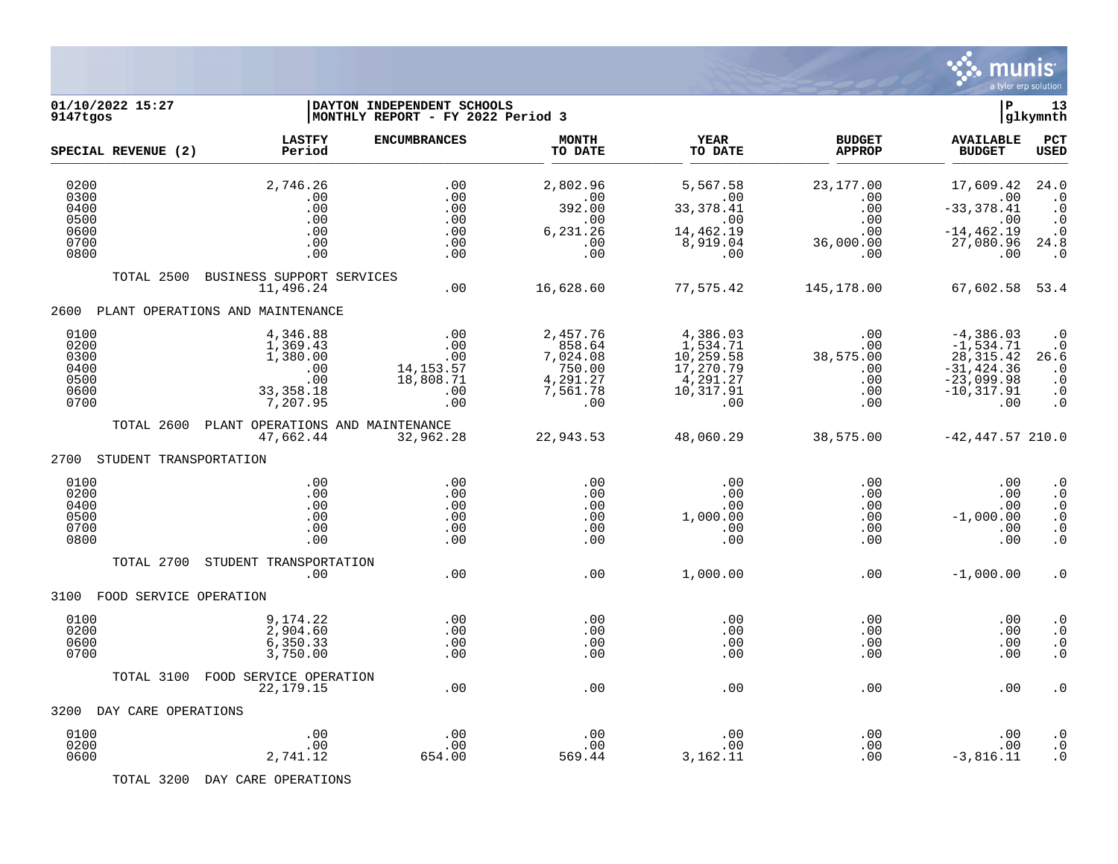

| 01/10/2022 15:27<br>9147tgos                         |                                                                           | DAYTON INDEPENDENT SCHOOLS<br>MONTHLY REPORT - FY 2022 Period 3 |                                                                         |                                                                                |                                                     | ΙP                                                                                                 | 13<br> glkymnth                                                                         |
|------------------------------------------------------|---------------------------------------------------------------------------|-----------------------------------------------------------------|-------------------------------------------------------------------------|--------------------------------------------------------------------------------|-----------------------------------------------------|----------------------------------------------------------------------------------------------------|-----------------------------------------------------------------------------------------|
| SPECIAL REVENUE (2)                                  | <b>LASTFY</b><br>Period                                                   | <b>ENCUMBRANCES</b>                                             | <b>MONTH</b><br>TO DATE                                                 | <b>YEAR</b><br>TO DATE                                                         | <b>BUDGET</b><br><b>APPROP</b>                      | <b>AVAILABLE</b><br><b>BUDGET</b>                                                                  | PCT<br><b>USED</b>                                                                      |
| 0200<br>0300<br>0400                                 | 2,746.26<br>.00<br>.00                                                    | .00<br>.00<br>.00                                               | 2,802.96<br>.00<br>392.00                                               | 5,567.58<br>.00<br>33, 378.41                                                  | 23, 177.00<br>$.00 \,$<br>.00                       | 17,609.42<br>.00<br>$-33, 378.41$                                                                  | 24.0<br>$\cdot$ 0<br>$\cdot$ 0                                                          |
| 0500<br>0600<br>0700<br>0800                         | .00<br>.00<br>.00<br>.00                                                  | .00<br>.00<br>.00<br>.00                                        | .00<br>6,231.26<br>.00<br>.00                                           | $.00 \,$<br>14,462.19<br>8,919.04<br>.00                                       | .00<br>.00<br>36,000.00<br>.00                      | .00<br>$-14, 462.19$<br>27,080.96<br>.00                                                           | $\cdot$ 0<br>$\cdot$ 0<br>24.8<br>$\cdot$ 0                                             |
| TOTAL 2500                                           | BUSINESS SUPPORT SERVICES<br>11,496.24                                    | .00                                                             | 16,628.60                                                               | 77,575.42                                                                      | 145,178.00                                          | 67,602.58 53.4                                                                                     |                                                                                         |
| 2600                                                 | PLANT OPERATIONS AND MAINTENANCE                                          |                                                                 |                                                                         |                                                                                |                                                     |                                                                                                    |                                                                                         |
| 0100<br>0200<br>0300<br>0400<br>0500<br>0600<br>0700 | 4,346.88<br>1,369.43<br>1,380.00<br>.00<br>.00<br>33, 358. 18<br>7,207.95 | .00<br>.00<br>.00<br>14, 153. 57<br>18,808.71<br>.00<br>.00     | 2,457.76<br>858.64<br>7,024.08<br>750.00<br>4,291.27<br>7,561.78<br>.00 | 4,386.03<br>1,534.71<br>10,259.58<br>17,270.79<br>4,291.27<br>10,317.91<br>.00 | .00<br>.00<br>38,575.00<br>.00<br>.00<br>.00<br>.00 | $-4,386.03$<br>$-1,534.71$<br>28, 315. 42<br>$-31, 424.36$<br>$-23,099.98$<br>$-10, 317.91$<br>.00 | $\cdot$ 0<br>$\cdot$ 0<br>26.6<br>$\cdot$ 0<br>$\cdot$ 0<br>$\cdot$ 0<br>$\cdot$ 0      |
| TOTAL 2600                                           | PLANT OPERATIONS AND MAINTENANCE<br>47,662.44                             | 32,962.28                                                       | 22,943.53                                                               | 48,060.29                                                                      | 38,575.00                                           | $-42,447.57$ 210.0                                                                                 |                                                                                         |
| 2700<br>STUDENT TRANSPORTATION                       |                                                                           |                                                                 |                                                                         |                                                                                |                                                     |                                                                                                    |                                                                                         |
| 0100<br>0200<br>0400<br>0500<br>0700<br>0800         | .00<br>.00<br>.00<br>.00<br>.00<br>.00                                    | .00<br>.00<br>.00<br>.00<br>.00<br>.00                          | .00<br>.00<br>.00<br>.00<br>.00<br>.00                                  | .00<br>.00<br>.00<br>1,000.00<br>.00<br>.00                                    | .00<br>$.00 \,$<br>.00<br>.00<br>.00<br>.00         | .00<br>.00<br>.00<br>$-1,000.00$<br>.00<br>.00                                                     | $\boldsymbol{\cdot}$ 0<br>$\cdot$ 0<br>$\cdot$ 0<br>$\cdot$ 0<br>$\cdot$ 0<br>$\cdot$ 0 |
| TOTAL 2700                                           | STUDENT TRANSPORTATION<br>.00                                             | .00                                                             | .00                                                                     | 1,000.00                                                                       | .00                                                 | $-1,000.00$                                                                                        | $\cdot$ 0                                                                               |
| FOOD SERVICE OPERATION<br>3100                       |                                                                           |                                                                 |                                                                         |                                                                                |                                                     |                                                                                                    |                                                                                         |
| 0100<br>0200<br>0600<br>0700                         | 9,174.22<br>2,904.60<br>6,350.33<br>3,750.00                              | .00<br>.00<br>.00<br>.00                                        | .00<br>.00<br>.00<br>.00                                                | .00<br>.00<br>.00<br>.00                                                       | .00<br>.00<br>.00<br>.00                            | .00<br>.00<br>.00<br>.00                                                                           | $\cdot$ 0<br>$\cdot$ 0<br>$\cdot$ 0<br>$\cdot$ 0                                        |
| TOTAL 3100                                           | FOOD SERVICE OPERATION<br>22, 179. 15                                     | .00                                                             | .00                                                                     | .00                                                                            | .00                                                 | .00                                                                                                | $\cdot$ 0                                                                               |
| 3200<br>DAY CARE OPERATIONS                          |                                                                           |                                                                 |                                                                         |                                                                                |                                                     |                                                                                                    |                                                                                         |
| 0100<br>0200<br>0600                                 | .00<br>.00<br>2,741.12                                                    | .00<br>.00<br>654.00                                            | .00<br>.00<br>569.44                                                    | .00<br>.00<br>3,162.11                                                         | .00<br>.00<br>.00                                   | .00<br>.00<br>$-3,816.11$                                                                          | $\cdot$ 0<br>$\cdot$ 0<br>$\cdot$ 0                                                     |

TOTAL 3200 DAY CARE OPERATIONS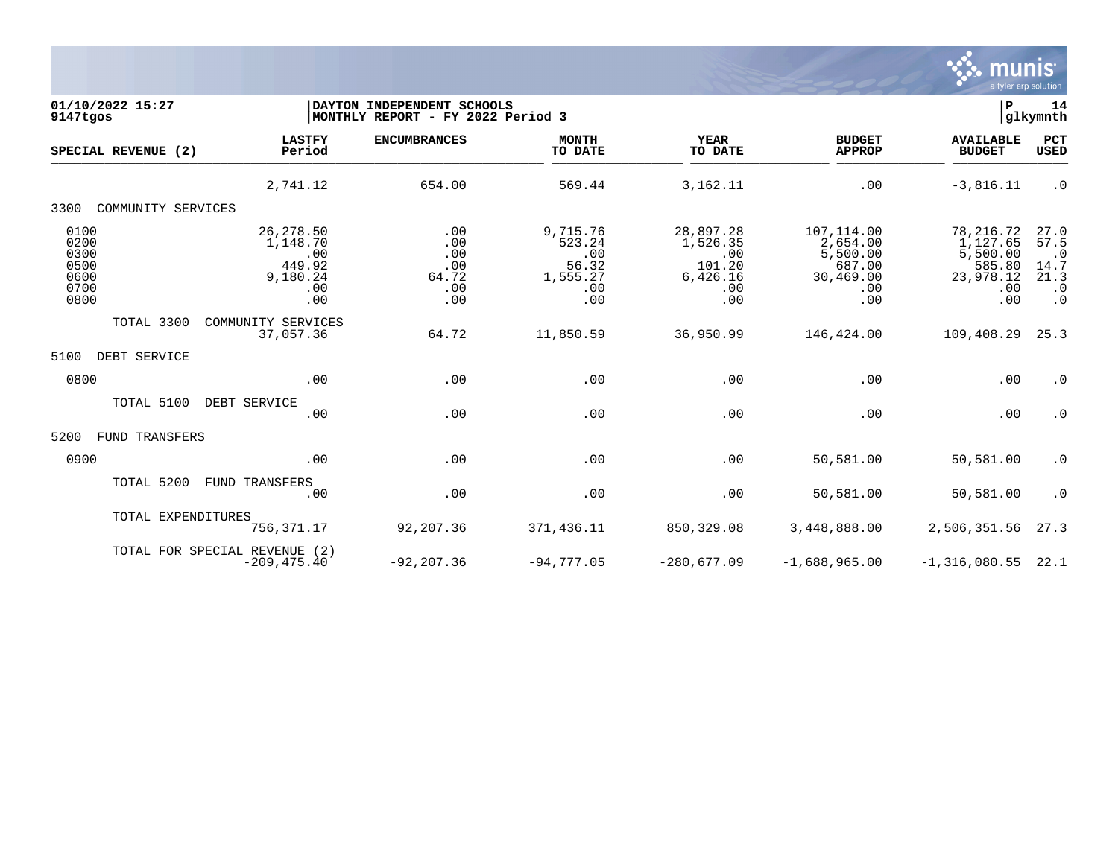

| 01/10/2022 15:27<br>9147tgos                         |                                                                   | DAYTON INDEPENDENT SCHOOLS<br>MONTHLY REPORT - FY 2022 Period 3 |                                                              |                                                                  |                                                                         |                                                                        |                                                                     |  |
|------------------------------------------------------|-------------------------------------------------------------------|-----------------------------------------------------------------|--------------------------------------------------------------|------------------------------------------------------------------|-------------------------------------------------------------------------|------------------------------------------------------------------------|---------------------------------------------------------------------|--|
| SPECIAL REVENUE (2)                                  | <b>LASTFY</b><br>Period                                           | <b>ENCUMBRANCES</b>                                             | <b>MONTH</b><br>TO DATE                                      | <b>YEAR</b><br>TO DATE                                           | <b>BUDGET</b><br><b>APPROP</b>                                          | <b>AVAILABLE</b><br><b>BUDGET</b>                                      | PCT<br><b>USED</b>                                                  |  |
|                                                      | 2,741.12                                                          | 654.00                                                          | 569.44                                                       | 3,162.11                                                         | .00                                                                     | $-3,816.11$                                                            | $\cdot$ 0                                                           |  |
| 3300<br>COMMUNITY SERVICES                           |                                                                   |                                                                 |                                                              |                                                                  |                                                                         |                                                                        |                                                                     |  |
| 0100<br>0200<br>0300<br>0500<br>0600<br>0700<br>0800 | 26, 278.50<br>1,148.70<br>.00<br>449.92<br>9,180.24<br>.00<br>.00 | .00<br>.00<br>.00<br>.00<br>64.72<br>.00<br>.00                 | 9,715.76<br>523.24<br>.00<br>56.32<br>1,555.27<br>.00<br>.00 | 28,897.28<br>1,526.35<br>.00<br>101.20<br>6,426.16<br>.00<br>.00 | 107,114.00<br>2,654.00<br>5,500.00<br>687.00<br>30,469.00<br>.00<br>.00 | 78,216.72<br>1,127.65<br>5,500.00<br>585.80<br>23,978.12<br>.00<br>.00 | 27.0<br>57.5<br>$\cdot$ 0<br>14.7<br>21.3<br>$\cdot$ 0<br>$\cdot$ 0 |  |
| TOTAL 3300                                           | COMMUNITY SERVICES<br>37,057.36                                   | 64.72                                                           | 11,850.59                                                    | 36,950.99                                                        | 146,424.00                                                              | 109,408.29                                                             | 25.3                                                                |  |
| 5100<br>DEBT SERVICE                                 |                                                                   |                                                                 |                                                              |                                                                  |                                                                         |                                                                        |                                                                     |  |
| 0800                                                 | .00                                                               | .00                                                             | .00                                                          | .00                                                              | .00                                                                     | .00                                                                    | $\cdot$ 0                                                           |  |
| TOTAL 5100                                           | DEBT SERVICE<br>.00                                               | .00                                                             | .00                                                          | .00                                                              | .00                                                                     | .00                                                                    | $\cdot$ 0                                                           |  |
| 5200<br>FUND TRANSFERS                               |                                                                   |                                                                 |                                                              |                                                                  |                                                                         |                                                                        |                                                                     |  |
| 0900                                                 | .00                                                               | .00                                                             | .00                                                          | .00                                                              | 50,581.00                                                               | 50,581.00                                                              | $\cdot$ 0                                                           |  |
| TOTAL 5200                                           | FUND TRANSFERS<br>.00                                             | .00                                                             | .00                                                          | .00                                                              | 50,581.00                                                               | 50,581.00                                                              | $\cdot$ 0                                                           |  |
| TOTAL EXPENDITURES                                   | 756,371.17                                                        | 92,207.36                                                       | 371,436.11                                                   | 850,329.08                                                       | 3,448,888.00                                                            | 2,506,351.56                                                           | 27.3                                                                |  |
|                                                      | TOTAL FOR SPECIAL REVENUE (2)<br>$-209, 475.40$                   | $-92, 207.36$                                                   | $-94,777.05$                                                 | $-280,677.09$                                                    | $-1,688,965.00$                                                         | $-1,316,080.55$                                                        | 22.1                                                                |  |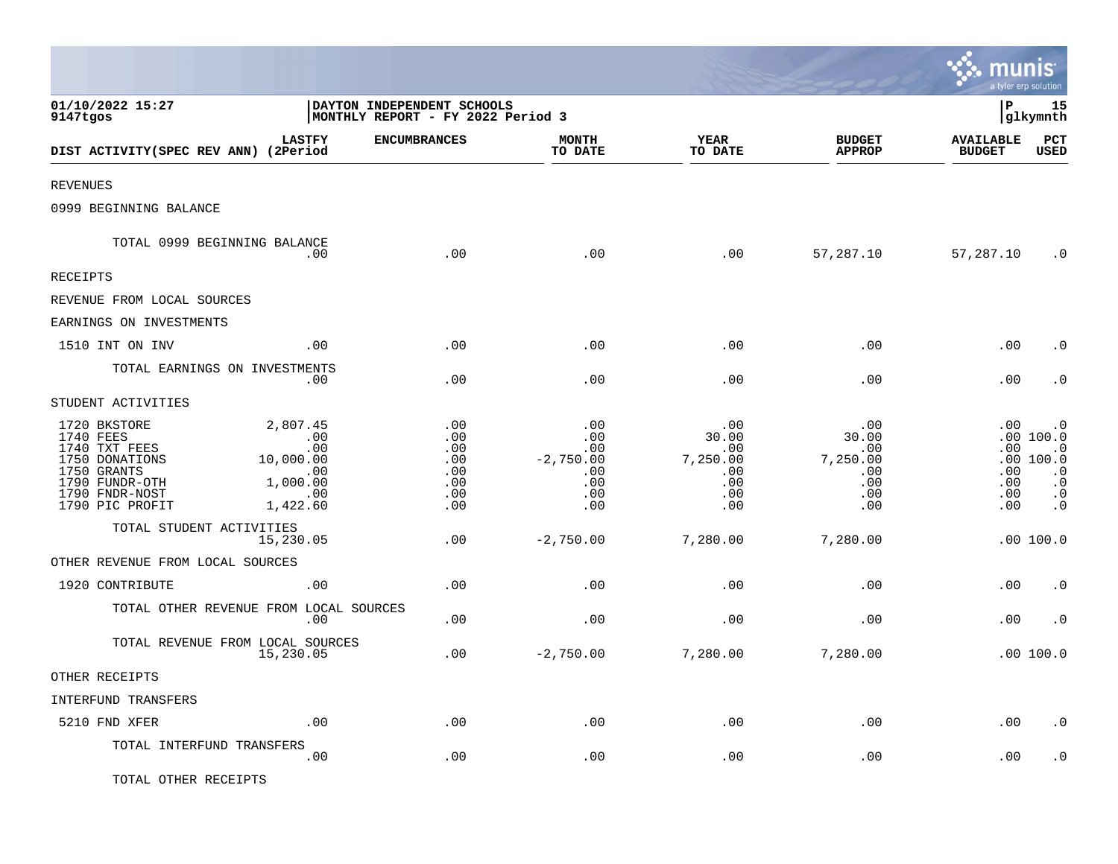|                                                                                                                                    |                                                                                 |                                                                 |                                                              |                                                              |                                                              | <u>munis</u>                           | a tyler erp solution                                                                                 |
|------------------------------------------------------------------------------------------------------------------------------------|---------------------------------------------------------------------------------|-----------------------------------------------------------------|--------------------------------------------------------------|--------------------------------------------------------------|--------------------------------------------------------------|----------------------------------------|------------------------------------------------------------------------------------------------------|
| 01/10/2022 15:27<br>9147tgos                                                                                                       |                                                                                 | DAYTON INDEPENDENT SCHOOLS<br>MONTHLY REPORT - FY 2022 Period 3 |                                                              |                                                              |                                                              | lР                                     | 15<br> glkymnth                                                                                      |
| DIST ACTIVITY(SPEC REV ANN) (2Period                                                                                               | <b>LASTFY</b>                                                                   | <b>ENCUMBRANCES</b>                                             | <b>MONTH</b><br>TO DATE                                      | <b>YEAR</b><br>TO DATE                                       | <b>BUDGET</b><br><b>APPROP</b>                               | <b>AVAILABLE</b><br><b>BUDGET</b>      | $_{\rm PCT}$<br><b>USED</b>                                                                          |
| <b>REVENUES</b>                                                                                                                    |                                                                                 |                                                                 |                                                              |                                                              |                                                              |                                        |                                                                                                      |
| 0999 BEGINNING BALANCE                                                                                                             |                                                                                 |                                                                 |                                                              |                                                              |                                                              |                                        |                                                                                                      |
|                                                                                                                                    | TOTAL 0999 BEGINNING BALANCE<br>.00                                             | .00                                                             | .00                                                          | .00                                                          | 57,287.10                                                    | 57,287.10                              | $\cdot$ 0                                                                                            |
| RECEIPTS                                                                                                                           |                                                                                 |                                                                 |                                                              |                                                              |                                                              |                                        |                                                                                                      |
| REVENUE FROM LOCAL SOURCES                                                                                                         |                                                                                 |                                                                 |                                                              |                                                              |                                                              |                                        |                                                                                                      |
| EARNINGS ON INVESTMENTS                                                                                                            |                                                                                 |                                                                 |                                                              |                                                              |                                                              |                                        |                                                                                                      |
| 1510 INT ON INV                                                                                                                    | .00                                                                             | .00                                                             | .00                                                          | .00                                                          | .00                                                          | .00                                    | . 0                                                                                                  |
|                                                                                                                                    | TOTAL EARNINGS ON INVESTMENTS<br>$.00 \,$                                       | .00                                                             | .00                                                          | .00                                                          | .00                                                          | .00                                    | $\cdot$ 0                                                                                            |
| STUDENT ACTIVITIES                                                                                                                 |                                                                                 |                                                                 |                                                              |                                                              |                                                              |                                        |                                                                                                      |
| 1720 BKSTORE<br>1740 FEES<br>1740 TXT FEES<br>1750 DONATIONS<br>1750 GRANTS<br>1790 FUNDR-OTH<br>1790 FNDR-NOST<br>1790 PIC PROFIT | 2,807.45<br>.00<br>.00<br>10,000.00<br>.00<br>1,000.00<br>$\sim$ 00<br>1,422.60 | .00<br>.00<br>.00<br>.00<br>.00<br>.00<br>.00<br>.00            | .00<br>.00<br>.00<br>$-2,750.00$<br>.00<br>.00<br>.00<br>.00 | .00<br>30.00<br>.00<br>7,250.00<br>.00<br>.00.<br>.00<br>.00 | .00<br>30.00<br>.00<br>7,250.00<br>.00<br>.00.<br>.00<br>.00 | .00<br>.00<br>.00<br>.00<br>.00<br>.00 | $\cdot$ 0<br>.00 100.0<br>$\cdot$ 0<br>.00 100.0<br>$\cdot$ 0<br>$\cdot$ 0<br>$\cdot$ 0<br>$\cdot$ 0 |
| TOTAL STUDENT ACTIVITIES                                                                                                           | 15,230.05                                                                       | .00                                                             | $-2,750.00$                                                  | 7,280.00                                                     | 7,280.00                                                     |                                        | .00 100.0                                                                                            |
| OTHER REVENUE FROM LOCAL SOURCES                                                                                                   |                                                                                 |                                                                 |                                                              |                                                              |                                                              |                                        |                                                                                                      |
| 1920 CONTRIBUTE                                                                                                                    | .00                                                                             | .00                                                             | .00                                                          | .00                                                          | .00                                                          | .00                                    | $\cdot$ 0                                                                                            |
|                                                                                                                                    | TOTAL OTHER REVENUE FROM LOCAL SOURCES<br>.00                                   | .00                                                             | .00                                                          | .00                                                          | .00                                                          | .00                                    | $\cdot$ 0                                                                                            |
|                                                                                                                                    | TOTAL REVENUE FROM LOCAL SOURCES<br>15,230.05                                   | .00                                                             | $-2,750.00$                                                  | 7,280.00                                                     | 7,280.00                                                     |                                        | .00100.0                                                                                             |
| OTHER RECEIPTS                                                                                                                     |                                                                                 |                                                                 |                                                              |                                                              |                                                              |                                        |                                                                                                      |
| INTERFUND TRANSFERS                                                                                                                |                                                                                 |                                                                 |                                                              |                                                              |                                                              |                                        |                                                                                                      |
| 5210 FND XFER                                                                                                                      | .00                                                                             | .00                                                             | .00                                                          | .00                                                          | .00                                                          | .00                                    | $\cdot$ 0                                                                                            |
| TOTAL INTERFUND TRANSFERS                                                                                                          | .00                                                                             | .00                                                             | .00                                                          | .00                                                          | .00                                                          | .00                                    | . 0                                                                                                  |
| TOTAL OTHER RECEIPTS                                                                                                               |                                                                                 |                                                                 |                                                              |                                                              |                                                              |                                        |                                                                                                      |

 $\mathcal{L}$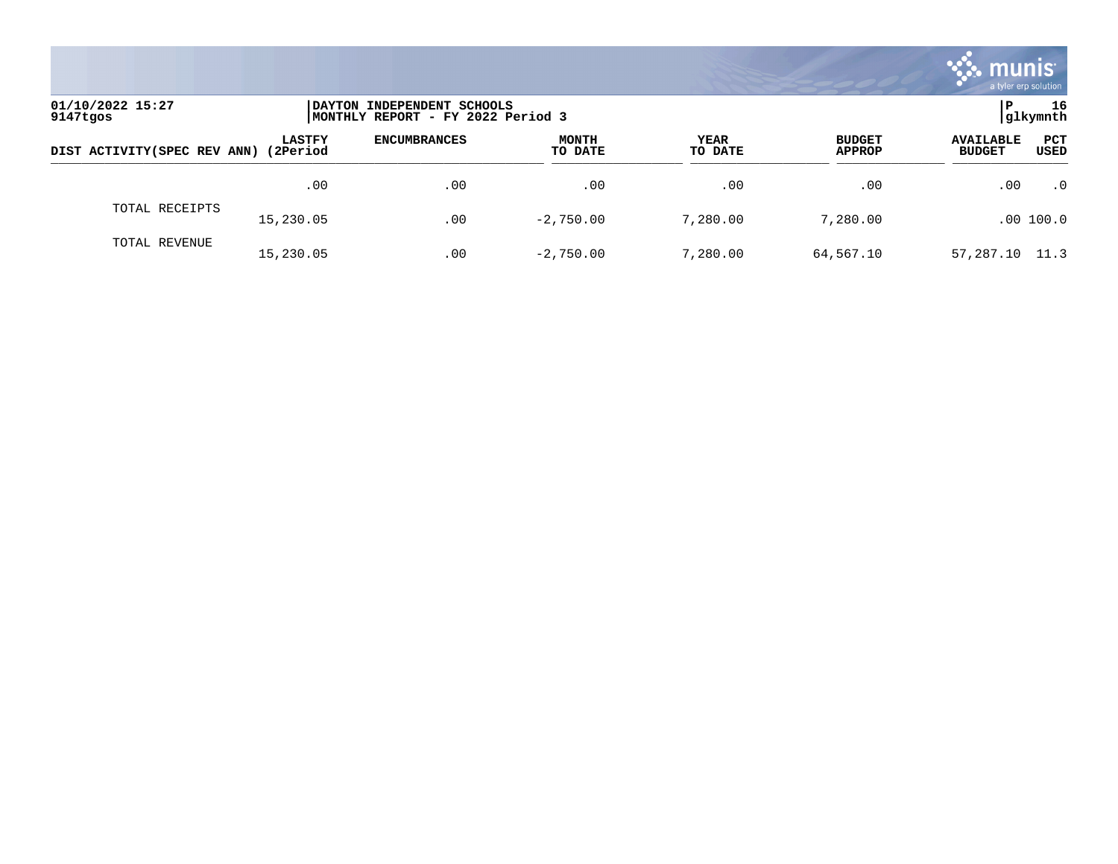

| 01/10/2022 15:27<br>9147tgos |                            | INDEPENDENT SCHOOLS<br>I DAYTON<br>MONTHLY REPORT - FY 2022 Period 3 |                         |                        |                                |                                                         |  |
|------------------------------|----------------------------|----------------------------------------------------------------------|-------------------------|------------------------|--------------------------------|---------------------------------------------------------|--|
| DIST ACTIVITY (SPEC REV ANN) | <b>LASTFY</b><br>(2Period) | <b>ENCUMBRANCES</b>                                                  | <b>MONTH</b><br>TO DATE | <b>YEAR</b><br>TO DATE | <b>BUDGET</b><br><b>APPROP</b> | <b>PCT</b><br><b>AVAILABLE</b><br>USED<br><b>BUDGET</b> |  |
|                              | .00                        | .00                                                                  | .00                     | .00                    | .00                            | .0<br>.00                                               |  |
| TOTAL RECEIPTS               | 15,230.05                  | .00                                                                  | $-2,750.00$             | 7,280.00               | 7,280.00                       | .00 100.0                                               |  |
| TOTAL REVENUE                | 15,230.05                  | .00                                                                  | $-2,750.00$             | 7,280.00               | 64,567.10                      | 57,287.10 11.3                                          |  |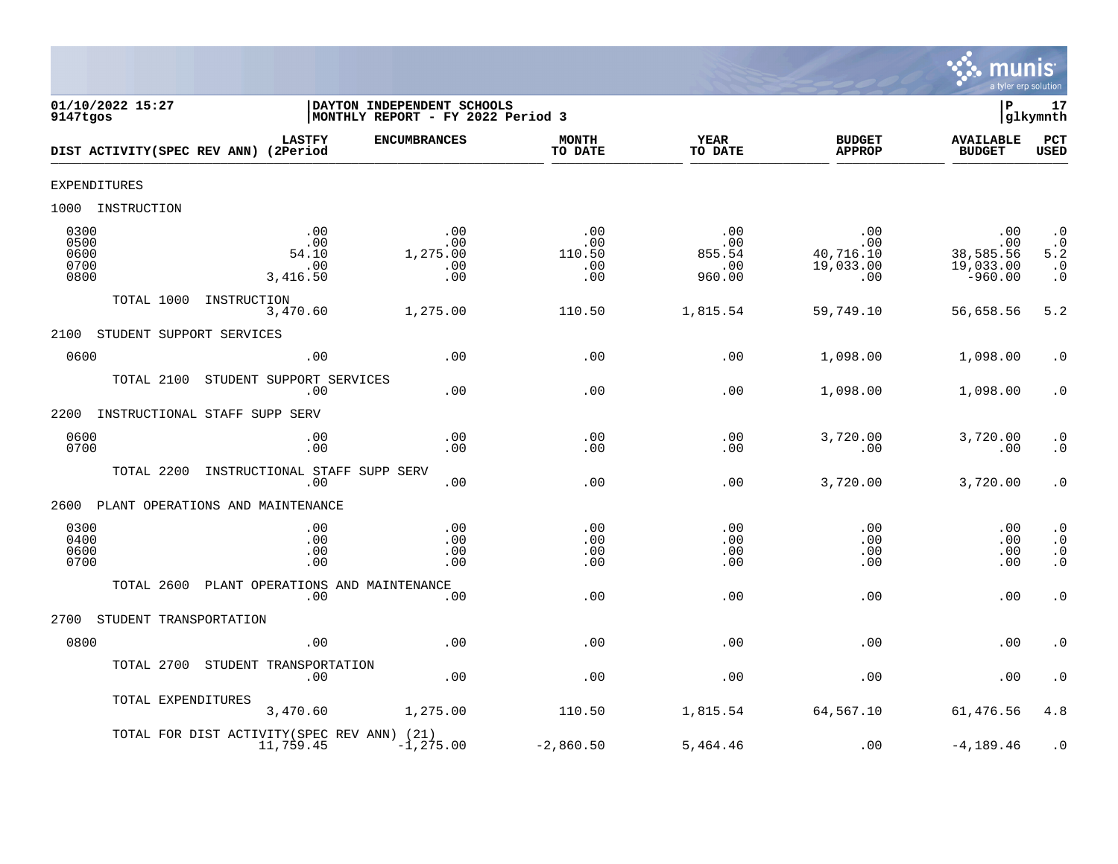

| 01/10/2022 15:27<br>9147tgos         |                                                          | DAYTON INDEPENDENT SCHOOLS<br>MONTHLY REPORT - FY 2022 Period 3 |                                    |                                       |                                             | Þ                                                 | 17<br>glkymnth                                                       |
|--------------------------------------|----------------------------------------------------------|-----------------------------------------------------------------|------------------------------------|---------------------------------------|---------------------------------------------|---------------------------------------------------|----------------------------------------------------------------------|
|                                      | <b>LASTFY</b><br>DIST ACTIVITY(SPEC REV ANN) (2Period    | <b>ENCUMBRANCES</b>                                             | <b>MONTH</b><br>TO DATE            | <b>YEAR</b><br>TO DATE                | <b>BUDGET</b><br><b>APPROP</b>              | <b>AVAILABLE</b><br><b>BUDGET</b>                 | PCT<br>USED                                                          |
| EXPENDITURES                         |                                                          |                                                                 |                                    |                                       |                                             |                                                   |                                                                      |
| 1000 INSTRUCTION                     |                                                          |                                                                 |                                    |                                       |                                             |                                                   |                                                                      |
| 0300<br>0500<br>0600<br>0700<br>0800 | .00<br>.00<br>54.10<br>.00<br>3,416.50                   | .00<br>.00<br>1,275.00<br>.00<br>.00                            | .00<br>.00<br>110.50<br>.00<br>.00 | .00<br>.00<br>855.54<br>.00<br>960.00 | .00<br>.00<br>40,716.10<br>19,033.00<br>.00 | .00<br>.00<br>38,585.56<br>19,033.00<br>$-960.00$ | $\cdot$ 0<br>$\cdot$ 0<br>5.2<br>$\cdot$ 0<br>$\boldsymbol{\cdot}$ 0 |
| TOTAL 1000                           | INSTRUCTION<br>3,470.60                                  | 1,275.00                                                        | 110.50                             | 1,815.54                              | 59,749.10                                   | 56,658.56                                         | 5.2                                                                  |
| 2100                                 | STUDENT SUPPORT SERVICES                                 |                                                                 |                                    |                                       |                                             |                                                   |                                                                      |
| 0600                                 | .00                                                      | .00                                                             | .00                                | .00                                   | 1,098.00                                    | 1,098.00                                          | . 0                                                                  |
| TOTAL 2100                           | STUDENT SUPPORT SERVICES<br>.00                          | .00                                                             | .00                                | .00                                   | 1,098.00                                    | 1,098.00                                          | $\cdot$ 0                                                            |
| 2200                                 | INSTRUCTIONAL STAFF SUPP SERV                            |                                                                 |                                    |                                       |                                             |                                                   |                                                                      |
| 0600<br>0700                         | .00<br>.00                                               | .00<br>.00                                                      | .00<br>.00                         | .00<br>.00                            | 3,720.00<br>.00                             | 3,720.00<br>.00                                   | $\boldsymbol{\cdot}$ 0<br>$\cdot$ 0                                  |
| TOTAL 2200                           | INSTRUCTIONAL STAFF SUPP SERV<br>.00                     | .00                                                             | .00                                | .00                                   | 3,720.00                                    | 3,720.00                                          | $\cdot$ 0                                                            |
| 2600                                 | PLANT OPERATIONS AND MAINTENANCE                         |                                                                 |                                    |                                       |                                             |                                                   |                                                                      |
| 0300<br>0400<br>0600<br>0700         | .00<br>.00<br>.00<br>.00                                 | .00<br>.00<br>.00<br>.00                                        | .00<br>.00<br>.00<br>.00           | .00<br>.00<br>.00<br>.00              | .00<br>.00<br>.00<br>.00                    | .00<br>.00<br>.00<br>.00                          | $\cdot$ 0<br>$\cdot$ 0<br>$\cdot$ 0<br>$\overline{0}$                |
| TOTAL 2600                           | PLANT OPERATIONS AND MAINTENANCE<br>.00                  | .00                                                             | .00                                | .00                                   | .00                                         | .00                                               | $\boldsymbol{\cdot}$ 0                                               |
| 2700                                 | STUDENT TRANSPORTATION                                   |                                                                 |                                    |                                       |                                             |                                                   |                                                                      |
| 0800                                 | .00                                                      | .00                                                             | .00                                | .00                                   | .00                                         | .00                                               | $\boldsymbol{\cdot}$ 0                                               |
| TOTAL 2700                           | STUDENT TRANSPORTATION<br>.00                            | .00                                                             | .00                                | .00                                   | .00                                         | .00                                               | $\cdot$ 0                                                            |
|                                      | TOTAL EXPENDITURES<br>3,470.60                           | 1,275.00                                                        | 110.50                             | 1,815.54                              | 64,567.10                                   | 61,476.56                                         | 4.8                                                                  |
|                                      | TOTAL FOR DIST ACTIVITY (SPEC REV ANN) (21)<br>11,759.45 | $-1, 275.00$                                                    | $-2,860.50$                        | 5,464.46                              | .00                                         | $-4, 189.46$                                      | $\cdot$ 0                                                            |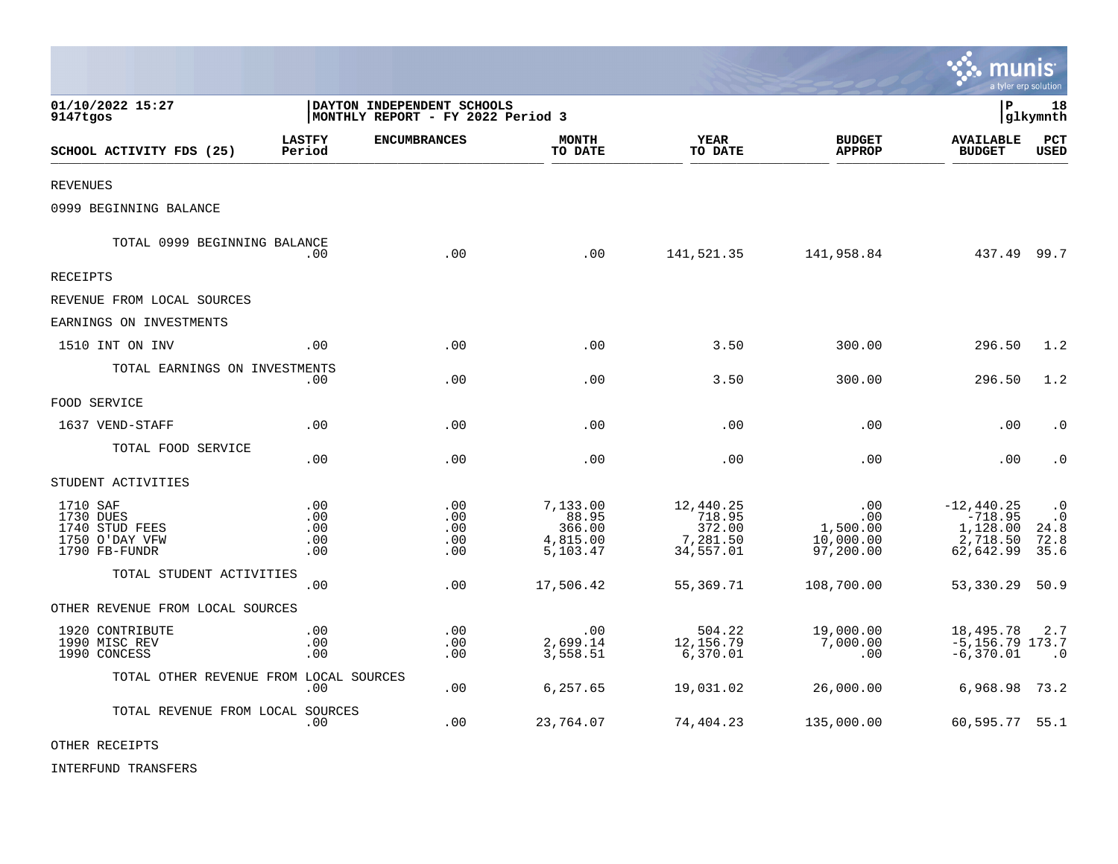|                                                                            |                                 |                                                                 |                                                     |                                                        |                                                  | munis<br>a tyler erp solution                                  |                                                |
|----------------------------------------------------------------------------|---------------------------------|-----------------------------------------------------------------|-----------------------------------------------------|--------------------------------------------------------|--------------------------------------------------|----------------------------------------------------------------|------------------------------------------------|
| 01/10/2022 15:27<br>9147tgos                                               |                                 | DAYTON INDEPENDENT SCHOOLS<br>MONTHLY REPORT - FY 2022 Period 3 |                                                     |                                                        |                                                  | $\, {\bf P}$                                                   | 18<br>glkymnth                                 |
| SCHOOL ACTIVITY FDS (25)                                                   | <b>LASTFY</b><br>Period         | <b>ENCUMBRANCES</b>                                             | <b>MONTH</b><br>TO DATE                             | <b>YEAR</b><br>TO DATE                                 | <b>BUDGET</b><br><b>APPROP</b>                   | <b>AVAILABLE</b><br><b>BUDGET</b>                              | PCT<br><b>USED</b>                             |
| <b>REVENUES</b>                                                            |                                 |                                                                 |                                                     |                                                        |                                                  |                                                                |                                                |
| 0999 BEGINNING BALANCE                                                     |                                 |                                                                 |                                                     |                                                        |                                                  |                                                                |                                                |
| TOTAL 0999 BEGINNING BALANCE                                               | .00                             | .00                                                             | .00                                                 | 141,521.35                                             | 141,958.84                                       | 437.49 99.7                                                    |                                                |
| RECEIPTS                                                                   |                                 |                                                                 |                                                     |                                                        |                                                  |                                                                |                                                |
| REVENUE FROM LOCAL SOURCES                                                 |                                 |                                                                 |                                                     |                                                        |                                                  |                                                                |                                                |
| EARNINGS ON INVESTMENTS                                                    |                                 |                                                                 |                                                     |                                                        |                                                  |                                                                |                                                |
| 1510 INT ON INV                                                            | .00                             | .00                                                             | .00                                                 | 3.50                                                   | 300.00                                           | 296.50                                                         | 1.2                                            |
| TOTAL EARNINGS ON INVESTMENTS                                              | .00                             | .00                                                             | .00                                                 | 3.50                                                   | 300.00                                           | 296.50                                                         | 1.2                                            |
| FOOD SERVICE                                                               |                                 |                                                                 |                                                     |                                                        |                                                  |                                                                |                                                |
| 1637 VEND-STAFF                                                            | .00                             | .00                                                             | .00                                                 | .00                                                    | .00                                              | .00                                                            | $\cdot$ 0                                      |
| TOTAL FOOD SERVICE                                                         | .00                             | .00                                                             | .00                                                 | .00                                                    | .00                                              | .00                                                            | $\cdot$ 0                                      |
| STUDENT ACTIVITIES                                                         |                                 |                                                                 |                                                     |                                                        |                                                  |                                                                |                                                |
| 1710 SAF<br>1730 DUES<br>1740 STUD FEES<br>1750 O'DAY VFW<br>1790 FB-FUNDR | .00<br>.00<br>.00<br>.00<br>.00 | .00<br>.00<br>.00<br>.00<br>.00                                 | 7,133.00<br>88.95<br>366.00<br>4,815.00<br>5,103.47 | 12,440.25<br>718.95<br>372.00<br>7,281.50<br>34,557.01 | .00<br>.00<br>1,500.00<br>10,000.00<br>97,200.00 | $-12,440.25$<br>$-718.95$<br>1,128.00<br>2,718.50<br>62,642.99 | $\cdot$ 0<br>$\cdot$ 0<br>24.8<br>72.8<br>35.6 |
| TOTAL STUDENT ACTIVITIES                                                   | .00                             | .00                                                             | 17,506.42                                           | 55,369.71                                              | 108,700.00                                       | 53,330.29                                                      | 50.9                                           |
| OTHER REVENUE FROM LOCAL SOURCES                                           |                                 |                                                                 |                                                     |                                                        |                                                  |                                                                |                                                |
| 1920 CONTRIBUTE<br>1990 MISC REV<br>1990 CONCESS                           | .00<br>.00<br>.00               | .00<br>.00<br>.00                                               | .00<br>2,699.14<br>3,558.51                         | 504.22<br>12,156.79<br>6,370.01                        | 19,000.00<br>7,000.00<br>.00                     | 18,495.78<br>$-5, 156.79$ 173.7<br>$-6,370.01$                 | 2.7<br>$\cdot$ 0                               |
| TOTAL OTHER REVENUE FROM LOCAL SOURCES                                     | .00                             | .00                                                             | 6,257.65                                            | 19,031.02                                              | 26,000.00                                        | 6,968.98                                                       | 73.2                                           |
| TOTAL REVENUE FROM LOCAL SOURCES                                           | .00                             | .00                                                             | 23,764.07                                           | 74,404.23                                              | 135,000.00                                       | 60,595.77 55.1                                                 |                                                |

 $\mathcal{L}$ 

OTHER RECEIPTS

INTERFUND TRANSFERS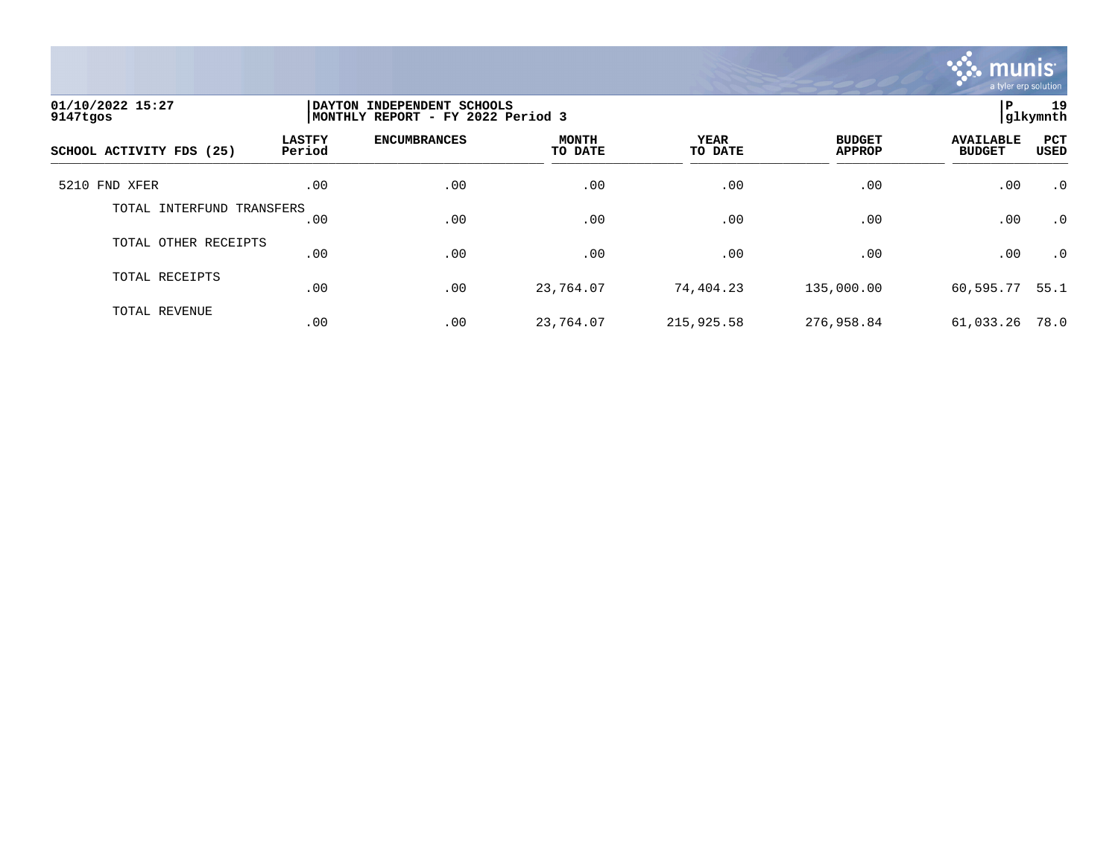

| 01/10/2022 15:27<br>9147tgos | DAYTON INDEPENDENT SCHOOLS<br>MONTHLY REPORT - FY 2022 Period 3 | 19<br>ΙP<br>glkymnth |                         |                        |                                |                                   |             |
|------------------------------|-----------------------------------------------------------------|----------------------|-------------------------|------------------------|--------------------------------|-----------------------------------|-------------|
| SCHOOL ACTIVITY FDS (25)     | <b>LASTFY</b><br>Period                                         | <b>ENCUMBRANCES</b>  | <b>MONTH</b><br>TO DATE | <b>YEAR</b><br>TO DATE | <b>BUDGET</b><br><b>APPROP</b> | <b>AVAILABLE</b><br><b>BUDGET</b> | PCT<br>USED |
| 5210 FND XFER                | .00                                                             | .00                  | .00                     | .00                    | .00                            | .00                               | $\cdot$ 0   |
| TOTAL INTERFUND TRANSFERS    | .00                                                             | .00                  | .00                     | .00                    | .00                            | .00                               | $\cdot$ 0   |
| TOTAL OTHER RECEIPTS         | .00                                                             | .00                  | .00                     | .00                    | .00                            | .00                               | $\cdot$ 0   |
| TOTAL RECEIPTS               | .00                                                             | .00                  | 23,764.07               | 74,404.23              | 135,000.00                     | 60,595.77                         | 55.1        |
| TOTAL REVENUE                | .00                                                             | .00                  | 23,764.07               | 215,925.58             | 276,958.84                     | 61,033.26                         | 78.0        |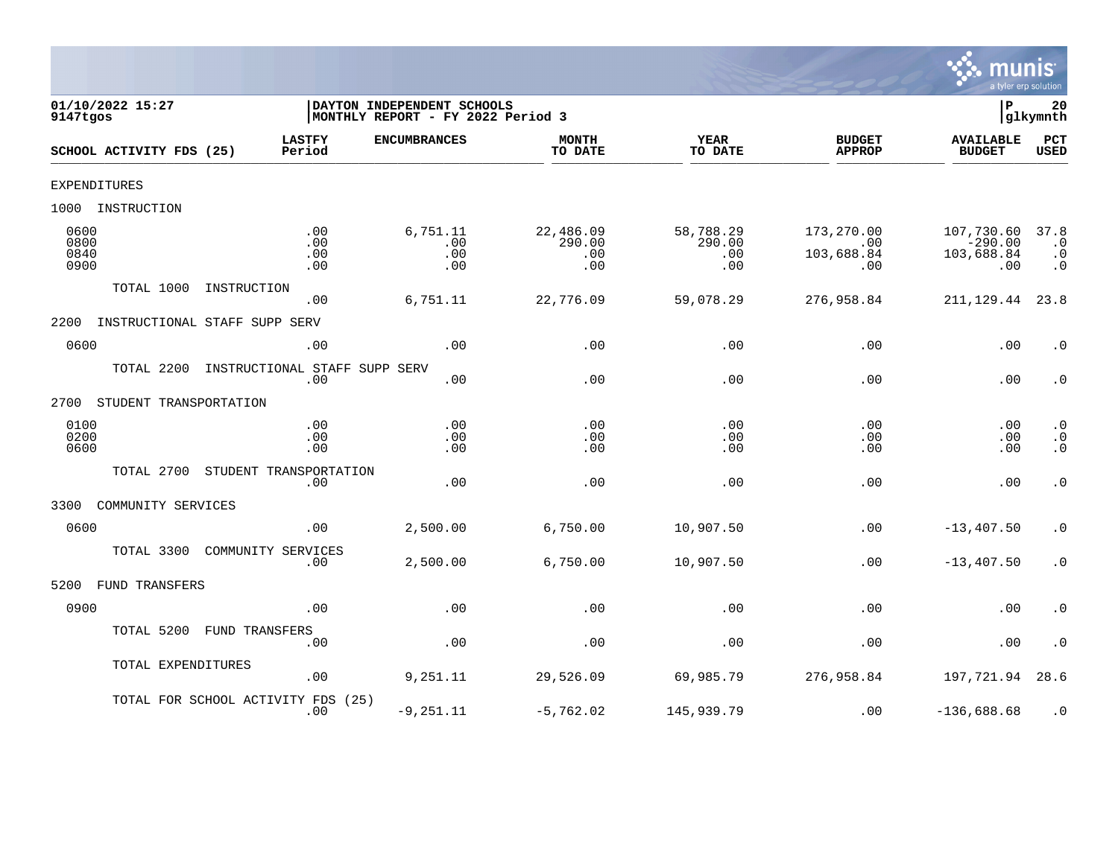

| 9147tgos                     | 01/10/2022 15:27         |                                      | DAYTON INDEPENDENT SCHOOLS<br> MONTHLY REPORT - FY 2022 Period 3 |                                   |                                   |                                        | lР                                           | 20<br>glkymnth                              |
|------------------------------|--------------------------|--------------------------------------|------------------------------------------------------------------|-----------------------------------|-----------------------------------|----------------------------------------|----------------------------------------------|---------------------------------------------|
|                              | SCHOOL ACTIVITY FDS (25) | <b>LASTFY</b><br>Period              | <b>ENCUMBRANCES</b>                                              | <b>MONTH</b><br>TO DATE           | <b>YEAR</b><br>TO DATE            | <b>BUDGET</b><br><b>APPROP</b>         | <b>AVAILABLE</b><br><b>BUDGET</b>            | PCT<br><b>USED</b>                          |
|                              | <b>EXPENDITURES</b>      |                                      |                                                                  |                                   |                                   |                                        |                                              |                                             |
| 1000                         | INSTRUCTION              |                                      |                                                                  |                                   |                                   |                                        |                                              |                                             |
| 0600<br>0800<br>0840<br>0900 |                          | .00<br>.00<br>.00<br>.00             | 6,751.11<br>.00<br>.00<br>.00                                    | 22,486.09<br>290.00<br>.00<br>.00 | 58,788.29<br>290.00<br>.00<br>.00 | 173,270.00<br>.00<br>103,688.84<br>.00 | 107,730.60<br>$-290.00$<br>103,688.84<br>.00 | 37.8<br>$\cdot$ 0<br>$\cdot$ 0<br>$\cdot$ 0 |
|                              | TOTAL 1000               | INSTRUCTION<br>.00                   | 6,751.11                                                         | 22,776.09                         | 59,078.29                         | 276,958.84                             | 211, 129.44                                  | 23.8                                        |
| 2200                         |                          | INSTRUCTIONAL STAFF SUPP SERV        |                                                                  |                                   |                                   |                                        |                                              |                                             |
| 0600                         |                          | .00                                  | .00                                                              | .00                               | .00                               | .00                                    | .00                                          | $\cdot$ 0                                   |
|                              | TOTAL 2200               | INSTRUCTIONAL STAFF SUPP SERV<br>.00 | .00                                                              | .00                               | .00                               | .00                                    | .00                                          | $\cdot$ 0                                   |
| 2700                         | STUDENT TRANSPORTATION   |                                      |                                                                  |                                   |                                   |                                        |                                              |                                             |
| 0100<br>0200<br>0600         |                          | .00<br>.00<br>.00                    | .00<br>.00<br>.00                                                | .00<br>.00<br>.00                 | .00<br>.00<br>.00                 | .00<br>.00<br>.00                      | .00<br>.00<br>.00                            | $\cdot$ 0<br>$\cdot$ 0<br>$\ddot{0}$        |
|                              | TOTAL 2700               | STUDENT TRANSPORTATION<br>.00        | .00                                                              | .00                               | .00                               | .00                                    | .00                                          | $\cdot$ 0                                   |
| 3300                         | COMMUNITY SERVICES       |                                      |                                                                  |                                   |                                   |                                        |                                              |                                             |
| 0600                         |                          | .00                                  | 2,500.00                                                         | 6,750.00                          | 10,907.50                         | .00                                    | $-13, 407.50$                                | $\cdot$ 0                                   |
|                              | TOTAL 3300               | COMMUNITY SERVICES<br>.00            | 2,500.00                                                         | 6,750.00                          | 10,907.50                         | .00                                    | $-13,407.50$                                 | $\cdot$ 0                                   |
| 5200                         | <b>FUND TRANSFERS</b>    |                                      |                                                                  |                                   |                                   |                                        |                                              |                                             |
| 0900                         |                          | .00                                  | .00                                                              | .00                               | .00                               | .00                                    | .00                                          | $\cdot$ 0                                   |
|                              | TOTAL 5200               | FUND TRANSFERS<br>.00                | .00                                                              | .00                               | .00                               | .00                                    | .00                                          | $\cdot$ 0                                   |
|                              | TOTAL EXPENDITURES       | .00                                  | 9,251.11                                                         | 29,526.09                         | 69,985.79                         | 276,958.84                             | 197,721.94                                   | 28.6                                        |
|                              |                          | TOTAL FOR SCHOOL ACTIVITY FDS<br>.00 | (25)<br>$-9, 251.11$                                             | $-5,762.02$                       | 145,939.79                        | .00                                    | $-136,688.68$                                | $\cdot$ 0                                   |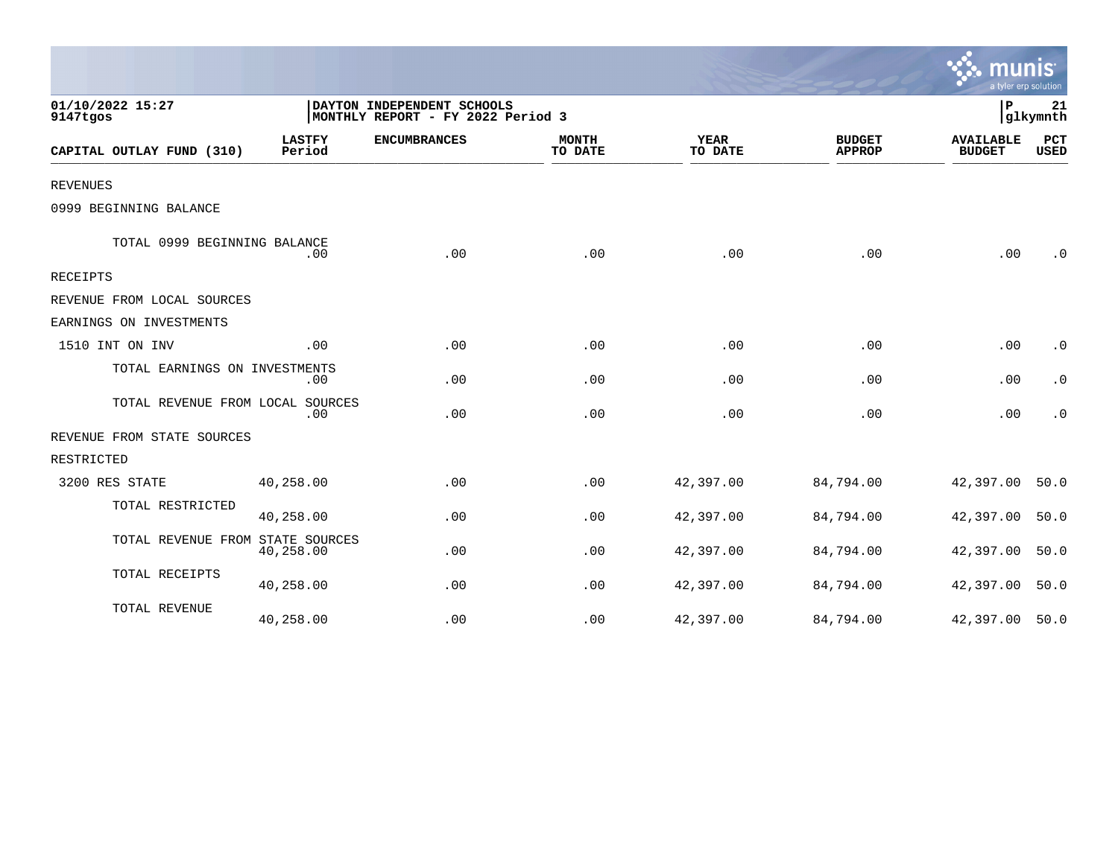|                                  |                         |                                                                 |                         |                        |                                | a tyler erp solution              |                    |
|----------------------------------|-------------------------|-----------------------------------------------------------------|-------------------------|------------------------|--------------------------------|-----------------------------------|--------------------|
| 01/10/2022 15:27<br>9147tgos     |                         | DAYTON INDEPENDENT SCHOOLS<br>MONTHLY REPORT - FY 2022 Period 3 |                         |                        |                                | P                                 | 21<br> glkymnth    |
| CAPITAL OUTLAY FUND (310)        | <b>LASTFY</b><br>Period | <b>ENCUMBRANCES</b>                                             | <b>MONTH</b><br>TO DATE | <b>YEAR</b><br>TO DATE | <b>BUDGET</b><br><b>APPROP</b> | <b>AVAILABLE</b><br><b>BUDGET</b> | PCT<br><b>USED</b> |
| <b>REVENUES</b>                  |                         |                                                                 |                         |                        |                                |                                   |                    |
| 0999 BEGINNING BALANCE           |                         |                                                                 |                         |                        |                                |                                   |                    |
| TOTAL 0999 BEGINNING BALANCE     | .00                     | .00                                                             | .00                     | .00                    | .00                            | .00                               | $\cdot$ 0          |
| <b>RECEIPTS</b>                  |                         |                                                                 |                         |                        |                                |                                   |                    |
| REVENUE FROM LOCAL SOURCES       |                         |                                                                 |                         |                        |                                |                                   |                    |
| EARNINGS ON INVESTMENTS          |                         |                                                                 |                         |                        |                                |                                   |                    |
| 1510 INT ON INV                  | .00                     | .00                                                             | .00                     | .00                    | .00                            | .00                               | $\cdot$ 0          |
| TOTAL EARNINGS ON INVESTMENTS    | .00                     | .00                                                             | .00                     | .00                    | .00                            | .00                               | $\cdot$ 0          |
| TOTAL REVENUE FROM LOCAL SOURCES | .00                     | .00                                                             | .00                     | .00                    | .00                            | .00                               | $\cdot$ 0          |
| REVENUE FROM STATE SOURCES       |                         |                                                                 |                         |                        |                                |                                   |                    |
| RESTRICTED                       |                         |                                                                 |                         |                        |                                |                                   |                    |
| 3200 RES STATE                   | 40,258.00               | .00                                                             | .00                     | 42,397.00              | 84,794.00                      | 42,397.00                         | 50.0               |
| TOTAL RESTRICTED                 | 40,258.00               | .00                                                             | .00                     | 42,397.00              | 84,794.00                      | 42,397.00                         | 50.0               |
| TOTAL REVENUE FROM STATE SOURCES | 40,258.00               | .00                                                             | .00                     | 42,397.00              | 84,794.00                      | 42,397.00                         | 50.0               |
| TOTAL RECEIPTS                   | 40,258.00               | .00                                                             | .00                     | 42,397.00              | 84,794.00                      | 42,397.00                         | 50.0               |
| TOTAL REVENUE                    | 40,258.00               | .00                                                             | .00                     | 42,397.00              | 84,794.00                      | 42,397.00                         | 50.0               |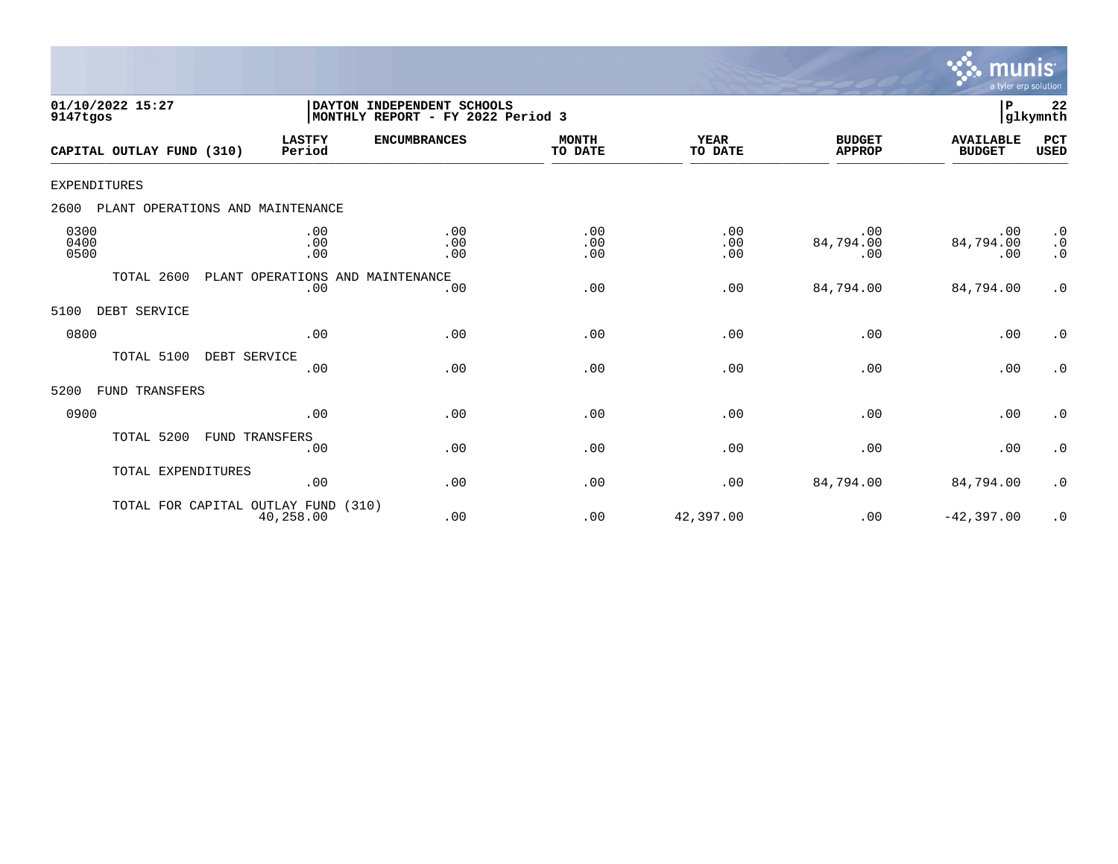

| 01/10/2022 15:27<br>9147tgos             | DAYTON INDEPENDENT SCHOOLS<br> MONTHLY REPORT - FY 2022 Period 3 | $\mathbf P$<br>22<br>glkymnth |                         |                        |                                |                                   |                                     |
|------------------------------------------|------------------------------------------------------------------|-------------------------------|-------------------------|------------------------|--------------------------------|-----------------------------------|-------------------------------------|
| CAPITAL OUTLAY FUND (310)                | <b>LASTFY</b><br>Period                                          | <b>ENCUMBRANCES</b>           | <b>MONTH</b><br>TO DATE | <b>YEAR</b><br>TO DATE | <b>BUDGET</b><br><b>APPROP</b> | <b>AVAILABLE</b><br><b>BUDGET</b> | PCT<br><b>USED</b>                  |
| EXPENDITURES                             |                                                                  |                               |                         |                        |                                |                                   |                                     |
| 2600<br>PLANT OPERATIONS AND MAINTENANCE |                                                                  |                               |                         |                        |                                |                                   |                                     |
| 0300<br>0400<br>0500                     | .00<br>.00<br>.00                                                | .00<br>.00<br>.00             | .00<br>.00<br>.00       | .00<br>.00<br>.00      | .00<br>84,794.00<br>.00        | .00<br>84,794.00<br>.00           | $\cdot$ 0<br>$\cdot$ 0<br>$\cdot$ 0 |
| TOTAL 2600                               | PLANT OPERATIONS AND MAINTENANCE<br>.00                          | .00                           | .00                     | .00                    | 84,794.00                      | 84,794.00                         | $\cdot$ 0                           |
| DEBT SERVICE<br>5100                     |                                                                  |                               |                         |                        |                                |                                   |                                     |
| 0800                                     | .00                                                              | .00                           | .00                     | .00                    | .00                            | .00                               | $\cdot$ 0                           |
| TOTAL 5100<br>DEBT SERVICE               | .00                                                              | .00                           | .00                     | .00                    | .00                            | .00                               | $\cdot$ 0                           |
| FUND TRANSFERS<br>5200                   |                                                                  |                               |                         |                        |                                |                                   |                                     |
| 0900                                     | .00                                                              | .00                           | .00                     | .00                    | .00                            | .00                               | $\cdot$ 0                           |
| TOTAL 5200                               | FUND TRANSFERS<br>.00                                            | .00                           | .00                     | .00                    | .00                            | .00                               | $\cdot$ 0                           |
| TOTAL EXPENDITURES                       | .00                                                              | .00                           | .00                     | .00                    | 84,794.00                      | 84,794.00                         | $\cdot$ 0                           |
| TOTAL FOR CAPITAL OUTLAY FUND            | 40,258.00                                                        | (310)<br>.00                  | .00                     | 42,397.00              | .00                            | $-42, 397.00$                     | $\cdot$ 0                           |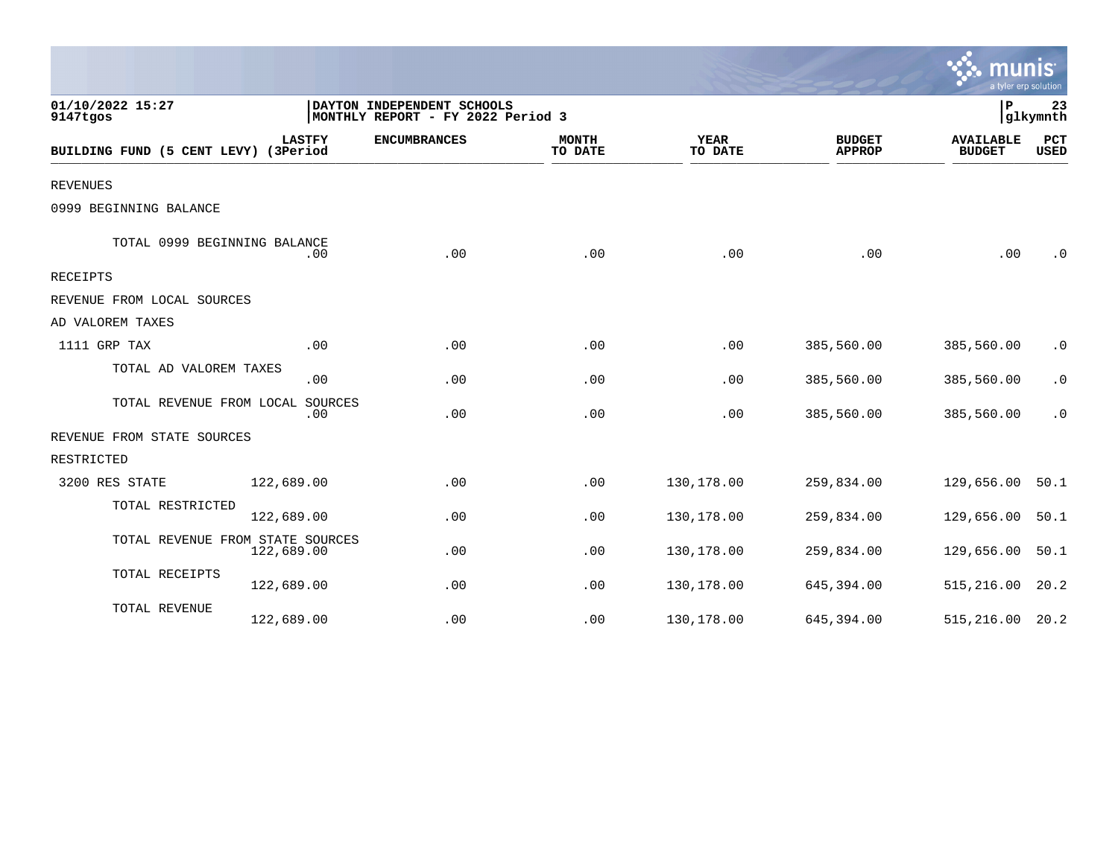|                                      |                |                                                                 |                         |                        |                                | munis<br>a tyler erp solution     |                    |
|--------------------------------------|----------------|-----------------------------------------------------------------|-------------------------|------------------------|--------------------------------|-----------------------------------|--------------------|
| 01/10/2022 15:27<br>9147tgos         |                | DAYTON INDEPENDENT SCHOOLS<br>MONTHLY REPORT - FY 2022 Period 3 |                         |                        |                                | P                                 | 23<br>glkymnth     |
| BUILDING FUND (5 CENT LEVY) (3Period | <b>LASTFY</b>  | <b>ENCUMBRANCES</b>                                             | <b>MONTH</b><br>TO DATE | <b>YEAR</b><br>TO DATE | <b>BUDGET</b><br><b>APPROP</b> | <b>AVAILABLE</b><br><b>BUDGET</b> | PCT<br><b>USED</b> |
| <b>REVENUES</b>                      |                |                                                                 |                         |                        |                                |                                   |                    |
| 0999 BEGINNING BALANCE               |                |                                                                 |                         |                        |                                |                                   |                    |
| TOTAL 0999 BEGINNING BALANCE         | .00            | .00                                                             | .00                     | .00                    | .00                            | .00                               | $\cdot$ 0          |
| <b>RECEIPTS</b>                      |                |                                                                 |                         |                        |                                |                                   |                    |
| REVENUE FROM LOCAL SOURCES           |                |                                                                 |                         |                        |                                |                                   |                    |
| AD VALOREM TAXES                     |                |                                                                 |                         |                        |                                |                                   |                    |
| 1111 GRP TAX                         | .00            | .00                                                             | .00                     | .00                    | 385,560.00                     | 385,560.00                        | $\cdot$ 0          |
| TOTAL AD VALOREM TAXES               | .00            | .00                                                             | .00                     | .00                    | 385,560.00                     | 385,560.00                        | $\cdot$ 0          |
| TOTAL REVENUE FROM LOCAL             | SOURCES<br>.00 | .00                                                             | .00                     | .00                    | 385,560.00                     | 385,560.00                        | $\cdot$ 0          |
| REVENUE FROM STATE SOURCES           |                |                                                                 |                         |                        |                                |                                   |                    |
| RESTRICTED                           |                |                                                                 |                         |                        |                                |                                   |                    |
| 3200 RES STATE                       | 122,689.00     | .00                                                             | .00                     | 130,178.00             | 259,834.00                     | 129,656.00                        | 50.1               |
| TOTAL RESTRICTED                     | 122,689.00     | .00                                                             | .00                     | 130,178.00             | 259,834.00                     | 129,656.00                        | 50.1               |
| TOTAL REVENUE FROM STATE SOURCES     | 122,689.00     | .00                                                             | .00                     | 130,178.00             | 259,834.00                     | 129,656.00                        | 50.1               |
| TOTAL RECEIPTS                       | 122,689.00     | .00                                                             | .00                     | 130,178.00             | 645,394.00                     | 515,216.00                        | 20.2               |
| TOTAL REVENUE                        | 122,689.00     | .00                                                             | .00                     | 130,178.00             | 645,394.00                     | 515,216.00                        | 20.2               |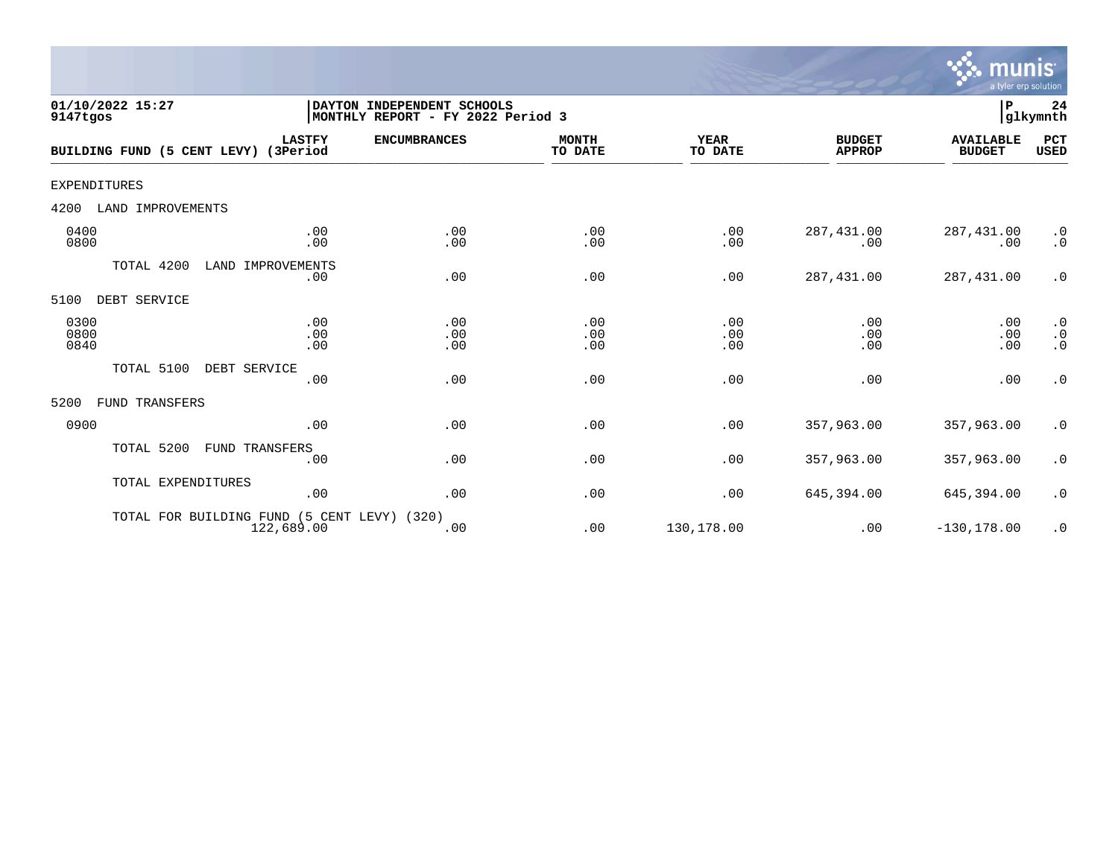

| 01/10/2022 15:27<br>9147tgos         |                          | DAYTON INDEPENDENT SCHOOLS<br>MONTHLY REPORT - FY 2022 Period 3 |                         |                        |                                | $\, {\bf P}$                      | 24<br>glkymnth                      |
|--------------------------------------|--------------------------|-----------------------------------------------------------------|-------------------------|------------------------|--------------------------------|-----------------------------------|-------------------------------------|
| BUILDING FUND (5 CENT LEVY) (3Period | <b>LASTFY</b>            | <b>ENCUMBRANCES</b>                                             | <b>MONTH</b><br>TO DATE | <b>YEAR</b><br>TO DATE | <b>BUDGET</b><br><b>APPROP</b> | <b>AVAILABLE</b><br><b>BUDGET</b> | PCT<br><b>USED</b>                  |
| <b>EXPENDITURES</b>                  |                          |                                                                 |                         |                        |                                |                                   |                                     |
| 4200<br>LAND IMPROVEMENTS            |                          |                                                                 |                         |                        |                                |                                   |                                     |
| 0400<br>0800                         | .00<br>.00               | .00<br>.00                                                      | .00<br>.00              | .00<br>.00             | 287, 431.00<br>.00             | 287,431.00<br>.00                 | $\cdot$ 0<br>$\cdot$ 0              |
| TOTAL 4200                           | LAND IMPROVEMENTS<br>.00 | .00                                                             | .00                     | .00                    | 287,431.00                     | 287,431.00                        | $\cdot$ 0                           |
| 5100<br>DEBT SERVICE                 |                          |                                                                 |                         |                        |                                |                                   |                                     |
| 0300<br>0800<br>0840                 | .00<br>.00<br>.00        | .00<br>.00<br>.00                                               | .00<br>.00<br>.00       | .00<br>.00<br>.00      | .00<br>.00<br>.00              | .00<br>.00<br>.00                 | $\cdot$ 0<br>$\cdot$ 0<br>$\cdot$ 0 |
| TOTAL 5100                           | DEBT SERVICE             |                                                                 |                         |                        |                                |                                   |                                     |
|                                      | .00                      | .00                                                             | .00                     | .00                    | .00                            | .00                               | $\cdot$ 0                           |
| FUND TRANSFERS<br>5200               |                          |                                                                 |                         |                        |                                |                                   |                                     |
| 0900                                 | .00                      | .00                                                             | .00                     | .00                    | 357,963.00                     | 357,963.00                        | $\cdot$ 0                           |
| TOTAL 5200                           | FUND TRANSFERS<br>.00    | .00                                                             | .00                     | .00                    | 357,963.00                     | 357,963.00                        | $\cdot$ 0                           |
| TOTAL EXPENDITURES                   | .00                      | .00                                                             | .00                     | .00                    | 645,394.00                     | 645,394.00                        | $\cdot$ 0                           |
| TOTAL FOR BUILDING FUND              | 122,689.00               | (5 CENT LEVY) (320)<br>.00                                      | .00                     | 130,178.00             | .00                            | $-130, 178.00$                    | $\cdot$ 0                           |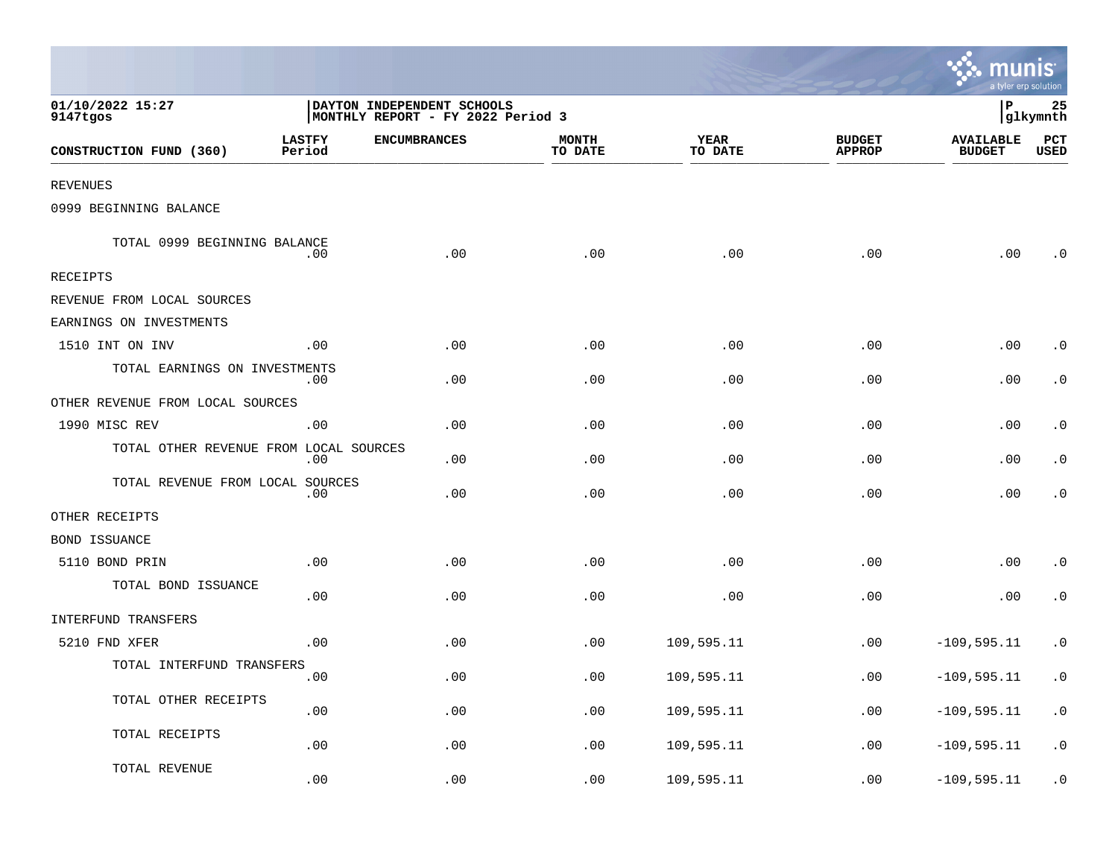|                                        |                         |                                                                 |                         |                 |                                | munis<br>a tyler erp solution     |                        |
|----------------------------------------|-------------------------|-----------------------------------------------------------------|-------------------------|-----------------|--------------------------------|-----------------------------------|------------------------|
| 01/10/2022 15:27<br>9147tgos           |                         | DAYTON INDEPENDENT SCHOOLS<br>MONTHLY REPORT - FY 2022 Period 3 |                         |                 |                                | ∣P                                | 25<br> glkymnth        |
| CONSTRUCTION FUND (360)                | <b>LASTFY</b><br>Period | <b>ENCUMBRANCES</b>                                             | <b>MONTH</b><br>TO DATE | YEAR<br>TO DATE | <b>BUDGET</b><br><b>APPROP</b> | <b>AVAILABLE</b><br><b>BUDGET</b> | PCT<br>USED            |
| <b>REVENUES</b>                        |                         |                                                                 |                         |                 |                                |                                   |                        |
| 0999 BEGINNING BALANCE                 |                         |                                                                 |                         |                 |                                |                                   |                        |
| TOTAL 0999 BEGINNING BALANCE           | .00                     | .00                                                             | .00                     | .00             | .00                            | .00                               | . 0                    |
| RECEIPTS                               |                         |                                                                 |                         |                 |                                |                                   |                        |
| REVENUE FROM LOCAL SOURCES             |                         |                                                                 |                         |                 |                                |                                   |                        |
| EARNINGS ON INVESTMENTS                |                         |                                                                 |                         |                 |                                |                                   |                        |
| 1510 INT ON INV                        | .00                     | .00                                                             | .00                     | .00             | .00                            | .00                               | $\cdot$ 0              |
| TOTAL EARNINGS ON INVESTMENTS          | .00                     | .00                                                             | .00                     | .00             | .00                            | .00                               | $\cdot$ 0              |
| OTHER REVENUE FROM LOCAL SOURCES       |                         |                                                                 |                         |                 |                                |                                   |                        |
| 1990 MISC REV                          | .00                     | .00                                                             | .00                     | .00             | .00                            | .00                               | . 0                    |
| TOTAL OTHER REVENUE FROM LOCAL SOURCES | .00                     | .00                                                             | .00                     | .00             | .00                            | .00                               | $\cdot$ 0              |
| TOTAL REVENUE FROM LOCAL SOURCES       | .00                     | .00                                                             | .00                     | .00             | .00                            | .00                               | $\cdot$ 0              |
| OTHER RECEIPTS                         |                         |                                                                 |                         |                 |                                |                                   |                        |
| BOND ISSUANCE                          |                         |                                                                 |                         |                 |                                |                                   |                        |
| 5110 BOND PRIN                         | .00                     | .00                                                             | .00                     | .00             | .00                            | .00                               | $\cdot$ 0              |
| TOTAL BOND ISSUANCE                    | .00                     | .00                                                             | .00                     | .00             | .00                            | .00                               | $\cdot$ 0              |
| <b>INTERFUND TRANSFERS</b>             |                         |                                                                 |                         |                 |                                |                                   |                        |
| 5210 FND XFER                          | .00                     | .00                                                             | .00                     | 109,595.11      | .00                            | $-109, 595.11$                    | $\cdot$ 0              |
| TOTAL INTERFUND TRANSFERS              | .00                     | .00                                                             | .00                     | 109,595.11      | .00                            | $-109, 595.11$                    | $\cdot$ 0              |
| TOTAL OTHER RECEIPTS                   | .00                     | .00                                                             | .00                     | 109,595.11      | .00                            | $-109, 595.11$                    | $\boldsymbol{\cdot}$ 0 |
| TOTAL RECEIPTS                         | .00                     | .00                                                             | .00                     | 109,595.11      | .00                            | $-109, 595.11$                    | $\cdot$ 0              |
| TOTAL REVENUE                          | .00                     | .00                                                             | .00                     | 109,595.11      | .00                            | $-109, 595.11$                    | $\cdot$ 0              |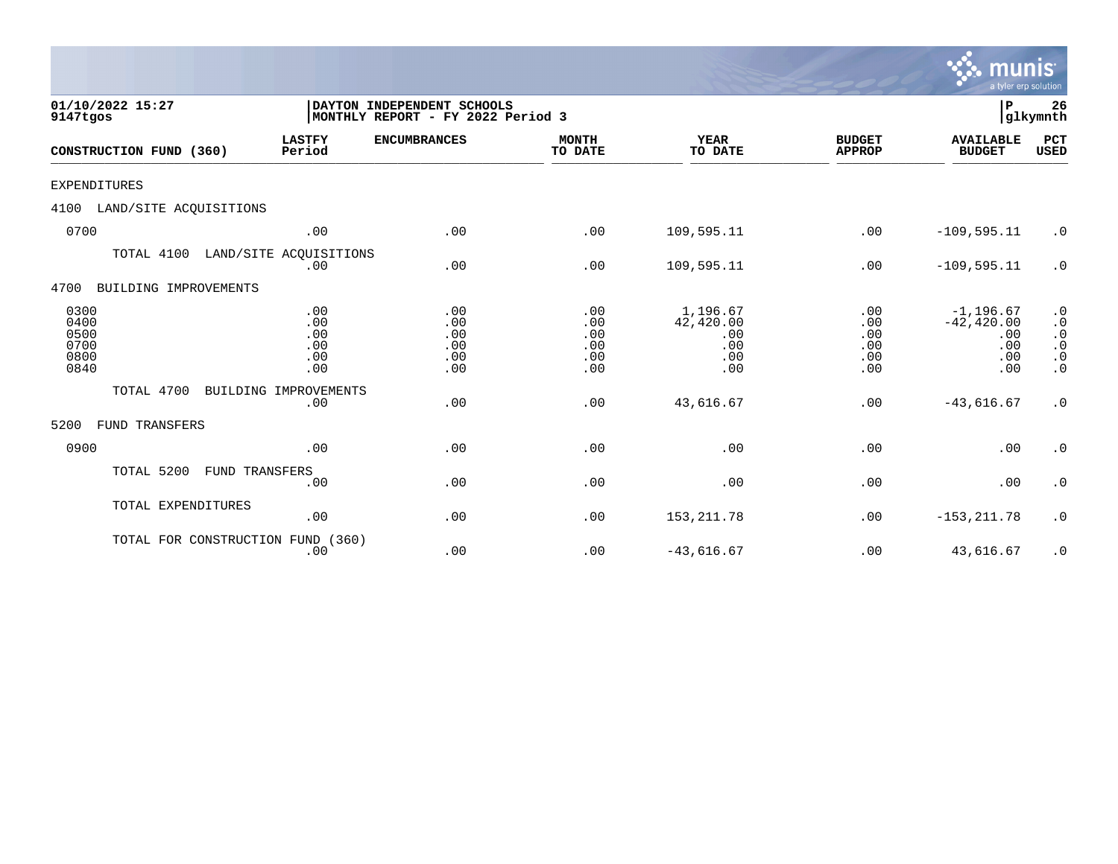|                                              |                                        |                                                                                   |                                        |                                                   |                                        | <b>munis</b><br>a tyler erp solution                      |                                                                                         |  |
|----------------------------------------------|----------------------------------------|-----------------------------------------------------------------------------------|----------------------------------------|---------------------------------------------------|----------------------------------------|-----------------------------------------------------------|-----------------------------------------------------------------------------------------|--|
| 01/10/2022 15:27<br>9147tgos                 |                                        | DAYTON INDEPENDENT SCHOOLS<br>P<br>glkymnth <br>MONTHLY REPORT - FY 2022 Period 3 |                                        |                                                   |                                        |                                                           |                                                                                         |  |
| CONSTRUCTION FUND (360)                      | <b>LASTFY</b><br>Period                | <b>ENCUMBRANCES</b>                                                               | <b>MONTH</b><br>TO DATE                | <b>YEAR</b><br>TO DATE                            | <b>BUDGET</b><br><b>APPROP</b>         | <b>AVAILABLE</b><br><b>BUDGET</b>                         | PCT<br><b>USED</b>                                                                      |  |
| <b>EXPENDITURES</b>                          |                                        |                                                                                   |                                        |                                                   |                                        |                                                           |                                                                                         |  |
| 4100<br>LAND/SITE ACQUISITIONS               |                                        |                                                                                   |                                        |                                                   |                                        |                                                           |                                                                                         |  |
| 0700                                         | .00                                    | .00                                                                               | .00                                    | 109,595.11                                        | .00                                    | $-109, 595.11$                                            | $\cdot$ 0                                                                               |  |
| TOTAL 4100                                   | LAND/SITE ACOUISITIONS<br>.00          | .00                                                                               | .00                                    | 109,595.11                                        | .00                                    | $-109, 595.11$                                            | $\cdot$ 0                                                                               |  |
| BUILDING IMPROVEMENTS<br>4700                |                                        |                                                                                   |                                        |                                                   |                                        |                                                           |                                                                                         |  |
| 0300<br>0400<br>0500<br>0700<br>0800<br>0840 | .00<br>.00<br>.00<br>.00<br>.00<br>.00 | .00<br>.00<br>.00<br>.00<br>.00<br>.00                                            | .00<br>.00<br>.00<br>.00<br>.00<br>.00 | 1,196.67<br>42,420.00<br>.00<br>.00<br>.00<br>.00 | .00<br>.00<br>.00<br>.00<br>.00<br>.00 | $-1, 196.67$<br>$-42, 420.00$<br>.00<br>.00<br>.00<br>.00 | $\cdot$ 0<br>$\cdot$ 0<br>$\cdot$ 0<br>$\cdot$ 0<br>$\boldsymbol{\cdot}$ 0<br>$\cdot$ 0 |  |
| TOTAL 4700                                   | BUILDING IMPROVEMENTS<br>.00           | .00                                                                               | .00                                    | 43,616.67                                         | .00                                    | $-43,616.67$                                              | $\cdot$ 0                                                                               |  |
| FUND TRANSFERS<br>5200                       |                                        |                                                                                   |                                        |                                                   |                                        |                                                           |                                                                                         |  |
| 0900                                         | .00                                    | .00                                                                               | .00                                    | .00                                               | .00                                    | .00                                                       | $\cdot$ 0                                                                               |  |
| TOTAL 5200<br><b>FUND TRANSFERS</b>          | .00                                    | .00                                                                               | .00                                    | .00                                               | .00                                    | .00                                                       | $\cdot$ 0                                                                               |  |
| TOTAL EXPENDITURES                           | .00                                    | .00                                                                               | .00                                    | 153, 211.78                                       | .00                                    | $-153, 211.78$                                            | $\cdot$ 0                                                                               |  |
| TOTAL FOR CONSTRUCTION FUND (360)            | .00                                    | .00                                                                               | .00                                    | $-43,616.67$                                      | .00                                    | 43,616.67                                                 | $\cdot$ 0                                                                               |  |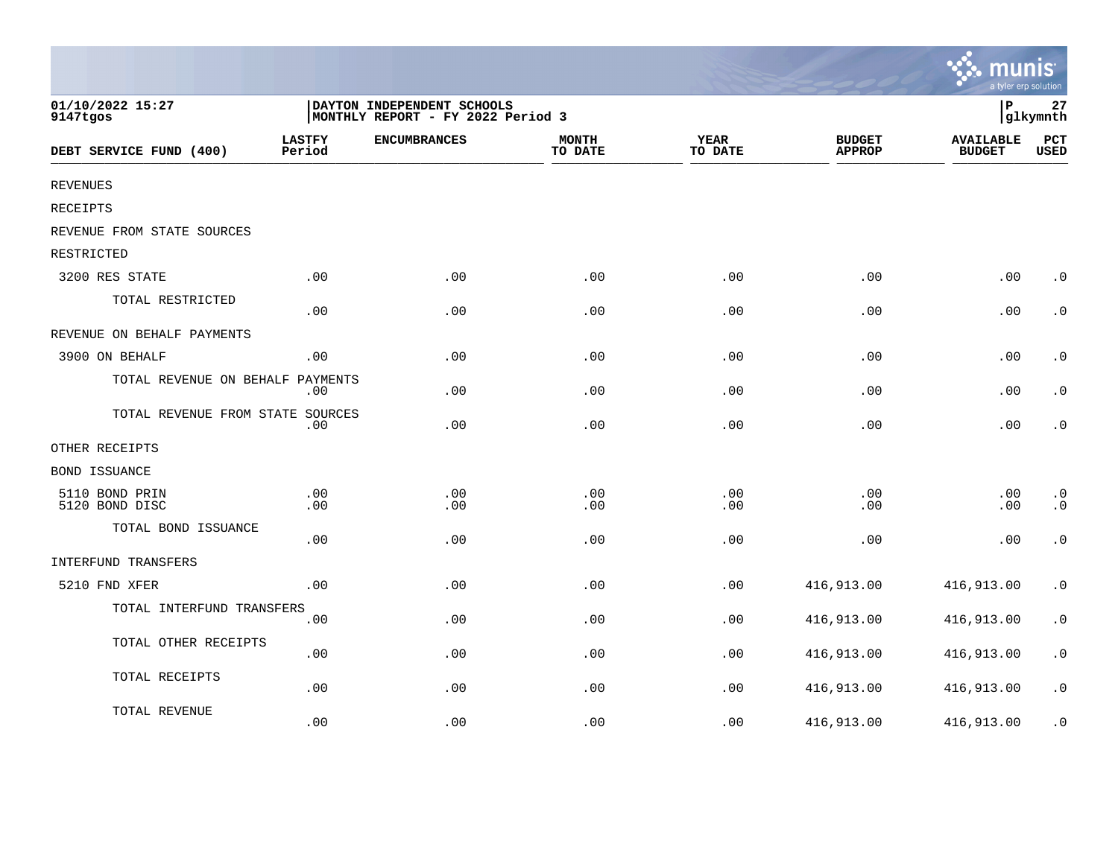|                                  |                         |                                                                 |                         |                        |                                | $\mathbf{\ddot{v}}$ munis<br>a tyler erp solution |                                     |
|----------------------------------|-------------------------|-----------------------------------------------------------------|-------------------------|------------------------|--------------------------------|---------------------------------------------------|-------------------------------------|
| 01/10/2022 15:27<br>9147tgos     |                         | DAYTON INDEPENDENT SCHOOLS<br>MONTHLY REPORT - FY 2022 Period 3 |                         |                        |                                | İР                                                | 27<br>glkymnth                      |
| DEBT SERVICE FUND (400)          | <b>LASTFY</b><br>Period | <b>ENCUMBRANCES</b>                                             | <b>MONTH</b><br>TO DATE | <b>YEAR</b><br>TO DATE | <b>BUDGET</b><br><b>APPROP</b> | <b>AVAILABLE</b><br><b>BUDGET</b>                 | PCT<br><b>USED</b>                  |
| <b>REVENUES</b>                  |                         |                                                                 |                         |                        |                                |                                                   |                                     |
| RECEIPTS                         |                         |                                                                 |                         |                        |                                |                                                   |                                     |
| REVENUE FROM STATE SOURCES       |                         |                                                                 |                         |                        |                                |                                                   |                                     |
| RESTRICTED                       |                         |                                                                 |                         |                        |                                |                                                   |                                     |
| 3200 RES STATE                   | .00                     | .00                                                             | .00                     | .00                    | .00                            | .00                                               | $\boldsymbol{\cdot}$ 0              |
| TOTAL RESTRICTED                 | .00                     | .00                                                             | .00                     | .00                    | .00                            | .00                                               | $\cdot$ 0                           |
| REVENUE ON BEHALF PAYMENTS       |                         |                                                                 |                         |                        |                                |                                                   |                                     |
| 3900 ON BEHALF                   | .00                     | .00                                                             | .00                     | .00                    | .00                            | .00                                               | $\boldsymbol{\cdot}$ 0              |
| TOTAL REVENUE ON BEHALF PAYMENTS | .00                     | .00                                                             | .00                     | .00                    | .00                            | .00                                               | $\boldsymbol{\cdot}$ 0              |
| TOTAL REVENUE FROM STATE SOURCES | .00                     | .00                                                             | .00                     | .00                    | .00                            | .00                                               | $\boldsymbol{\cdot}$ 0              |
| OTHER RECEIPTS                   |                         |                                                                 |                         |                        |                                |                                                   |                                     |
| BOND ISSUANCE                    |                         |                                                                 |                         |                        |                                |                                                   |                                     |
| 5110 BOND PRIN<br>5120 BOND DISC | .00<br>.00              | .00<br>.00                                                      | .00<br>.00              | .00<br>.00             | .00<br>.00                     | .00<br>.00                                        | $\boldsymbol{\cdot}$ 0<br>$\cdot$ 0 |
| TOTAL BOND ISSUANCE              | .00                     | .00                                                             | .00                     | .00                    | .00                            | .00                                               | $\cdot$ 0                           |
| INTERFUND TRANSFERS              |                         |                                                                 |                         |                        |                                |                                                   |                                     |
| 5210 FND XFER                    | .00                     | .00                                                             | .00                     | .00                    | 416,913.00                     | 416,913.00                                        | $\cdot$ 0                           |
| TOTAL INTERFUND TRANSFERS        | .00                     | .00                                                             | .00                     | .00                    | 416,913.00                     | 416,913.00                                        | $\boldsymbol{\cdot}$ 0              |
| TOTAL OTHER RECEIPTS             | .00                     | .00                                                             | .00                     | .00                    | 416,913.00                     | 416,913.00                                        | $\boldsymbol{\cdot}$ 0              |
| TOTAL RECEIPTS                   | .00                     | .00                                                             | .00                     | .00                    | 416,913.00                     | 416,913.00                                        | $\boldsymbol{\cdot}$ 0              |
| TOTAL REVENUE                    | .00                     | .00                                                             | .00                     | .00                    | 416,913.00                     | 416,913.00                                        | $\cdot$ 0                           |

 $\sim$   $\sim$   $\sim$   $\sim$   $\sim$   $\sim$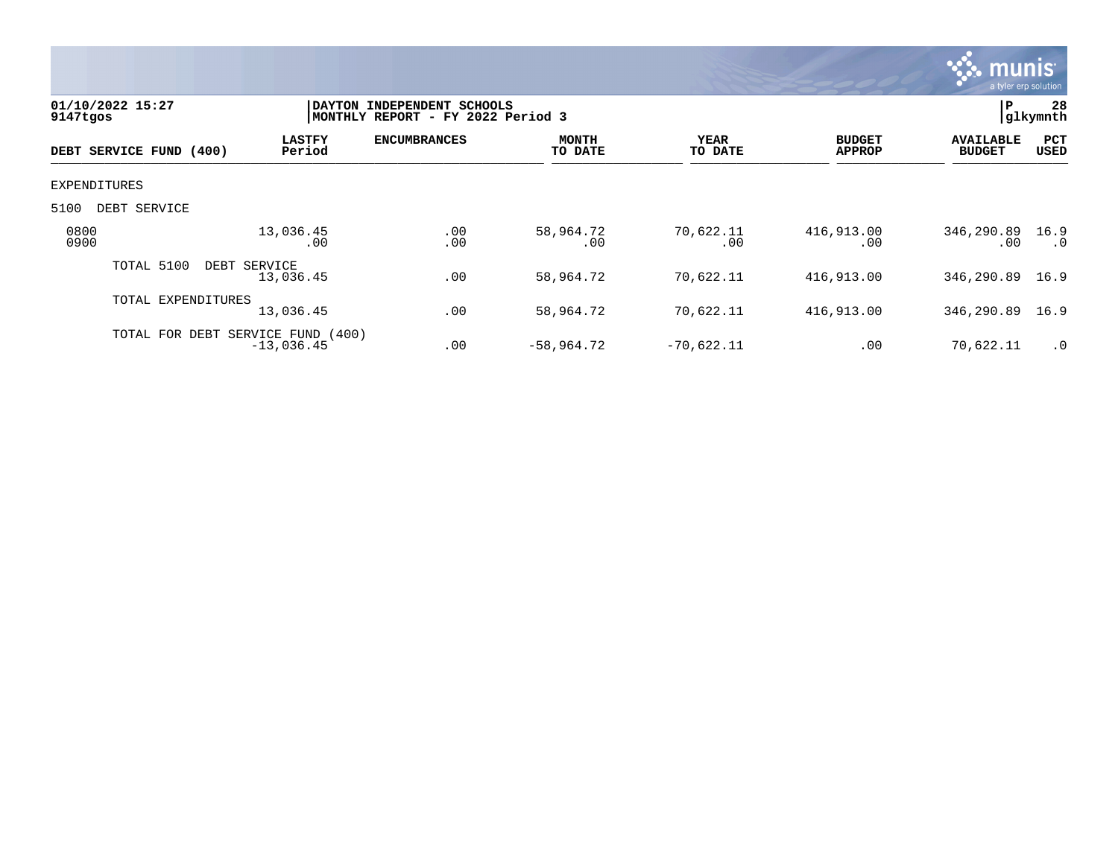

| 9147tgos     | 01/10/2022 15:27                  |                           | DAYTON INDEPENDENT SCHOOLS<br>MONTHLY REPORT - FY 2022 Period 3 |                         |                  |                                |                                   |                   |
|--------------|-----------------------------------|---------------------------|-----------------------------------------------------------------|-------------------------|------------------|--------------------------------|-----------------------------------|-------------------|
|              | DEBT SERVICE FUND (400)           | <b>LASTFY</b><br>Period   | <b>ENCUMBRANCES</b>                                             | <b>MONTH</b><br>TO DATE | YEAR<br>TO DATE  | <b>BUDGET</b><br><b>APPROP</b> | <b>AVAILABLE</b><br><b>BUDGET</b> | PCT<br>USED       |
| EXPENDITURES |                                   |                           |                                                                 |                         |                  |                                |                                   |                   |
| 5100         | DEBT SERVICE                      |                           |                                                                 |                         |                  |                                |                                   |                   |
| 0800<br>0900 |                                   | 13,036.45<br>.00          | .00<br>.00                                                      | 58,964.72<br>.00        | 70,622.11<br>.00 | 416,913.00<br>.00              | 346,290.89<br>.00                 | 16.9<br>$\cdot$ 0 |
|              | TOTAL 5100                        | DEBT SERVICE<br>13,036.45 | .00                                                             | 58,964.72               | 70,622.11        | 416,913.00                     | 346,290.89                        | 16.9              |
|              | TOTAL EXPENDITURES                | 13,036.45                 | .00                                                             | 58,964.72               | 70,622.11        | 416,913.00                     | 346,290.89                        | 16.9              |
|              | TOTAL FOR DEBT SERVICE FUND (400) | $-13,036.45$              | .00                                                             | $-58,964.72$            | $-70,622.11$     | .00                            | 70,622.11                         | $\cdot$ 0         |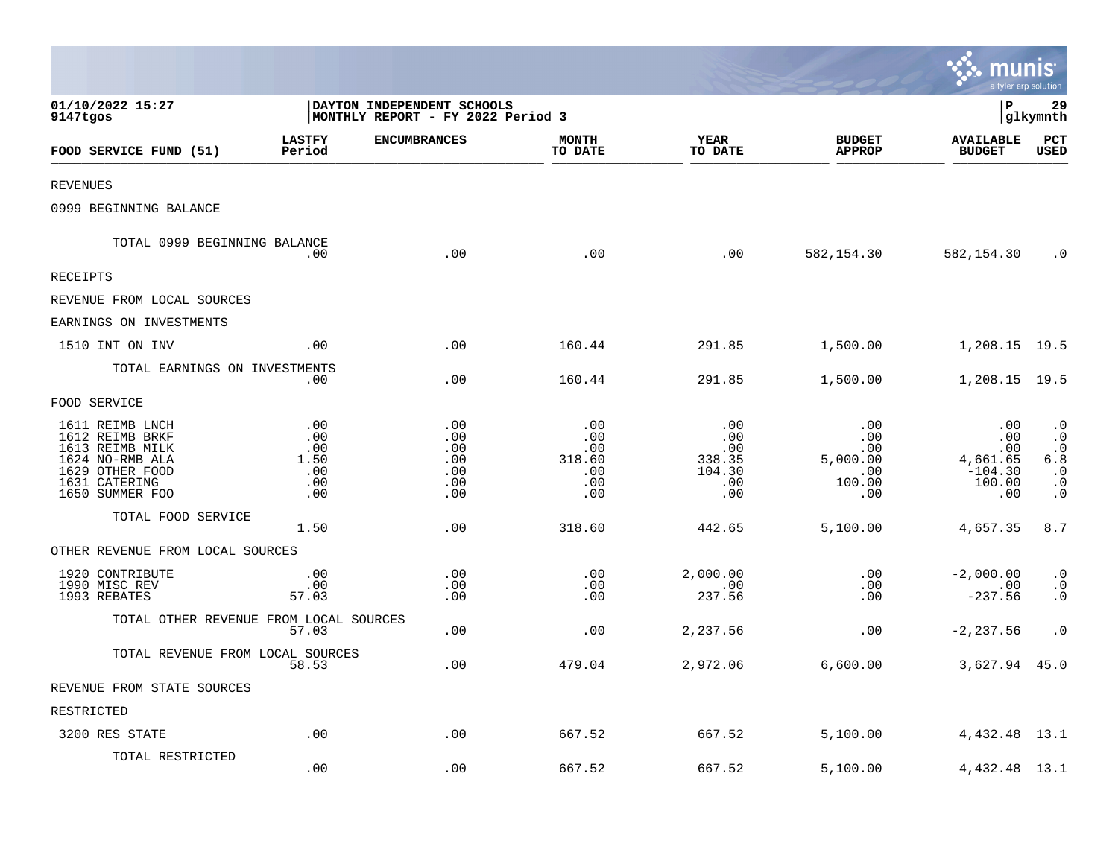|                                                                                                                                 |                                                |                                                                 |                                                       |                                                     |                                                       | munis<br>a tyler erp solution                               |                                                                                   |
|---------------------------------------------------------------------------------------------------------------------------------|------------------------------------------------|-----------------------------------------------------------------|-------------------------------------------------------|-----------------------------------------------------|-------------------------------------------------------|-------------------------------------------------------------|-----------------------------------------------------------------------------------|
| 01/10/2022 15:27<br>9147tgos                                                                                                    |                                                | DAYTON INDEPENDENT SCHOOLS<br>MONTHLY REPORT - FY 2022 Period 3 |                                                       |                                                     |                                                       | l P                                                         | 29<br>glkymnth                                                                    |
| FOOD SERVICE FUND (51)                                                                                                          | <b>LASTFY</b><br>Period                        | <b>ENCUMBRANCES</b>                                             | <b>MONTH</b><br>TO DATE                               | <b>YEAR</b><br>TO DATE                              | <b>BUDGET</b><br><b>APPROP</b>                        | <b>AVAILABLE</b><br><b>BUDGET</b>                           | PCT<br><b>USED</b>                                                                |
| <b>REVENUES</b>                                                                                                                 |                                                |                                                                 |                                                       |                                                     |                                                       |                                                             |                                                                                   |
| 0999 BEGINNING BALANCE                                                                                                          |                                                |                                                                 |                                                       |                                                     |                                                       |                                                             |                                                                                   |
| TOTAL 0999 BEGINNING BALANCE                                                                                                    | .00.                                           | .00                                                             | .00                                                   | .00                                                 | 582,154.30                                            | 582,154.30                                                  | $\cdot$ 0                                                                         |
| RECEIPTS                                                                                                                        |                                                |                                                                 |                                                       |                                                     |                                                       |                                                             |                                                                                   |
| REVENUE FROM LOCAL SOURCES                                                                                                      |                                                |                                                                 |                                                       |                                                     |                                                       |                                                             |                                                                                   |
| EARNINGS ON INVESTMENTS                                                                                                         |                                                |                                                                 |                                                       |                                                     |                                                       |                                                             |                                                                                   |
| 1510 INT ON INV                                                                                                                 | .00                                            | .00                                                             | 160.44                                                | 291.85                                              | 1,500.00                                              | 1,208.15 19.5                                               |                                                                                   |
| TOTAL EARNINGS ON INVESTMENTS                                                                                                   | $.00 \,$                                       | .00                                                             | 160.44                                                | 291.85                                              | 1,500.00                                              | 1,208.15 19.5                                               |                                                                                   |
| FOOD SERVICE                                                                                                                    |                                                |                                                                 |                                                       |                                                     |                                                       |                                                             |                                                                                   |
| 1611 REIMB LNCH<br>1612 REIMB BRKF<br>1613 REIMB MILK<br>1624 NO-RMB ALA<br>1629 OTHER FOOD<br>1631 CATERING<br>1650 SUMMER FOO | .00<br>.00<br>.00<br>1.50<br>.00<br>.00<br>.00 | .00<br>.00<br>.00<br>.00<br>.00<br>.00<br>.00                   | .00<br>.00<br>$.00 \,$<br>318.60<br>.00<br>.00<br>.00 | .00<br>.00<br>.00<br>338.35<br>104.30<br>.00<br>.00 | .00<br>.00<br>.00<br>5,000.00<br>.00<br>100.00<br>.00 | .00<br>.00<br>.00<br>4,661.65<br>$-104.30$<br>100.00<br>.00 | $\cdot$ 0<br>$\cdot$ 0<br>$\cdot$ 0<br>6.8<br>$\cdot$ 0<br>$\cdot$ 0<br>$\cdot$ 0 |
| TOTAL FOOD SERVICE                                                                                                              |                                                |                                                                 |                                                       |                                                     |                                                       |                                                             |                                                                                   |
|                                                                                                                                 | 1.50                                           | .00                                                             | 318.60                                                | 442.65                                              | 5,100.00                                              | 4,657.35                                                    | 8.7                                                                               |
| OTHER REVENUE FROM LOCAL SOURCES<br>1920 CONTRIBUTE<br>1990 MISC REV<br>1993 REBATES                                            | .00<br>.00<br>57.03                            | .00<br>.00<br>.00                                               | .00<br>.00<br>.00                                     | 2,000.00<br>.00<br>237.56                           | .00<br>.00<br>.00                                     | $-2,000.00$<br>.00<br>$-237.56$                             | $\cdot$ 0<br>$\cdot$ 0<br>$\cdot$ 0                                               |
| TOTAL OTHER REVENUE FROM LOCAL SOURCES                                                                                          | 57.03                                          | .00                                                             | .00                                                   | 2,237.56                                            | .00                                                   | $-2, 237.56$                                                | $\cdot$ 0                                                                         |
| TOTAL REVENUE FROM LOCAL SOURCES                                                                                                | 58.53                                          | .00                                                             | 479.04                                                | 2,972.06                                            | 6,600.00                                              | 3,627.94 45.0                                               |                                                                                   |
| REVENUE FROM STATE SOURCES                                                                                                      |                                                |                                                                 |                                                       |                                                     |                                                       |                                                             |                                                                                   |
| RESTRICTED                                                                                                                      |                                                |                                                                 |                                                       |                                                     |                                                       |                                                             |                                                                                   |
| 3200 RES STATE                                                                                                                  | .00                                            | .00                                                             | 667.52                                                | 667.52                                              | 5,100.00                                              | 4,432.48 13.1                                               |                                                                                   |
| TOTAL RESTRICTED                                                                                                                | .00                                            | .00                                                             | 667.52                                                | 667.52                                              | 5,100.00                                              | 4,432.48 13.1                                               |                                                                                   |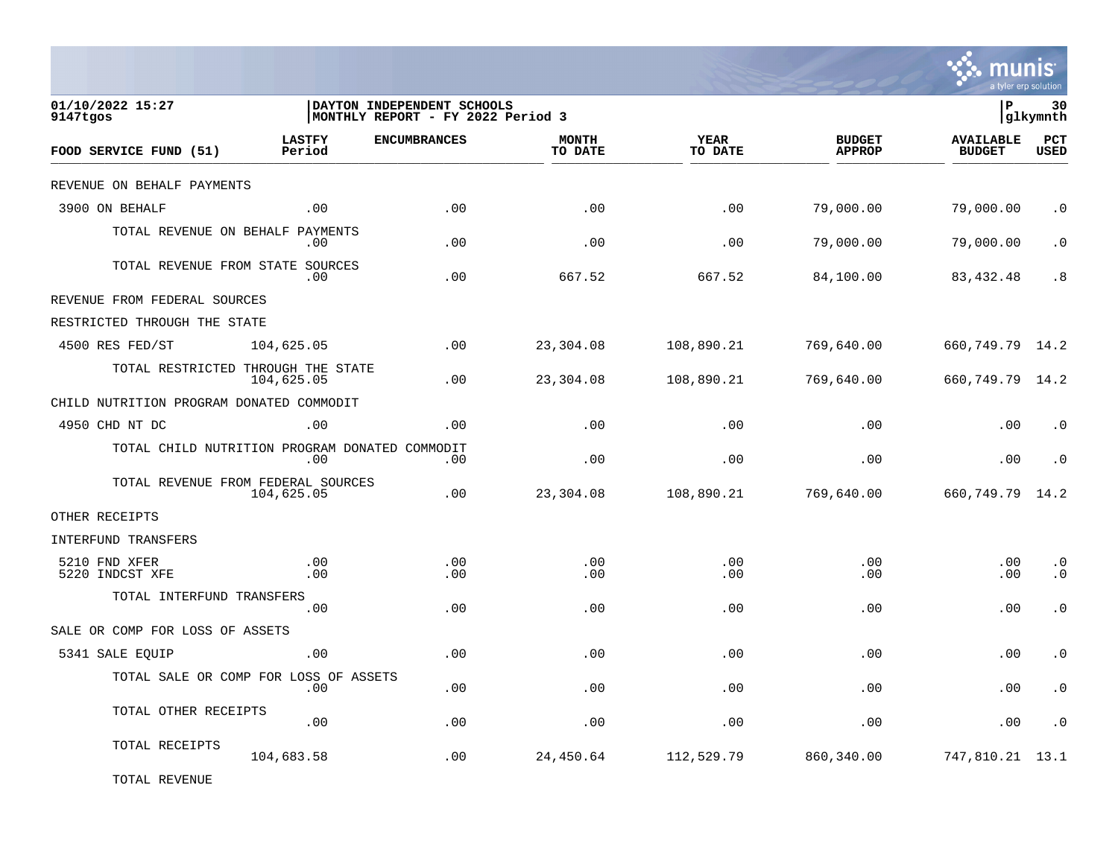

| 01/10/2022 15:27<br>9147tgos                   |                         | DAYTON INDEPENDENT SCHOOLS<br>MONTHLY REPORT - FY 2022 Period 3 |                         |                        |                                | l P                               | 30<br>glkymnth         |
|------------------------------------------------|-------------------------|-----------------------------------------------------------------|-------------------------|------------------------|--------------------------------|-----------------------------------|------------------------|
| FOOD SERVICE FUND (51)                         | <b>LASTFY</b><br>Period | <b>ENCUMBRANCES</b>                                             | <b>MONTH</b><br>TO DATE | <b>YEAR</b><br>TO DATE | <b>BUDGET</b><br><b>APPROP</b> | <b>AVAILABLE</b><br><b>BUDGET</b> | PCT<br><b>USED</b>     |
| REVENUE ON BEHALF PAYMENTS                     |                         |                                                                 |                         |                        |                                |                                   |                        |
| 3900 ON BEHALF                                 | .00                     | .00                                                             | .00                     | .00                    | 79,000.00                      | 79,000.00                         | $\cdot$ 0              |
| TOTAL REVENUE ON BEHALF PAYMENTS               | $.00 \,$                | .00                                                             | .00                     | .00                    | 79,000.00                      | 79,000.00                         | $\cdot$ 0              |
| TOTAL REVENUE FROM STATE SOURCES               | .00.                    | .00                                                             | 667.52                  | 667.52                 | 84,100.00                      | 83,432.48                         | .8                     |
| REVENUE FROM FEDERAL SOURCES                   |                         |                                                                 |                         |                        |                                |                                   |                        |
| RESTRICTED THROUGH THE STATE                   |                         |                                                                 |                         |                        |                                |                                   |                        |
| 4500 RES FED/ST                                | 104,625.05              | .00                                                             | 23,304.08               | 108,890.21             | 769,640.00                     | 660, 749. 79 14. 2                |                        |
| TOTAL RESTRICTED THROUGH THE STATE             | 104,625.05              | .00                                                             | 23,304.08               | 108,890.21             | 769,640.00                     | 660, 749. 79 14. 2                |                        |
| CHILD NUTRITION PROGRAM DONATED COMMODIT       |                         |                                                                 |                         |                        |                                |                                   |                        |
| 4950 CHD NT DC                                 | .00                     | .00                                                             | .00                     | .00                    | .00                            | .00                               | $\cdot$ 0              |
| TOTAL CHILD NUTRITION PROGRAM DONATED COMMODIT | .00                     | .00                                                             | .00                     | .00                    | .00                            | .00                               | $\cdot$ 0              |
| TOTAL REVENUE FROM FEDERAL SOURCES             | 104,625.05              | .00                                                             | 23,304.08               | 108,890.21             | 769,640.00                     | 660,749.79                        | 14.2                   |
| OTHER RECEIPTS                                 |                         |                                                                 |                         |                        |                                |                                   |                        |
| INTERFUND TRANSFERS                            |                         |                                                                 |                         |                        |                                |                                   |                        |
| 5210 FND XFER<br>5220 INDCST XFE               | .00<br>.00              | .00<br>.00                                                      | .00<br>.00              | .00<br>.00             | .00<br>.00                     | .00<br>.00                        | $\cdot$ 0<br>$\cdot$ 0 |
| TOTAL INTERFUND TRANSFERS                      | .00                     | .00                                                             | .00                     | .00                    | .00                            | .00                               | $\cdot$ 0              |
| SALE OR COMP FOR LOSS OF ASSETS                |                         |                                                                 |                         |                        |                                |                                   |                        |
| 5341 SALE EQUIP                                | .00                     | .00                                                             | .00                     | .00                    | .00                            | .00                               | $\cdot$ 0              |
| TOTAL SALE OR COMP FOR LOSS OF ASSETS          | .00                     | .00                                                             | .00                     | .00                    | .00                            | .00                               | $\cdot$ 0              |
| TOTAL OTHER RECEIPTS                           | .00                     | .00                                                             | .00                     | .00                    | .00                            | .00                               | $\cdot$ 0              |
| TOTAL RECEIPTS                                 | 104,683.58              | .00                                                             | 24,450.64               | 112,529.79             | 860,340.00                     | 747,810.21                        | 13.1                   |
|                                                |                         |                                                                 |                         |                        |                                |                                   |                        |

TOTAL REVENUE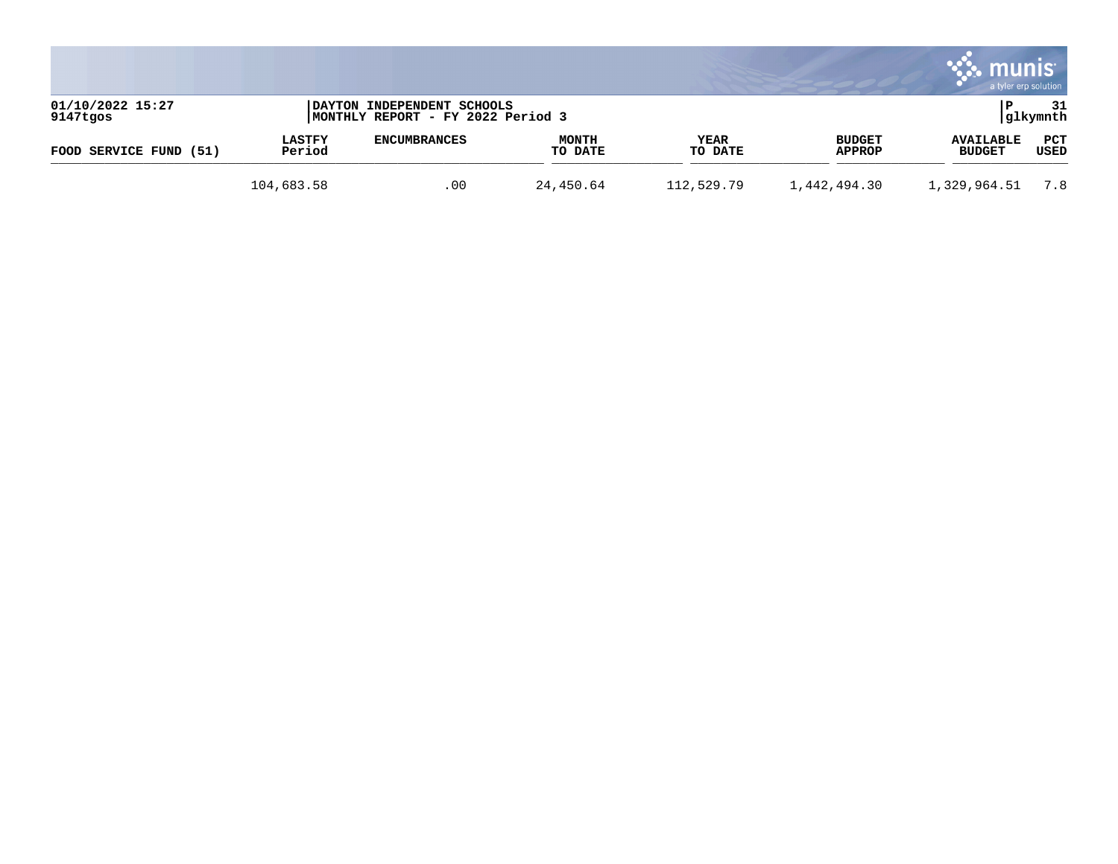|                              |                         |                                                                 |                         |                 |                         | munis                             | a tyler erp solution |
|------------------------------|-------------------------|-----------------------------------------------------------------|-------------------------|-----------------|-------------------------|-----------------------------------|----------------------|
| 01/10/2022 15:27<br>9147tgos |                         | DAYTON INDEPENDENT SCHOOLS<br>MONTHLY REPORT - FY 2022 Period 3 |                         |                 |                         |                                   | 31<br> glkymnth      |
| FOOD SERVICE FUND (51)       | <b>LASTFY</b><br>Period | <b>ENCUMBRANCES</b>                                             | <b>MONTH</b><br>TO DATE | YEAR<br>TO DATE | <b>BUDGET</b><br>APPROP | <b>AVAILABLE</b><br><b>BUDGET</b> | PCT<br>USED          |
|                              | 104,683.58              | .00                                                             | 24,450.64               | 112,529.79      | 1,442,494.30            | 1,329,964.51                      | 7.8                  |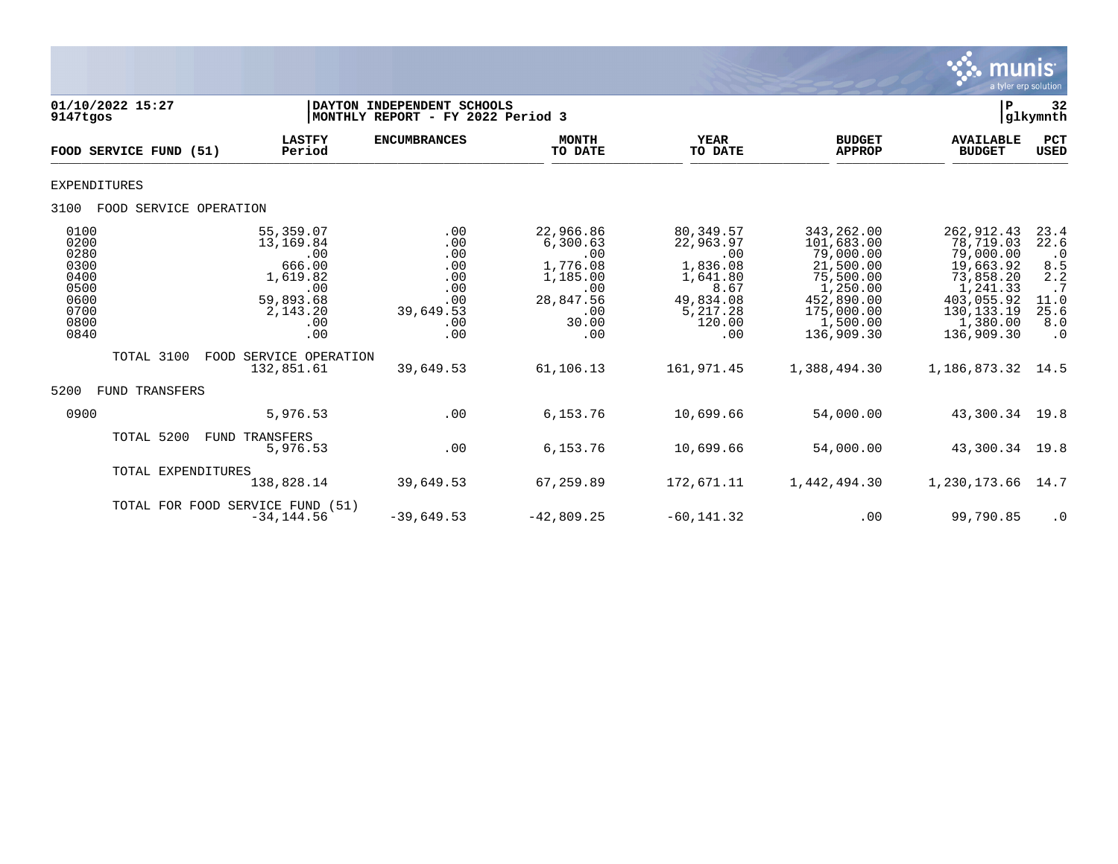

| 01/10/2022 15:27<br>9147tgos                                                 |                                                                                                   | DAYTON INDEPENDENT SCHOOLS<br>MONTHLY REPORT - FY 2022 Period 3          |                                                                                                 |                                                                                                         |                                                                                                                                    | l P                                                                                                                                 | 32<br> glkymnth                                                                          |
|------------------------------------------------------------------------------|---------------------------------------------------------------------------------------------------|--------------------------------------------------------------------------|-------------------------------------------------------------------------------------------------|---------------------------------------------------------------------------------------------------------|------------------------------------------------------------------------------------------------------------------------------------|-------------------------------------------------------------------------------------------------------------------------------------|------------------------------------------------------------------------------------------|
| FOOD SERVICE FUND (51)                                                       | <b>LASTFY</b><br>Period                                                                           | <b>ENCUMBRANCES</b>                                                      | <b>MONTH</b><br>TO DATE                                                                         | <b>YEAR</b><br>TO DATE                                                                                  | <b>BUDGET</b><br><b>APPROP</b>                                                                                                     | <b>AVAILABLE</b><br><b>BUDGET</b>                                                                                                   | PCT<br><b>USED</b>                                                                       |
| <b>EXPENDITURES</b>                                                          |                                                                                                   |                                                                          |                                                                                                 |                                                                                                         |                                                                                                                                    |                                                                                                                                     |                                                                                          |
| 3100<br>FOOD SERVICE OPERATION                                               |                                                                                                   |                                                                          |                                                                                                 |                                                                                                         |                                                                                                                                    |                                                                                                                                     |                                                                                          |
| 0100<br>0200<br>0280<br>0300<br>0400<br>0500<br>0600<br>0700<br>0800<br>0840 | 55,359.07<br>13,169.84<br>.00<br>666.00<br>1,619.82<br>.00<br>59,893.68<br>2,143.20<br>.00<br>.00 | .00<br>.00<br>.00<br>.00<br>.00<br>.00<br>.00<br>39,649.53<br>.00<br>.00 | 22,966.86<br>6,300.63<br>.00<br>1,776.08<br>1,185.00<br>.00<br>28,847.56<br>.00<br>30.00<br>.00 | 80,349.57<br>22,963.97<br>.00<br>1,836.08<br>1,641.80<br>8.67<br>49,834.08<br>5,217.28<br>120.00<br>.00 | 343, 262.00<br>101,683.00<br>79,000.00<br>21,500.00<br>75,500.00<br>1,250.00<br>452,890.00<br>175,000.00<br>1,500.00<br>136,909.30 | 262, 912.43<br>78,719.03<br>79,000.00<br>19,663.92<br>73,858.20<br>1,241.33<br>403,055.92<br>130, 133. 19<br>1,380.00<br>136,909.30 | 23.4<br>22.6<br>$\cdot$ 0<br>$\frac{8.5}{2.2}$<br>.7<br>11.0<br>25.6<br>8.0<br>$\cdot$ 0 |
| TOTAL 3100                                                                   | FOOD SERVICE OPERATION<br>132,851.61                                                              | 39,649.53                                                                | 61,106.13                                                                                       | 161,971.45                                                                                              | 1,388,494.30                                                                                                                       | 1,186,873.32                                                                                                                        | 14.5                                                                                     |
| 5200<br><b>FUND TRANSFERS</b>                                                |                                                                                                   |                                                                          |                                                                                                 |                                                                                                         |                                                                                                                                    |                                                                                                                                     |                                                                                          |
| 0900                                                                         | 5,976.53                                                                                          | .00                                                                      | 6,153.76                                                                                        | 10,699.66                                                                                               | 54,000.00                                                                                                                          | 43,300.34                                                                                                                           | 19.8                                                                                     |
| TOTAL 5200                                                                   | <b>FUND TRANSFERS</b><br>5,976.53                                                                 | .00                                                                      | 6,153.76                                                                                        | 10,699.66                                                                                               | 54,000.00                                                                                                                          | 43,300.34                                                                                                                           | 19.8                                                                                     |
| TOTAL EXPENDITURES                                                           | 138,828.14                                                                                        | 39,649.53                                                                | 67,259.89                                                                                       | 172,671.11                                                                                              | 1,442,494.30                                                                                                                       | 1,230,173.66                                                                                                                        | 14.7                                                                                     |
|                                                                              | TOTAL FOR FOOD SERVICE FUND (51)<br>$-34.144.56$                                                  | $-39,649.53$                                                             | $-42,809.25$                                                                                    | $-60, 141.32$                                                                                           | .00                                                                                                                                | 99,790.85                                                                                                                           | $\cdot$ 0                                                                                |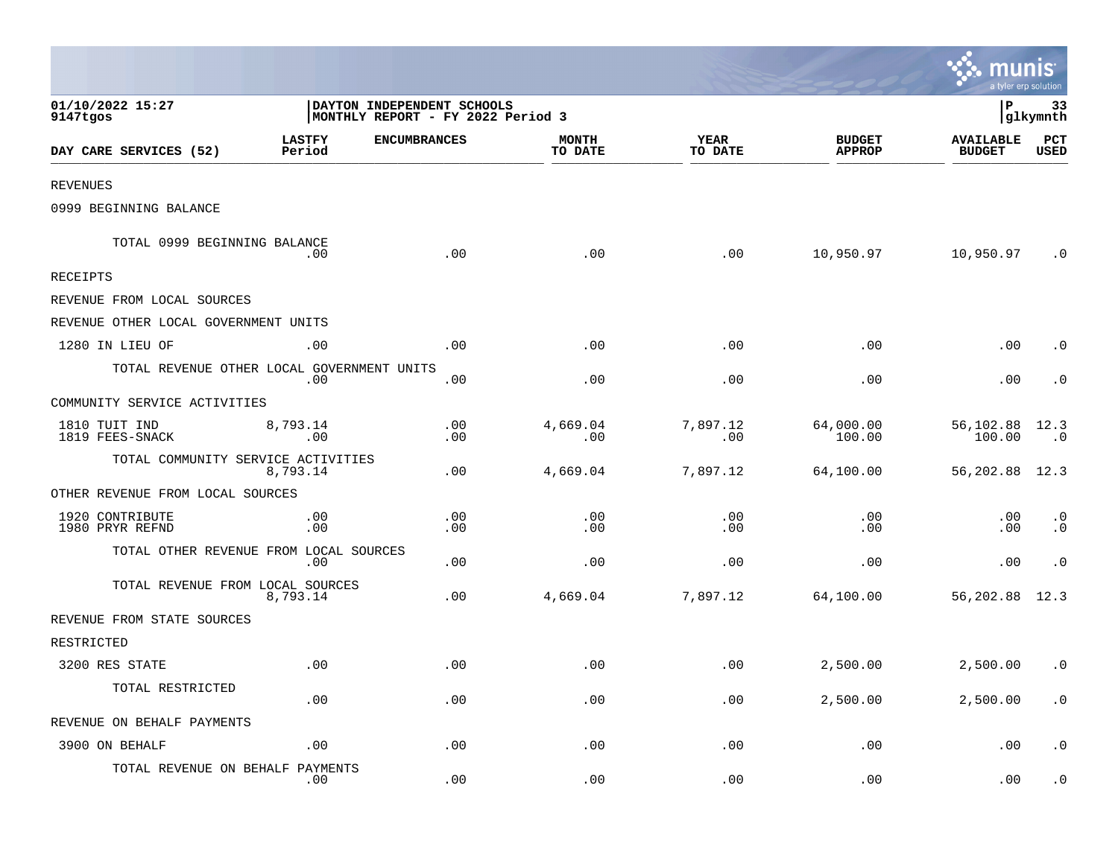|                                            |                         |                                                                  |                         |                        |                                | <b>as munis</b><br>a tyler erp solution |                        |
|--------------------------------------------|-------------------------|------------------------------------------------------------------|-------------------------|------------------------|--------------------------------|-----------------------------------------|------------------------|
| 01/10/2022 15:27<br>9147tgos               |                         | DAYTON INDEPENDENT SCHOOLS<br> MONTHLY REPORT - FY 2022 Period 3 |                         |                        |                                | l P                                     | 33<br> glkymnth        |
| DAY CARE SERVICES (52)                     | <b>LASTFY</b><br>Period | <b>ENCUMBRANCES</b>                                              | <b>MONTH</b><br>TO DATE | <b>YEAR</b><br>TO DATE | <b>BUDGET</b><br><b>APPROP</b> | <b>AVAILABLE</b><br><b>BUDGET</b>       | PCT<br><b>USED</b>     |
| <b>REVENUES</b>                            |                         |                                                                  |                         |                        |                                |                                         |                        |
| 0999 BEGINNING BALANCE                     |                         |                                                                  |                         |                        |                                |                                         |                        |
| TOTAL 0999 BEGINNING BALANCE               | .00                     | .00                                                              | .00                     | .00                    | 10,950.97                      | 10,950.97                               | $\cdot$ 0              |
| RECEIPTS                                   |                         |                                                                  |                         |                        |                                |                                         |                        |
| REVENUE FROM LOCAL SOURCES                 |                         |                                                                  |                         |                        |                                |                                         |                        |
| REVENUE OTHER LOCAL GOVERNMENT UNITS       |                         |                                                                  |                         |                        |                                |                                         |                        |
| 1280 IN LIEU OF                            | .00                     | .00                                                              | .00                     | .00                    | .00                            | .00                                     | $\cdot$ 0              |
| TOTAL REVENUE OTHER LOCAL GOVERNMENT UNITS | .00                     | .00                                                              | .00                     | .00                    | .00                            | .00                                     | $\cdot$ 0              |
| COMMUNITY SERVICE ACTIVITIES               |                         |                                                                  |                         |                        |                                |                                         |                        |
| 1810 TUIT IND<br>1819 FEES-SNACK           | 8,793.14<br>.00         | .00<br>.00                                                       | 4,669.04<br>.00         | 7.897.12<br>.00        | 64,000.00<br>100.00            | 56,102.88<br>100.00                     | 12.3<br>$\cdot$ 0      |
| TOTAL COMMUNITY SERVICE ACTIVITIES         | 8,793.14                | .00                                                              | 4,669.04                | 7,897.12               | 64,100.00                      | 56,202.88                               | 12.3                   |
| OTHER REVENUE FROM LOCAL SOURCES           |                         |                                                                  |                         |                        |                                |                                         |                        |
| 1920 CONTRIBUTE<br>1980 PRYR REFND         | .00<br>.00              | .00<br>.00                                                       | .00<br>.00              | .00<br>.00             | .00<br>.00                     | .00<br>.00                              | $\cdot$ 0<br>$\cdot$ 0 |
| TOTAL OTHER REVENUE FROM LOCAL SOURCES     | .00                     | .00                                                              | .00                     | .00                    | .00                            | .00                                     | $\cdot$ 0              |
| TOTAL REVENUE FROM LOCAL SOURCES           | 8,793.14                | .00                                                              | 4,669.04                | 7,897.12               | 64,100.00                      | 56,202.88                               | 12.3                   |
| REVENUE FROM STATE SOURCES                 |                         |                                                                  |                         |                        |                                |                                         |                        |
| RESTRICTED                                 |                         |                                                                  |                         |                        |                                |                                         |                        |
| 3200 RES STATE                             | .00                     | .00                                                              | .00                     | .00                    | 2,500.00                       | 2,500.00                                | $\cdot$ 0              |
| TOTAL RESTRICTED                           | .00                     | .00                                                              | .00                     | .00                    | 2,500.00                       | 2,500.00                                | $\cdot$ 0              |
| REVENUE ON BEHALF PAYMENTS                 |                         |                                                                  |                         |                        |                                |                                         |                        |
| 3900 ON BEHALF                             | .00                     | .00                                                              | .00                     | .00                    | .00                            | .00                                     | $\cdot$ 0              |
| TOTAL REVENUE ON BEHALF PAYMENTS           | .00                     | .00                                                              | .00                     | .00                    | .00                            | .00                                     | $\cdot$ 0              |

the contract of the contract of the contract of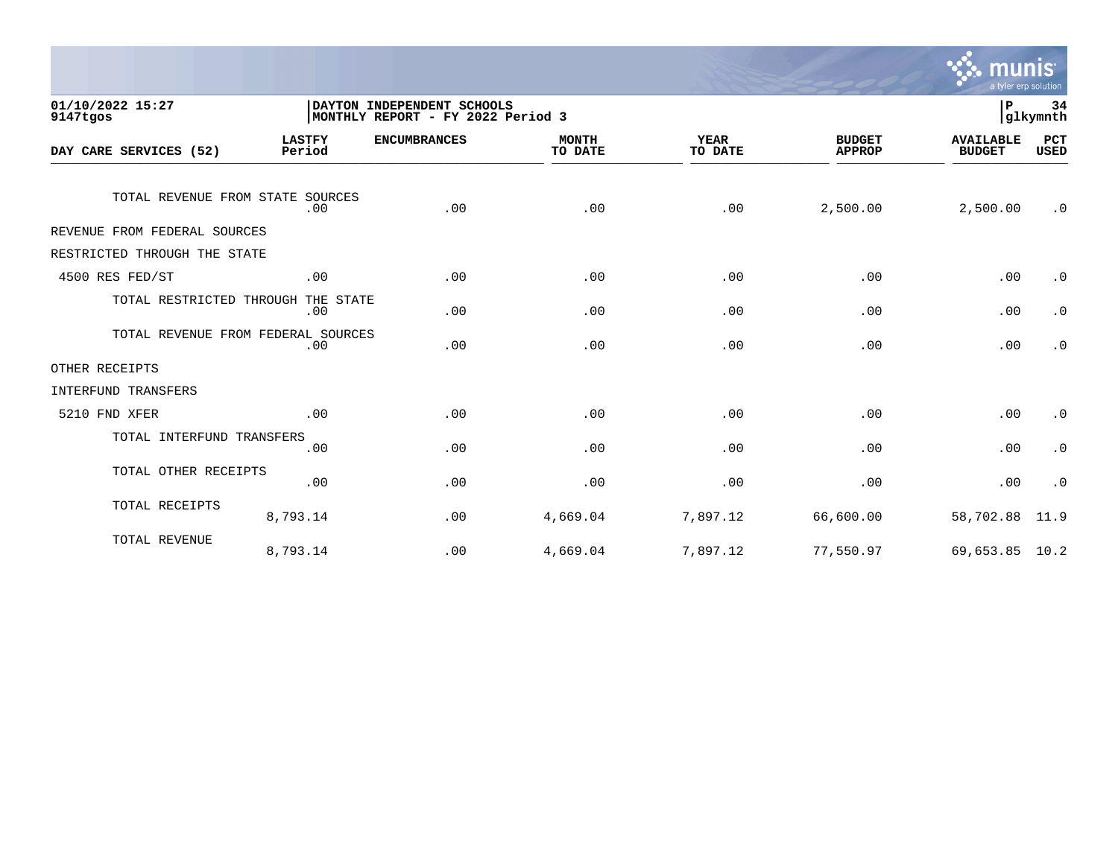

| 01/10/2022 15:27<br>9147tgos       |                         | DAYTON INDEPENDENT SCHOOLS<br>MONTHLY REPORT - FY 2022 Period 3 |                         |                        |                                |                                   |                        |
|------------------------------------|-------------------------|-----------------------------------------------------------------|-------------------------|------------------------|--------------------------------|-----------------------------------|------------------------|
| DAY CARE SERVICES (52)             | <b>LASTFY</b><br>Period | <b>ENCUMBRANCES</b>                                             | <b>MONTH</b><br>TO DATE | <b>YEAR</b><br>TO DATE | <b>BUDGET</b><br><b>APPROP</b> | <b>AVAILABLE</b><br><b>BUDGET</b> | PCT<br><b>USED</b>     |
| TOTAL REVENUE FROM STATE SOURCES   | .00                     | .00                                                             | .00                     | .00                    | 2,500.00                       | 2,500.00                          | $\cdot$ 0              |
| REVENUE FROM FEDERAL SOURCES       |                         |                                                                 |                         |                        |                                |                                   |                        |
| RESTRICTED THROUGH THE STATE       |                         |                                                                 |                         |                        |                                |                                   |                        |
| 4500 RES FED/ST                    | .00                     | .00                                                             | .00                     | .00                    | .00                            | .00                               | $\cdot$ 0              |
| TOTAL RESTRICTED THROUGH THE STATE | .00                     | .00                                                             | .00                     | .00                    | .00                            | .00                               | $\boldsymbol{\cdot}$ 0 |
| TOTAL REVENUE FROM FEDERAL SOURCES | .00                     | .00                                                             | .00                     | .00                    | .00                            | .00                               | $\cdot$ 0              |
| OTHER RECEIPTS                     |                         |                                                                 |                         |                        |                                |                                   |                        |
| INTERFUND TRANSFERS                |                         |                                                                 |                         |                        |                                |                                   |                        |
| 5210 FND XFER                      | .00                     | .00                                                             | .00                     | .00                    | .00                            | .00                               | $\cdot$ 0              |
| TOTAL INTERFUND TRANSFERS          | .00                     | .00                                                             | .00                     | .00                    | .00                            | .00                               | $\boldsymbol{\cdot}$ 0 |
| TOTAL OTHER RECEIPTS               | .00                     | .00                                                             | .00                     | .00                    | .00                            | .00                               | $\cdot$ 0              |
| TOTAL RECEIPTS                     | 8,793.14                | .00                                                             | 4,669.04                | 7,897.12               | 66,600.00                      | 58,702.88                         | 11.9                   |
| TOTAL REVENUE                      | 8,793.14                | .00                                                             | 4,669.04                | 7,897.12               | 77,550.97                      | 69,653.85 10.2                    |                        |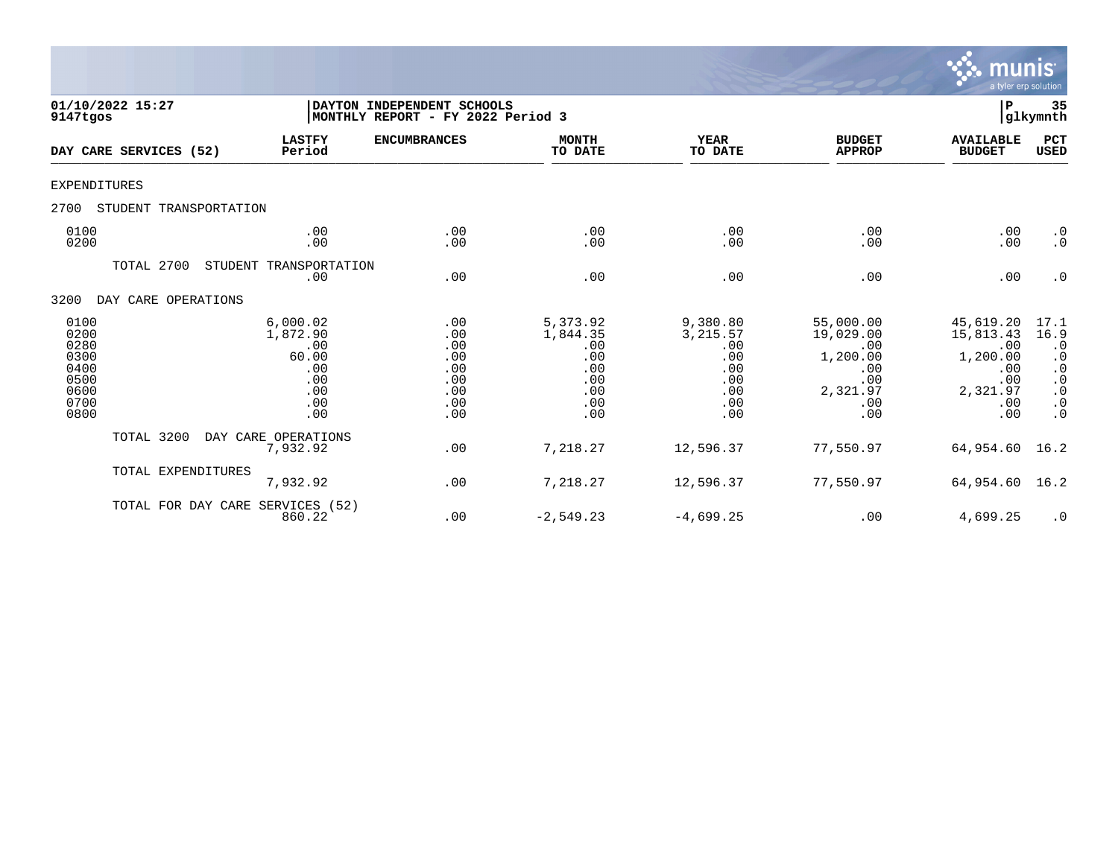

| 01/10/2022 15:27<br>9147tgos                                         |                                                                         | DAYTON INDEPENDENT SCHOOLS<br>MONTHLY REPORT - FY 2022 Period 3 |                                                                       |                                                                       |                                                                                   |                                                                                   |                                                                                                         |  |
|----------------------------------------------------------------------|-------------------------------------------------------------------------|-----------------------------------------------------------------|-----------------------------------------------------------------------|-----------------------------------------------------------------------|-----------------------------------------------------------------------------------|-----------------------------------------------------------------------------------|---------------------------------------------------------------------------------------------------------|--|
| DAY CARE SERVICES (52)                                               | <b>LASTFY</b><br>Period                                                 | <b>ENCUMBRANCES</b>                                             | <b>MONTH</b><br>TO DATE                                               | <b>YEAR</b><br>TO DATE                                                | <b>BUDGET</b><br><b>APPROP</b>                                                    | <b>AVAILABLE</b><br><b>BUDGET</b>                                                 | PCT<br><b>USED</b>                                                                                      |  |
| <b>EXPENDITURES</b>                                                  |                                                                         |                                                                 |                                                                       |                                                                       |                                                                                   |                                                                                   |                                                                                                         |  |
| 2700<br>STUDENT TRANSPORTATION                                       |                                                                         |                                                                 |                                                                       |                                                                       |                                                                                   |                                                                                   |                                                                                                         |  |
| 0100<br>0200                                                         | .00<br>.00                                                              | .00<br>.00                                                      | .00<br>.00                                                            | .00<br>.00                                                            | .00<br>.00                                                                        | .00<br>.00                                                                        | $\cdot$ 0<br>$\cdot$ 0                                                                                  |  |
| TOTAL 2700                                                           | STUDENT TRANSPORTATION<br>.00                                           | .00                                                             | .00                                                                   | .00                                                                   | .00                                                                               | .00                                                                               | $\cdot$ 0                                                                                               |  |
| 3200<br>DAY CARE OPERATIONS                                          |                                                                         |                                                                 |                                                                       |                                                                       |                                                                                   |                                                                                   |                                                                                                         |  |
| 0100<br>0200<br>0280<br>0300<br>0400<br>0500<br>0600<br>0700<br>0800 | 6,000.02<br>1,872.90<br>.00<br>60.00<br>.00<br>.00<br>.00<br>.00<br>.00 | .00<br>.00<br>.00<br>.00<br>.00<br>.00<br>.00<br>.00<br>.00     | 5,373.92<br>1,844.35<br>.00<br>.00<br>.00<br>.00<br>.00<br>.00<br>.00 | 9,380.80<br>3,215.57<br>.00<br>.00<br>.00<br>.00<br>.00<br>.00<br>.00 | 55,000.00<br>19,029.00<br>.00<br>1,200.00<br>.00<br>.00<br>2,321.97<br>.00<br>.00 | 45,619.20<br>15,813.43<br>.00<br>1,200.00<br>.00<br>.00<br>2,321.97<br>.00<br>.00 | 17.1<br>16.9<br>$\cdot$ 0<br>$\cdot$ 0<br>$\cdot$ 0<br>$\cdot$ 0<br>$\cdot$ 0<br>$\cdot$ 0<br>$\cdot$ 0 |  |
| TOTAL 3200                                                           | DAY CARE OPERATIONS<br>7,932.92                                         | .00                                                             | 7,218.27                                                              | 12,596.37                                                             | 77,550.97                                                                         | 64,954.60                                                                         | 16.2                                                                                                    |  |
| TOTAL EXPENDITURES                                                   | 7,932.92                                                                | .00                                                             | 7,218.27                                                              | 12,596.37                                                             | 77,550.97                                                                         | 64,954.60                                                                         | 16.2                                                                                                    |  |
| TOTAL FOR DAY CARE                                                   | SERVICES (52)<br>860.22                                                 | .00                                                             | $-2,549.23$                                                           | $-4,699.25$                                                           | .00                                                                               | 4,699.25                                                                          | $\cdot$ 0                                                                                               |  |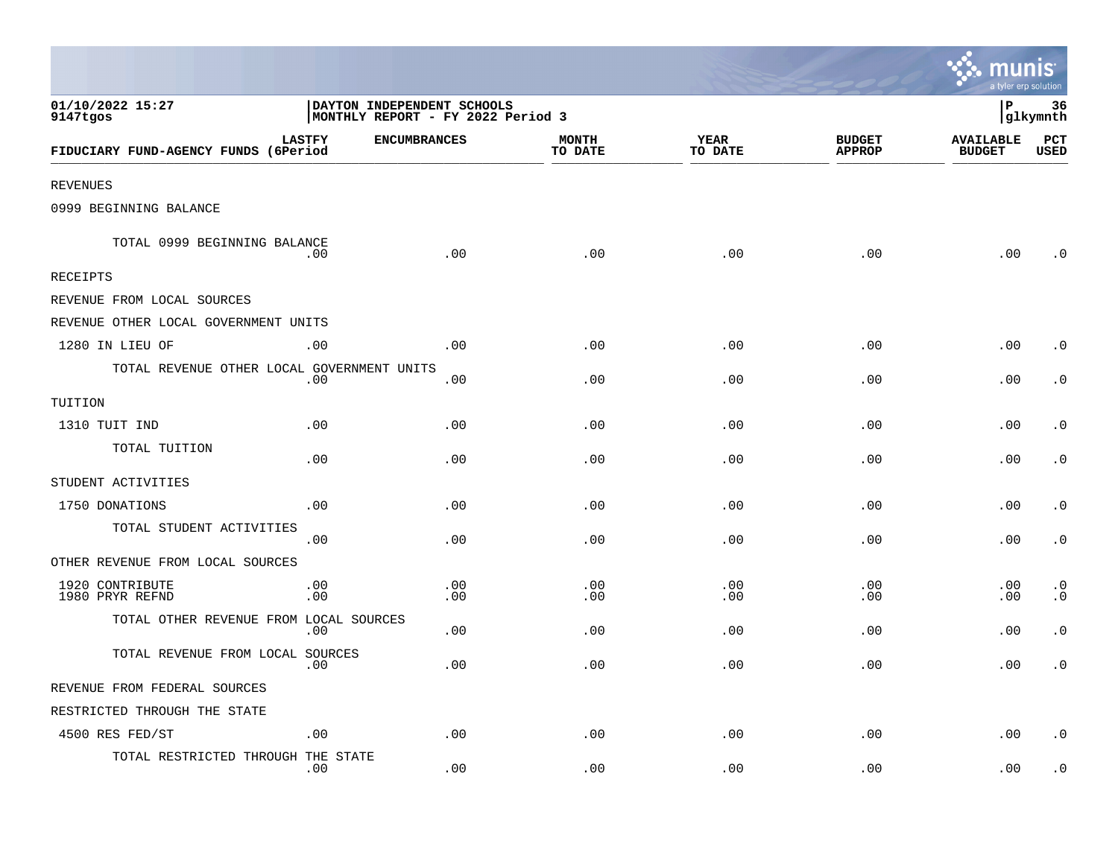|                                            |                                                                 |                     |                         |                 |                                | mun<br>a tyler erp solution       |                         |
|--------------------------------------------|-----------------------------------------------------------------|---------------------|-------------------------|-----------------|--------------------------------|-----------------------------------|-------------------------|
| 01/10/2022 15:27<br>9147tgos               | DAYTON INDEPENDENT SCHOOLS<br>MONTHLY REPORT - FY 2022 Period 3 |                     |                         |                 |                                | ∣P                                | 36<br>glkymnth          |
| FIDUCIARY FUND-AGENCY FUNDS (6Period       | <b>LASTFY</b>                                                   | <b>ENCUMBRANCES</b> | <b>MONTH</b><br>TO DATE | YEAR<br>TO DATE | <b>BUDGET</b><br><b>APPROP</b> | <b>AVAILABLE</b><br><b>BUDGET</b> | PCT<br><b>USED</b>      |
| REVENUES                                   |                                                                 |                     |                         |                 |                                |                                   |                         |
| 0999 BEGINNING BALANCE                     |                                                                 |                     |                         |                 |                                |                                   |                         |
| TOTAL 0999 BEGINNING BALANCE               | .00                                                             | .00                 | .00                     | .00             | .00                            | .00                               | . 0                     |
| RECEIPTS                                   |                                                                 |                     |                         |                 |                                |                                   |                         |
| REVENUE FROM LOCAL SOURCES                 |                                                                 |                     |                         |                 |                                |                                   |                         |
| REVENUE OTHER LOCAL GOVERNMENT UNITS       |                                                                 |                     |                         |                 |                                |                                   |                         |
| 1280 IN LIEU OF                            | .00                                                             | .00                 | .00                     | .00             | .00                            | .00                               | $\cdot$ 0               |
| TOTAL REVENUE OTHER LOCAL GOVERNMENT UNITS | .00                                                             | .00                 | .00                     | .00             | .00                            | .00                               | $\cdot$ 0               |
| TUITION                                    |                                                                 |                     |                         |                 |                                |                                   |                         |
| 1310 TUIT IND                              | .00                                                             | .00                 | .00                     | .00             | .00                            | .00                               | $\cdot$ 0               |
| TOTAL TUITION                              | .00                                                             | .00                 | .00                     | .00             | .00                            | .00                               | $\cdot$ 0               |
| STUDENT ACTIVITIES                         |                                                                 |                     |                         |                 |                                |                                   |                         |
| 1750 DONATIONS                             | .00                                                             | .00                 | .00                     | .00             | .00                            | .00                               | . 0                     |
| TOTAL STUDENT ACTIVITIES                   | .00                                                             | .00                 | .00                     | .00             | .00                            | .00                               | $\cdot$ 0               |
| OTHER REVENUE FROM LOCAL SOURCES           |                                                                 |                     |                         |                 |                                |                                   |                         |
| 1920 CONTRIBUTE<br>1980 PRYR REFND         | .00<br>.00                                                      | .00<br>.00          | .00<br>.00              | .00<br>.00      | .00<br>.00                     | .00<br>.00                        | $\cdot$ 0<br>$\ddot{o}$ |
| TOTAL OTHER REVENUE FROM LOCAL SOURCES     | .00                                                             | .00                 | .00                     | .00             | .00                            | .00                               | $\cdot$ 0               |
| TOTAL REVENUE FROM LOCAL SOURCES           | .00                                                             | .00                 | .00                     | .00             | .00                            | .00                               | $\boldsymbol{\cdot}$ 0  |
| REVENUE FROM FEDERAL SOURCES               |                                                                 |                     |                         |                 |                                |                                   |                         |
| RESTRICTED THROUGH THE STATE               |                                                                 |                     |                         |                 |                                |                                   |                         |
| 4500 RES FED/ST                            | .00                                                             | .00                 | .00                     | .00             | .00                            | .00                               | $\cdot$ 0               |
| TOTAL RESTRICTED THROUGH THE STATE         | .00                                                             | .00                 | .00                     | .00             | .00                            | .00                               | . 0                     |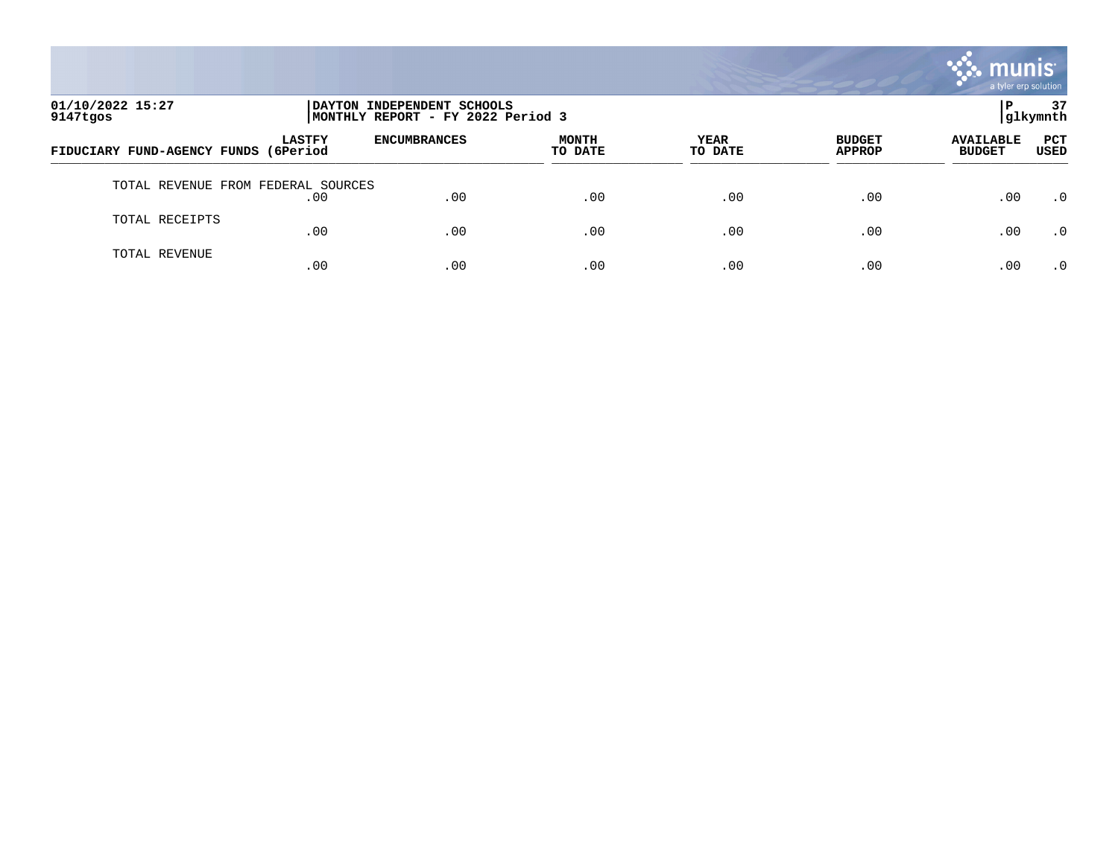

| 01/10/2022 15:27<br>9147tgos       | DAYTON INDEPENDENT SCHOOLS<br>MONTHLY REPORT - FY 2022 Period 3 |                     | 37<br> glkymnth         |                 |                                |                                   |                    |
|------------------------------------|-----------------------------------------------------------------|---------------------|-------------------------|-----------------|--------------------------------|-----------------------------------|--------------------|
| FIDUCIARY FUND-AGENCY FUNDS        | <b>LASTFY</b><br>(6Period                                       | <b>ENCUMBRANCES</b> | <b>MONTH</b><br>TO DATE | YEAR<br>TO DATE | <b>BUDGET</b><br><b>APPROP</b> | <b>AVAILABLE</b><br><b>BUDGET</b> | <b>PCT</b><br>USED |
| TOTAL REVENUE FROM FEDERAL SOURCES | .00                                                             | .00                 | .00                     | .00             | .00                            | .00                               | $\cdot$ 0          |
| TOTAL RECEIPTS                     | .00                                                             | .00                 | .00                     | .00             | .00                            | .00                               | .0                 |
| TOTAL REVENUE                      | .00                                                             | .00                 | .00                     | .00             | .00                            | .00                               | .0                 |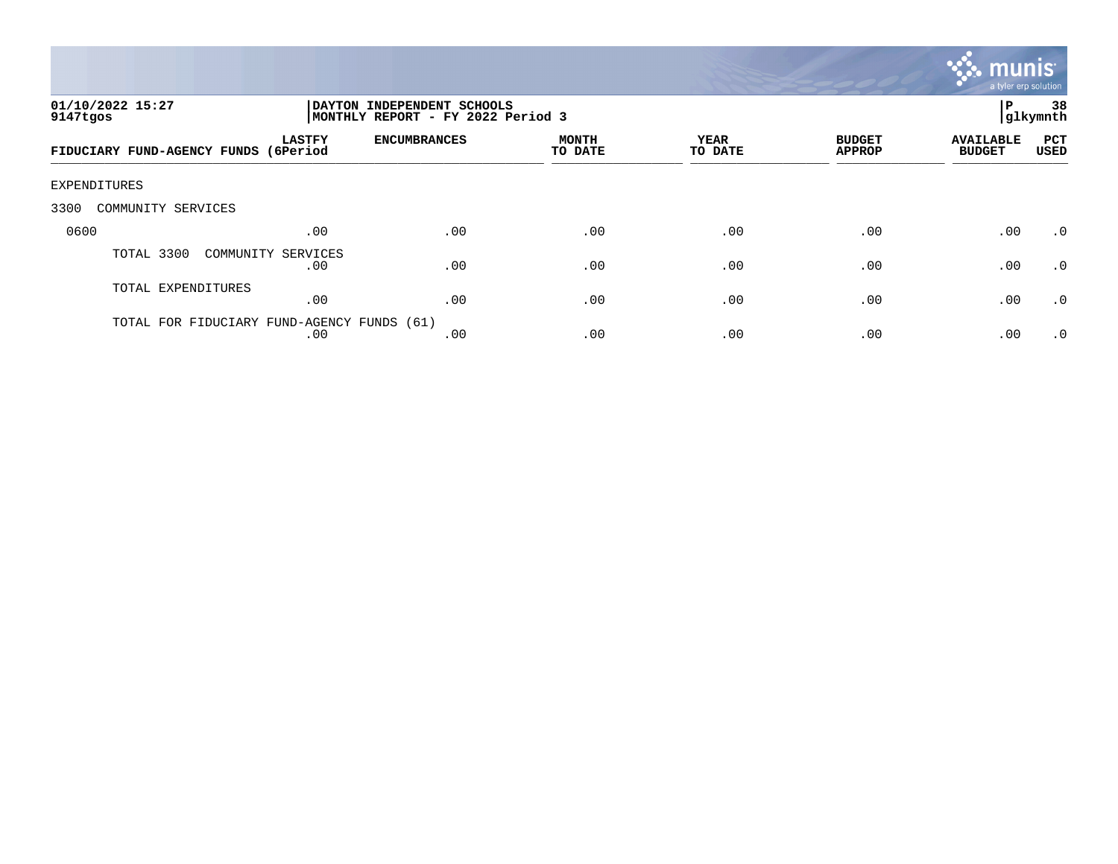

| 01/10/2022 15:27<br>9147tgos          |                           | DAYTON INDEPENDENT SCHOOLS<br> MONTHLY REPORT - FY 2022 Period 3 |                         |                 |                                |                                   | 38<br>glkymnth            |
|---------------------------------------|---------------------------|------------------------------------------------------------------|-------------------------|-----------------|--------------------------------|-----------------------------------|---------------------------|
| FIDUCIARY FUND-AGENCY FUNDS           | <b>LASTFY</b><br>(6Period | <b>ENCUMBRANCES</b>                                              | <b>MONTH</b><br>TO DATE | YEAR<br>TO DATE | <b>BUDGET</b><br><b>APPROP</b> | <b>AVAILABLE</b><br><b>BUDGET</b> | <b>PCT</b><br><b>USED</b> |
| EXPENDITURES                          |                           |                                                                  |                         |                 |                                |                                   |                           |
| 3300<br>COMMUNITY SERVICES            |                           |                                                                  |                         |                 |                                |                                   |                           |
| 0600                                  | .00                       | .00                                                              | .00                     | .00             | .00                            | .00                               | $\cdot$ 0                 |
| TOTAL 3300                            | COMMUNITY SERVICES<br>.00 | .00                                                              | .00                     | .00             | .00                            | .00                               | $\cdot$ 0                 |
| TOTAL EXPENDITURES                    | .00                       | .00                                                              | .00                     | .00             | .00                            | .00                               | $\cdot$ 0                 |
| TOTAL FOR FIDUCIARY FUND-AGENCY FUNDS | .00                       | (61)<br>.00                                                      | .00                     | .00             | .00                            | .00                               | $\cdot$ 0                 |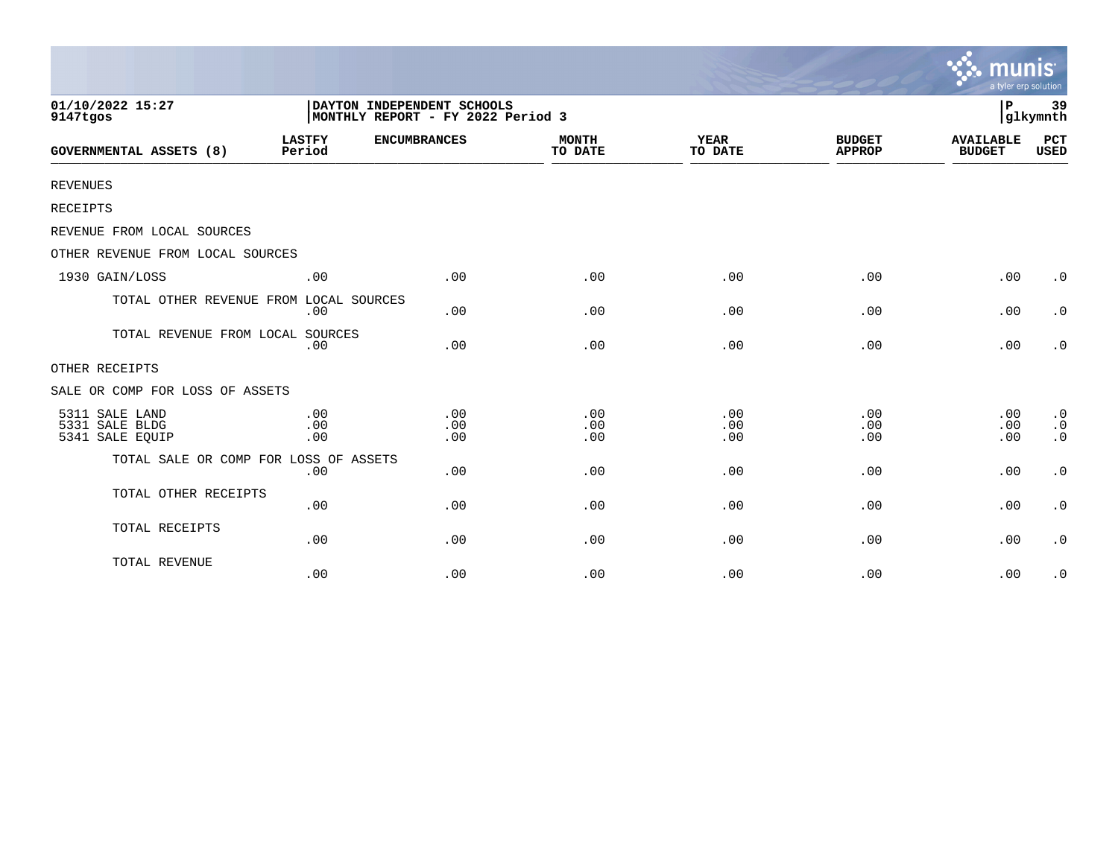|                                                     |                                                                 |                     |                         |                        |                                | <b>munis</b><br>a tyler erp solution |                                                  |
|-----------------------------------------------------|-----------------------------------------------------------------|---------------------|-------------------------|------------------------|--------------------------------|--------------------------------------|--------------------------------------------------|
| 01/10/2022 15:27<br>9147tgos                        | DAYTON INDEPENDENT SCHOOLS<br>MONTHLY REPORT - FY 2022 Period 3 |                     |                         |                        |                                |                                      | 39<br>glkymnth                                   |
| <b>GOVERNMENTAL ASSETS (8)</b>                      | <b>LASTFY</b><br>Period                                         | <b>ENCUMBRANCES</b> | <b>MONTH</b><br>TO DATE | <b>YEAR</b><br>TO DATE | <b>BUDGET</b><br><b>APPROP</b> | <b>AVAILABLE</b><br><b>BUDGET</b>    | PCT<br><b>USED</b>                               |
| <b>REVENUES</b>                                     |                                                                 |                     |                         |                        |                                |                                      |                                                  |
| <b>RECEIPTS</b>                                     |                                                                 |                     |                         |                        |                                |                                      |                                                  |
| REVENUE FROM LOCAL SOURCES                          |                                                                 |                     |                         |                        |                                |                                      |                                                  |
| OTHER REVENUE FROM LOCAL SOURCES                    |                                                                 |                     |                         |                        |                                |                                      |                                                  |
| 1930 GAIN/LOSS                                      | .00                                                             | .00                 | .00                     | .00                    | .00                            | .00                                  | $\cdot$ 0                                        |
| TOTAL OTHER REVENUE FROM LOCAL SOURCES              | .00                                                             | .00                 | .00                     | .00                    | .00                            | .00                                  | $\cdot$ 0                                        |
| TOTAL REVENUE FROM LOCAL SOURCES                    | .00                                                             | .00                 | .00                     | .00                    | .00                            | .00                                  | $\cdot$ 0                                        |
| OTHER RECEIPTS                                      |                                                                 |                     |                         |                        |                                |                                      |                                                  |
| SALE OR COMP FOR LOSS OF ASSETS                     |                                                                 |                     |                         |                        |                                |                                      |                                                  |
| 5311 SALE LAND<br>5331 SALE BLDG<br>5341 SALE EQUIP | .00<br>.00<br>.00                                               | .00<br>.00<br>.00   | .00<br>.00<br>.00       | .00<br>.00<br>.00      | .00<br>.00<br>.00              | .00<br>.00<br>.00                    | $\cdot$ 0<br>$\cdot$ 0<br>$\boldsymbol{\cdot}$ 0 |
| TOTAL SALE OR COMP FOR LOSS OF ASSETS               | .00                                                             | .00                 | .00                     | .00                    | .00                            | .00                                  | $\boldsymbol{\cdot}$ 0                           |
| TOTAL OTHER RECEIPTS                                | .00                                                             | .00                 | .00                     | .00                    | .00                            | .00                                  | $\cdot$ 0                                        |
| TOTAL RECEIPTS                                      | .00                                                             | .00                 | .00                     | .00                    | .00                            | .00                                  | $\cdot$ 0                                        |
| TOTAL REVENUE                                       | .00                                                             | .00                 | .00                     | .00                    | .00                            | .00                                  | $\cdot$ 0                                        |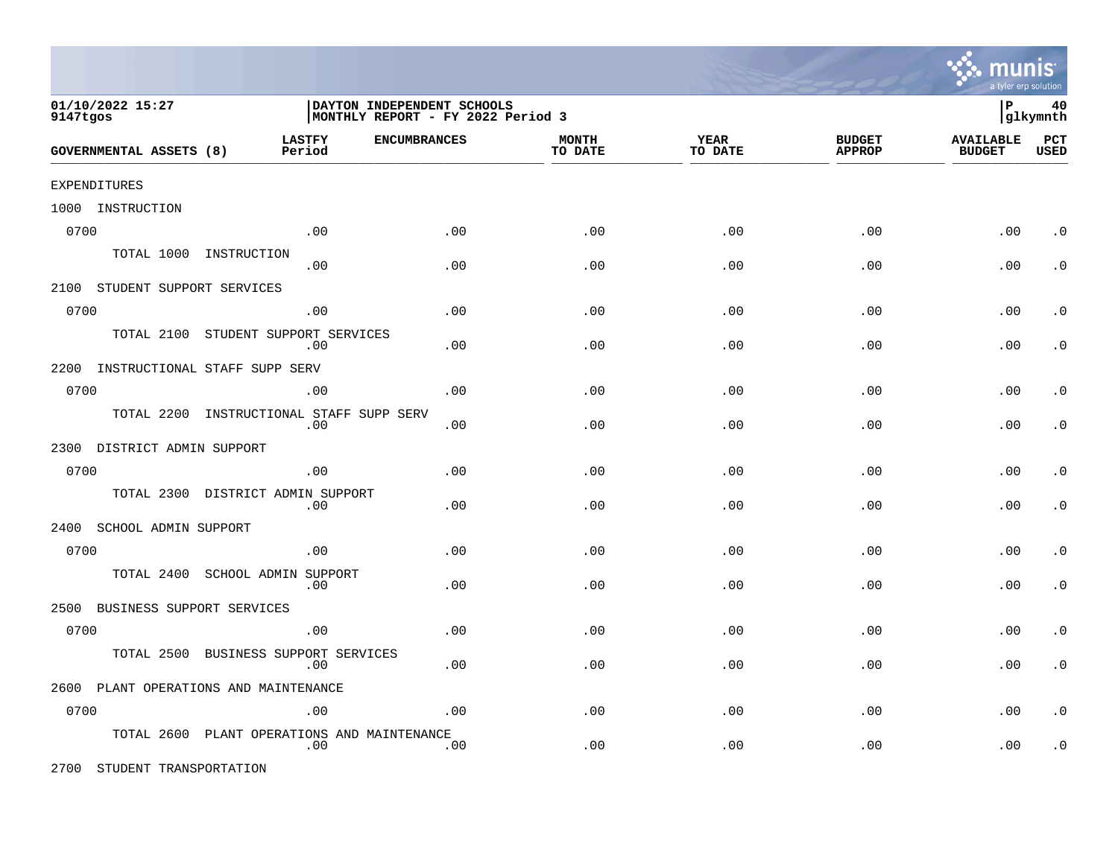

| 01/10/2022 15:27<br>9147tgos   |                                         | DAYTON INDEPENDENT SCHOOLS<br>MONTHLY REPORT - FY 2022 Period 3 |                         |                        |                                |                                   |                    |
|--------------------------------|-----------------------------------------|-----------------------------------------------------------------|-------------------------|------------------------|--------------------------------|-----------------------------------|--------------------|
| <b>GOVERNMENTAL ASSETS (8)</b> | <b>LASTFY</b><br>Period                 | <b>ENCUMBRANCES</b>                                             | <b>MONTH</b><br>TO DATE | <b>YEAR</b><br>TO DATE | <b>BUDGET</b><br><b>APPROP</b> | <b>AVAILABLE</b><br><b>BUDGET</b> | PCT<br><b>USED</b> |
| <b>EXPENDITURES</b>            |                                         |                                                                 |                         |                        |                                |                                   |                    |
| 1000<br>INSTRUCTION            |                                         |                                                                 |                         |                        |                                |                                   |                    |
| 0700                           | .00                                     | .00                                                             | .00                     | .00                    | .00                            | .00                               | $\cdot$ 0          |
| TOTAL 1000                     | INSTRUCTION<br>.00                      | .00                                                             | .00                     | .00                    | .00                            | .00                               | $\cdot$ 0          |
| 2100                           | STUDENT SUPPORT SERVICES                |                                                                 |                         |                        |                                |                                   |                    |
| 0700                           | .00                                     | .00                                                             | .00                     | .00                    | .00                            | .00                               | $\cdot$ 0          |
| TOTAL 2100                     | STUDENT SUPPORT SERVICES<br>.00         | .00                                                             | .00                     | .00                    | .00                            | .00                               | $\cdot$ 0          |
| 2200                           | INSTRUCTIONAL STAFF SUPP SERV           |                                                                 |                         |                        |                                |                                   |                    |
| 0700                           | .00                                     | .00                                                             | .00                     | .00                    | .00                            | .00                               | $\cdot$ 0          |
| TOTAL 2200                     | INSTRUCTIONAL STAFF SUPP SERV<br>.00    | .00                                                             | .00                     | .00                    | .00                            | .00                               | $\cdot$ 0          |
| 2300                           | DISTRICT ADMIN SUPPORT                  |                                                                 |                         |                        |                                |                                   |                    |
| 0700                           | .00                                     | .00                                                             | .00                     | .00                    | .00                            | .00                               | $\cdot$ 0          |
| TOTAL 2300                     | DISTRICT ADMIN SUPPORT<br>.00           | .00                                                             | .00                     | .00                    | .00                            | .00                               | $\cdot$ 0          |
| 2400<br>SCHOOL ADMIN SUPPORT   |                                         |                                                                 |                         |                        |                                |                                   |                    |
| 0700                           | .00                                     | .00                                                             | .00                     | .00                    | .00                            | .00                               | $\cdot$ 0          |
| TOTAL 2400                     | SCHOOL ADMIN SUPPORT<br>.00             | .00                                                             | .00                     | .00                    | .00                            | .00                               | $\cdot$ 0          |
| 2500                           | BUSINESS SUPPORT SERVICES               |                                                                 |                         |                        |                                |                                   |                    |
| 0700                           | .00                                     | .00                                                             | .00                     | .00                    | .00                            | .00                               | $\cdot$ 0          |
| TOTAL 2500                     | BUSINESS SUPPORT SERVICES<br>.00        | .00                                                             | .00                     | .00                    | $.00 \,$                       | .00                               | $\cdot$ 0          |
| 2600                           | PLANT OPERATIONS AND MAINTENANCE        |                                                                 |                         |                        |                                |                                   |                    |
| 0700                           | .00                                     | .00                                                             | .00                     | .00                    | .00                            | .00                               | $\cdot$ 0          |
| TOTAL 2600                     | PLANT OPERATIONS AND MAINTENANCE<br>.00 | .00                                                             | .00                     | .00                    | .00                            | .00                               | $\cdot$ 0          |

2700 STUDENT TRANSPORTATION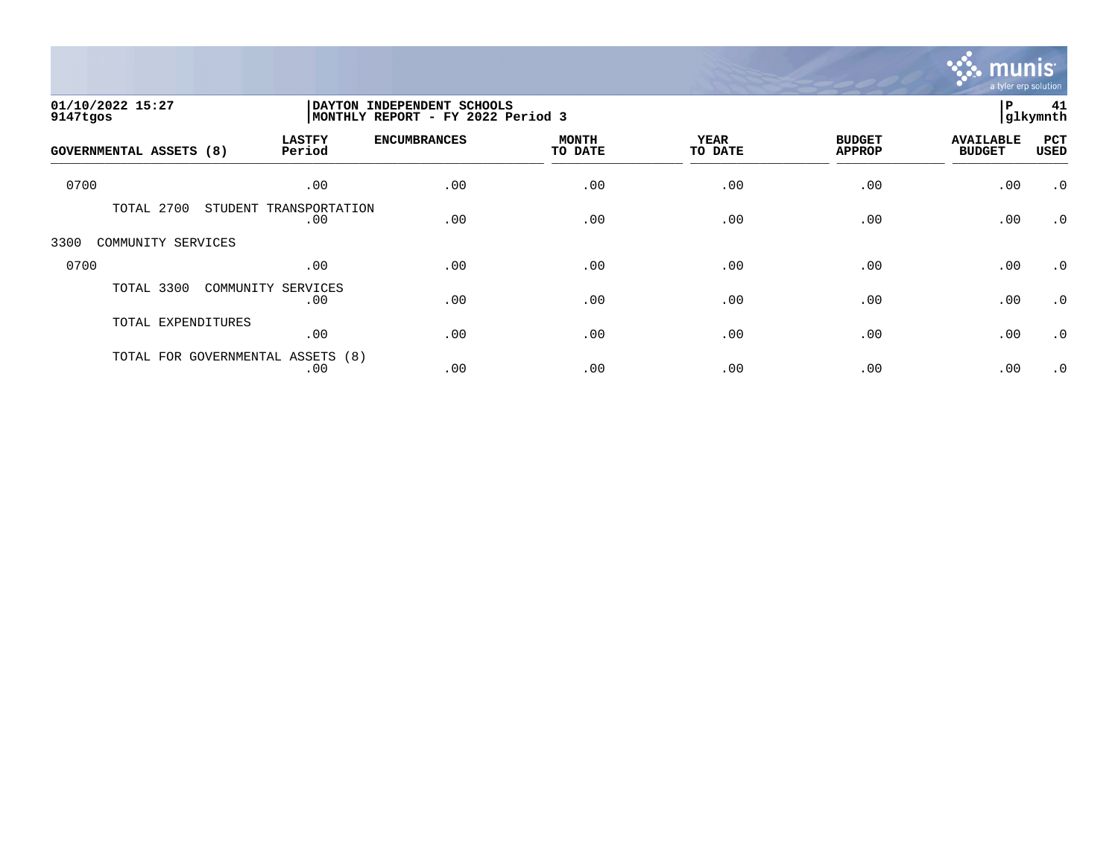

| 01/10/2022 15:27<br>9147tgos   |                                          | DAYTON INDEPENDENT SCHOOLS<br>MONTHLY REPORT - FY 2022 Period 3 |                         |                        |                                |                                   |                    |
|--------------------------------|------------------------------------------|-----------------------------------------------------------------|-------------------------|------------------------|--------------------------------|-----------------------------------|--------------------|
| <b>GOVERNMENTAL ASSETS (8)</b> | <b>LASTFY</b><br>Period                  | <b>ENCUMBRANCES</b>                                             | <b>MONTH</b><br>TO DATE | <b>YEAR</b><br>TO DATE | <b>BUDGET</b><br><b>APPROP</b> | <b>AVAILABLE</b><br><b>BUDGET</b> | PCT<br><b>USED</b> |
| 0700                           | .00                                      | .00                                                             | .00                     | .00                    | .00                            | .00                               | $\cdot$ 0          |
| TOTAL 2700                     | STUDENT TRANSPORTATION<br>.00            | .00                                                             | .00                     | .00                    | .00                            | .00                               | $\cdot$ 0          |
| 3300<br>COMMUNITY SERVICES     |                                          |                                                                 |                         |                        |                                |                                   |                    |
| 0700                           | .00                                      | .00                                                             | .00                     | .00                    | .00                            | .00                               | $\cdot$ 0          |
| TOTAL 3300                     | COMMUNITY SERVICES<br>.00                | .00                                                             | .00                     | .00                    | .00                            | .00                               | $\cdot$ 0          |
| TOTAL EXPENDITURES             | .00                                      | .00                                                             | .00                     | .00                    | .00                            | .00                               | $\cdot$ 0          |
|                                | TOTAL FOR GOVERNMENTAL ASSETS (8)<br>.00 | .00                                                             | .00                     | .00                    | .00                            | .00                               | $\cdot$ 0          |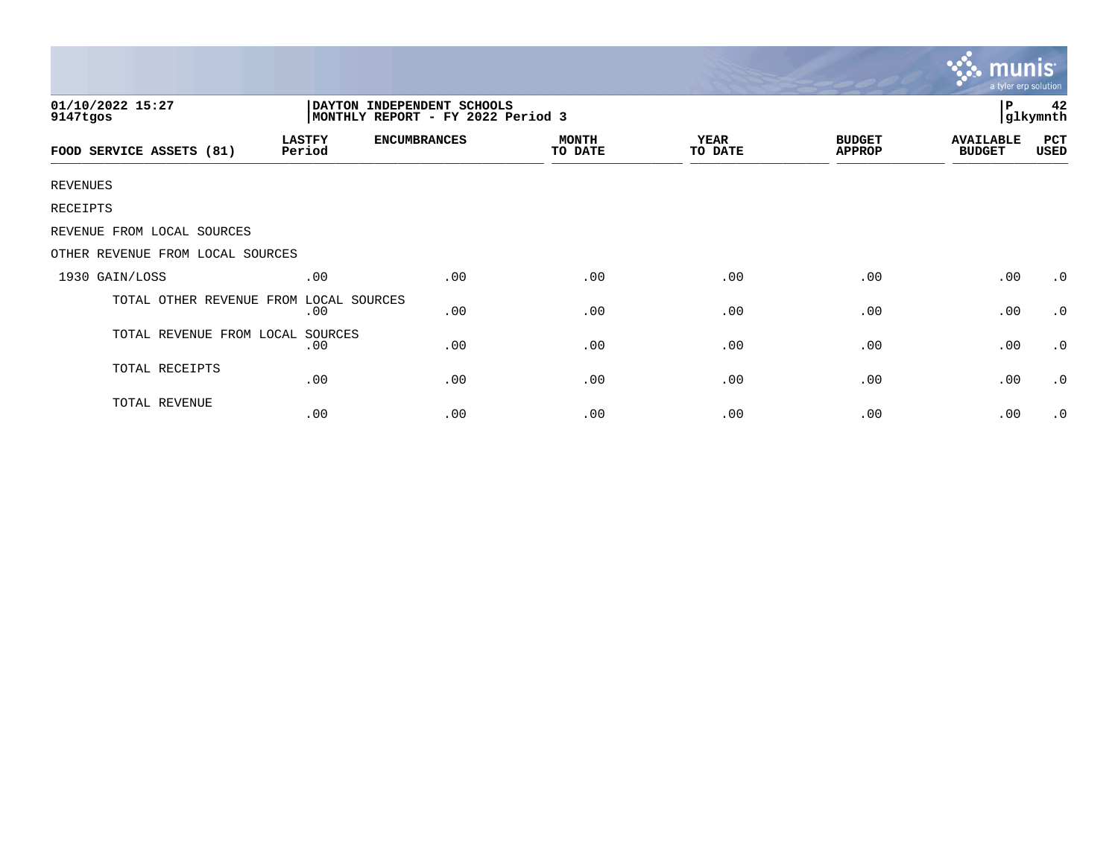|                                                                                                 |                         |                     |                         |                        |                                | munis<br>a tyler erp solution     |             |  |  |
|-------------------------------------------------------------------------------------------------|-------------------------|---------------------|-------------------------|------------------------|--------------------------------|-----------------------------------|-------------|--|--|
| 01/10/2022 15:27<br>DAYTON INDEPENDENT SCHOOLS<br>MONTHLY REPORT - FY 2022 Period 3<br>9147tgos |                         |                     |                         |                        |                                |                                   |             |  |  |
| FOOD SERVICE ASSETS (81)                                                                        | <b>LASTFY</b><br>Period | <b>ENCUMBRANCES</b> | <b>MONTH</b><br>TO DATE | <b>YEAR</b><br>TO DATE | <b>BUDGET</b><br><b>APPROP</b> | <b>AVAILABLE</b><br><b>BUDGET</b> | PCT<br>USED |  |  |
| <b>REVENUES</b>                                                                                 |                         |                     |                         |                        |                                |                                   |             |  |  |
| RECEIPTS                                                                                        |                         |                     |                         |                        |                                |                                   |             |  |  |
| REVENUE FROM LOCAL SOURCES                                                                      |                         |                     |                         |                        |                                |                                   |             |  |  |
| OTHER REVENUE FROM LOCAL SOURCES                                                                |                         |                     |                         |                        |                                |                                   |             |  |  |
| 1930 GAIN/LOSS                                                                                  | .00                     | .00                 | .00                     | .00                    | .00                            | .00                               | $\cdot$ 0   |  |  |
| TOTAL OTHER REVENUE FROM                                                                        | LOCAL SOURCES<br>.00    | .00                 | .00                     | .00                    | .00                            | .00                               | .0          |  |  |
| TOTAL REVENUE FROM LOCAL SOURCES                                                                | .00                     | .00                 | .00                     | .00                    | .00                            | .00                               | .0          |  |  |
| TOTAL RECEIPTS                                                                                  | .00                     | .00                 | .00                     | .00                    | .00                            | .00                               | $\cdot$ 0   |  |  |
| TOTAL REVENUE                                                                                   | .00                     | .00                 | .00                     | .00                    | .00                            | .00                               | $\cdot$ 0   |  |  |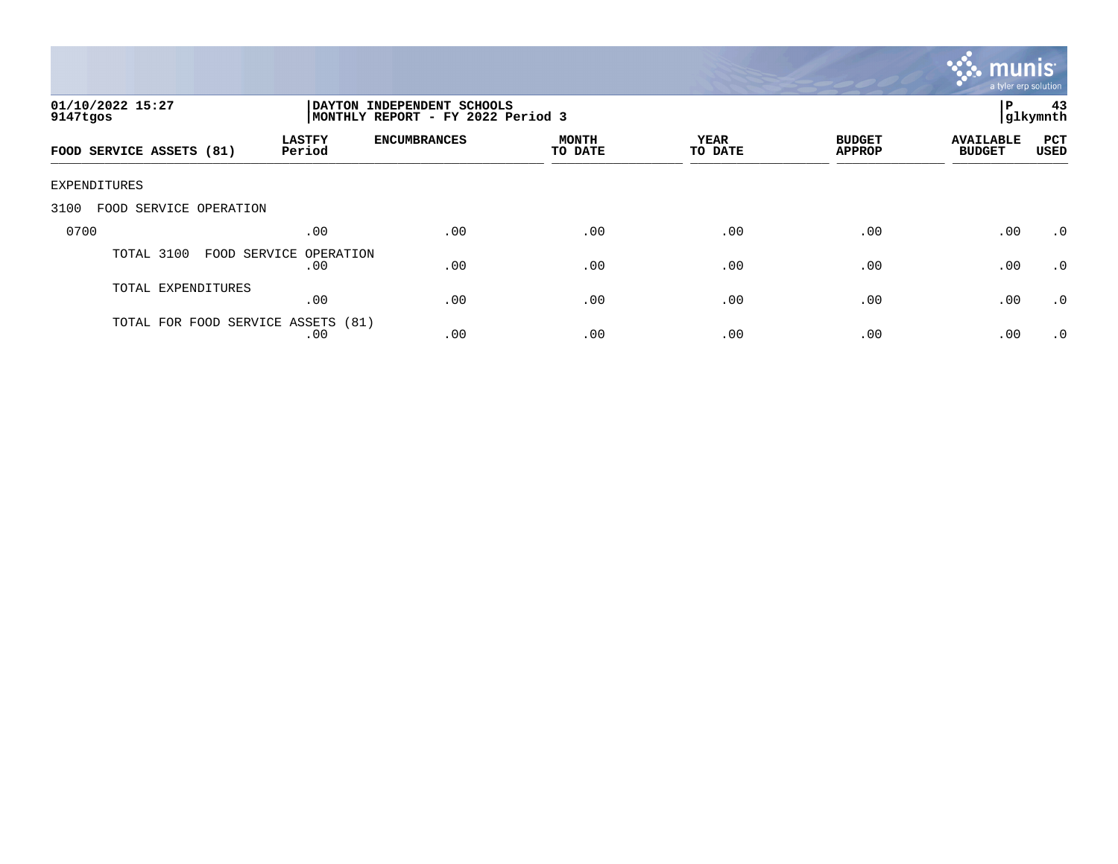

| 01/10/2022 15:27<br>9147tgos       |                         | DAYTON INDEPENDENT SCHOOLS<br>MONTHLY REPORT - FY 2022 Period 3 |                         |                 |                                |                                   |                           |
|------------------------------------|-------------------------|-----------------------------------------------------------------|-------------------------|-----------------|--------------------------------|-----------------------------------|---------------------------|
| FOOD SERVICE ASSETS (81)           | <b>LASTFY</b><br>Period | <b>ENCUMBRANCES</b>                                             | <b>MONTH</b><br>TO DATE | YEAR<br>TO DATE | <b>BUDGET</b><br><b>APPROP</b> | <b>AVAILABLE</b><br><b>BUDGET</b> | <b>PCT</b><br><b>USED</b> |
| EXPENDITURES                       |                         |                                                                 |                         |                 |                                |                                   |                           |
| 3100<br>SERVICE OPERATION<br>FOOD  |                         |                                                                 |                         |                 |                                |                                   |                           |
| 0700                               | .00                     | .00                                                             | .00                     | .00             | .00                            | .00                               | $\cdot$ 0                 |
| TOTAL 3100<br>FOOD SERVICE         | OPERATION<br>.00        | .00                                                             | .00                     | .00             | .00                            | .00                               | .0                        |
| TOTAL EXPENDITURES                 | .00                     | .00                                                             | .00                     | .00             | .00                            | .00                               | $\cdot$ 0                 |
| TOTAL FOR FOOD SERVICE ASSETS (81) | .00                     | .00                                                             | .00                     | .00             | .00                            | .00                               | $\cdot$ 0                 |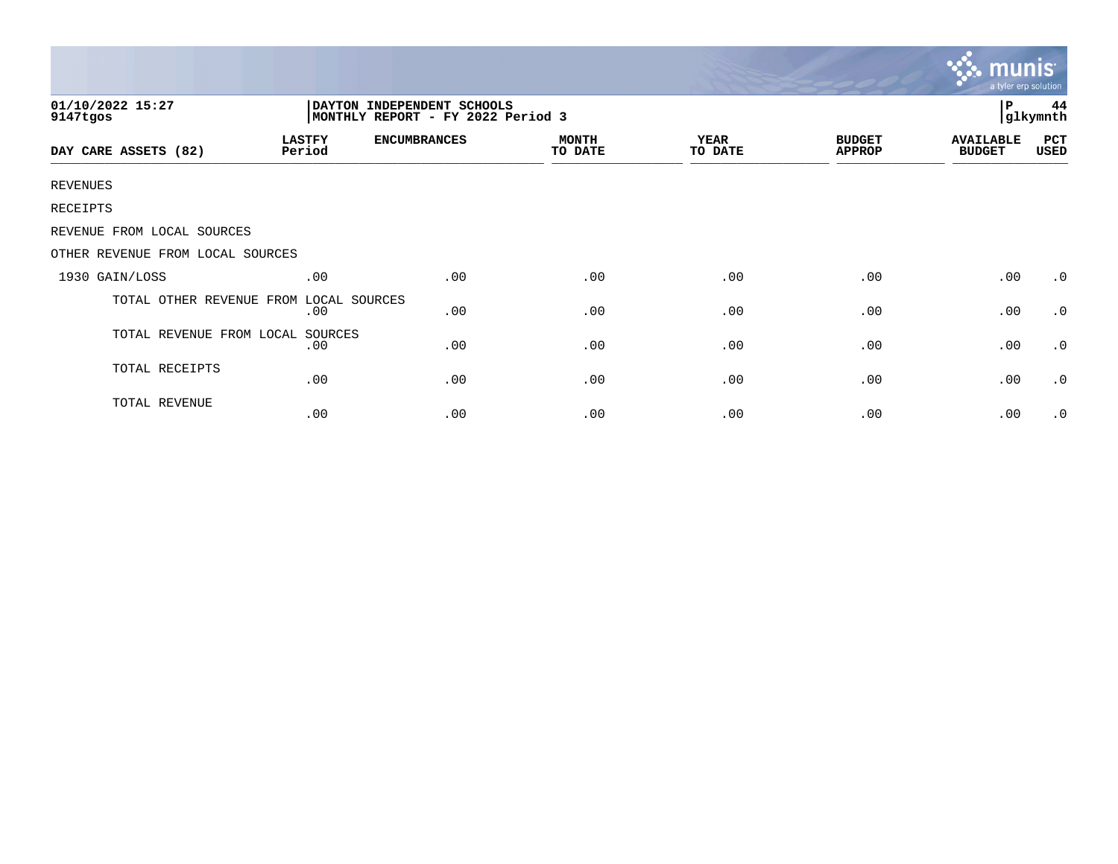|                                                                                                 |                         |                     |                         |                        |                                | munis<br>a tyler erp solution     |             |  |
|-------------------------------------------------------------------------------------------------|-------------------------|---------------------|-------------------------|------------------------|--------------------------------|-----------------------------------|-------------|--|
| 01/10/2022 15:27<br>DAYTON INDEPENDENT SCHOOLS<br>MONTHLY REPORT - FY 2022 Period 3<br>9147tgos |                         |                     |                         |                        |                                |                                   |             |  |
| DAY CARE ASSETS (82)                                                                            | <b>LASTFY</b><br>Period | <b>ENCUMBRANCES</b> | <b>MONTH</b><br>TO DATE | <b>YEAR</b><br>TO DATE | <b>BUDGET</b><br><b>APPROP</b> | <b>AVAILABLE</b><br><b>BUDGET</b> | PCT<br>USED |  |
| <b>REVENUES</b>                                                                                 |                         |                     |                         |                        |                                |                                   |             |  |
| RECEIPTS                                                                                        |                         |                     |                         |                        |                                |                                   |             |  |
| REVENUE FROM LOCAL SOURCES                                                                      |                         |                     |                         |                        |                                |                                   |             |  |
| OTHER REVENUE FROM LOCAL SOURCES                                                                |                         |                     |                         |                        |                                |                                   |             |  |
| 1930 GAIN/LOSS                                                                                  | .00                     | .00                 | .00                     | .00                    | .00                            | .00                               | $\cdot$ 0   |  |
| TOTAL OTHER REVENUE FROM                                                                        | LOCAL SOURCES<br>.00    | .00                 | .00                     | .00                    | .00                            | .00                               | .0          |  |
| TOTAL REVENUE FROM LOCAL                                                                        | SOURCES<br>.00          | .00                 | .00                     | .00                    | .00                            | .00                               | $\cdot$ 0   |  |
| TOTAL RECEIPTS                                                                                  | .00                     | .00                 | .00                     | .00                    | .00                            | .00                               | $\cdot$ 0   |  |
| TOTAL REVENUE                                                                                   | .00                     | .00                 | .00                     | .00                    | .00                            | .00                               | .0          |  |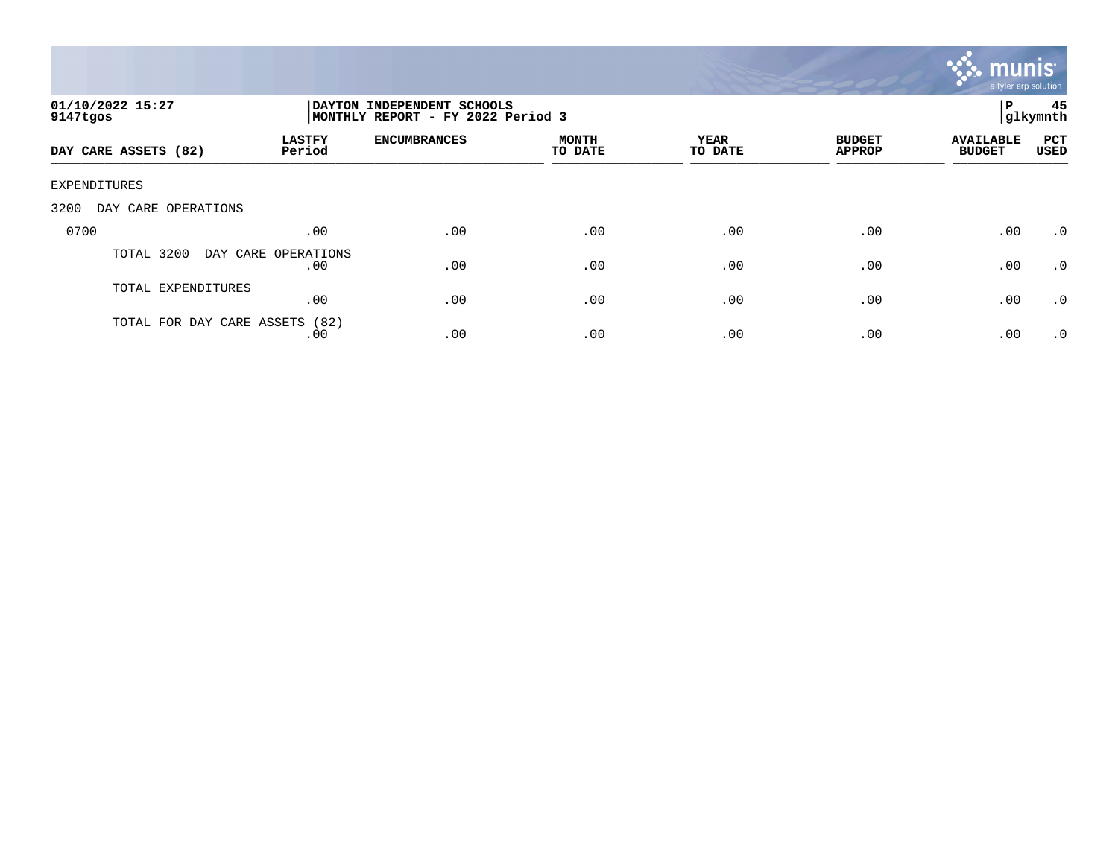

| 01/10/2022 15:27<br>9147tgos   |                            | P<br>DAYTON INDEPENDENT SCHOOLS<br> glkymnth<br>MONTHLY REPORT - FY 2022 Period 3 |                         |                 |                                |                                   |                    |
|--------------------------------|----------------------------|-----------------------------------------------------------------------------------|-------------------------|-----------------|--------------------------------|-----------------------------------|--------------------|
| DAY CARE ASSETS (82)           | <b>LASTFY</b><br>Period    | <b>ENCUMBRANCES</b>                                                               | <b>MONTH</b><br>TO DATE | YEAR<br>TO DATE | <b>BUDGET</b><br><b>APPROP</b> | <b>AVAILABLE</b><br><b>BUDGET</b> | <b>PCT</b><br>USED |
| <b>EXPENDITURES</b>            |                            |                                                                                   |                         |                 |                                |                                   |                    |
| 3200<br>OPERATIONS<br>DAY CARE |                            |                                                                                   |                         |                 |                                |                                   |                    |
| 0700                           | .00                        | .00                                                                               | .00                     | .00             | .00                            | .00                               | $\cdot$ 0          |
| 3200<br>TOTAL                  | DAY CARE OPERATIONS<br>.00 | .00                                                                               | .00                     | .00             | .00                            | .00                               | $\cdot$ 0          |
| TOTAL EXPENDITURES             | .00                        | .00                                                                               | .00                     | .00             | .00                            | .00                               | $\cdot$ 0          |
| TOTAL FOR DAY CARE ASSETS      | (82)<br>.00                | .00                                                                               | .00                     | .00             | .00                            | .00                               | .0                 |